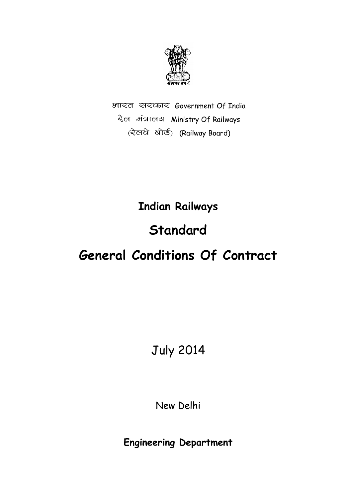

भारत सरकार Government Of India रेल मंत्रालय Ministry Of Railways (रेलये बोर्ड) (Railway Board)

**Indian Railways** 

# **Standard**

# **General Conditions Of Contract**

July 2014

New Delhi

**Engineering Department**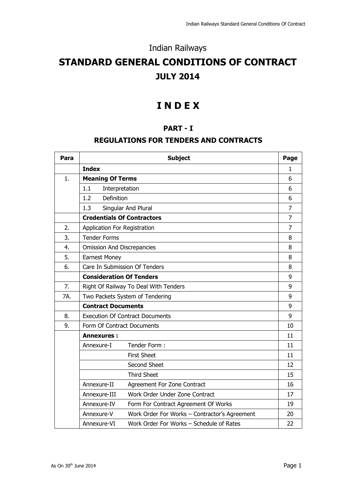### Indian Railways

## **STANDARD GENERAL CONDITIONS OF CONTRACT JULY 2014**

### **I N D E X**

### **PART - I**

### **REGULATIONS FOR TENDERS AND CONTRACTS**

| Para | <b>Subject</b>                                          |                                               |                |  |  |
|------|---------------------------------------------------------|-----------------------------------------------|----------------|--|--|
|      | <b>Index</b>                                            |                                               | $\mathbf{1}$   |  |  |
| 1.   | <b>Meaning Of Terms</b>                                 |                                               | 6              |  |  |
|      | 1.1<br>Interpretation                                   |                                               | 6              |  |  |
|      | Definition<br>1.2                                       |                                               | 6              |  |  |
|      | 1.3                                                     | Singular And Plural                           | $\overline{7}$ |  |  |
|      | <b>Credentials Of Contractors</b>                       |                                               | $\overline{7}$ |  |  |
| 2.   | Application For Registration                            |                                               | $\overline{7}$ |  |  |
| 3.   | <b>Tender Forms</b>                                     |                                               | 8              |  |  |
| 4.   | <b>Omission And Discrepancies</b>                       |                                               | 8              |  |  |
| 5.   | <b>Earnest Money</b>                                    |                                               | 8              |  |  |
| 6.   |                                                         | Care In Submission Of Tenders                 | 8              |  |  |
|      | <b>Consideration Of Tenders</b>                         |                                               |                |  |  |
| 7.   | Right Of Railway To Deal With Tenders                   |                                               |                |  |  |
| 7A.  | Two Packets System of Tendering                         |                                               |                |  |  |
|      | <b>Contract Documents</b>                               |                                               |                |  |  |
| 8.   | <b>Execution Of Contract Documents</b>                  |                                               |                |  |  |
| 9.   | Form Of Contract Documents                              |                                               | 10             |  |  |
|      | <b>Annexures:</b>                                       |                                               | 11             |  |  |
|      | Annexure-I                                              | Tender Form:                                  | 11             |  |  |
|      |                                                         | <b>First Sheet</b>                            | 11             |  |  |
|      |                                                         | Second Sheet                                  | 12             |  |  |
|      |                                                         | <b>Third Sheet</b>                            | 15             |  |  |
|      | Annexure-II                                             | Agreement For Zone Contract                   | 16             |  |  |
|      | Annexure-III                                            | Work Order Under Zone Contract                | 17             |  |  |
|      | Annexure-IV                                             | Form For Contract Agreement Of Works          | 19             |  |  |
|      | Annexure-V                                              | Work Order For Works - Contractor's Agreement | 20             |  |  |
|      | Work Order For Works - Schedule of Rates<br>Annexure-VI |                                               |                |  |  |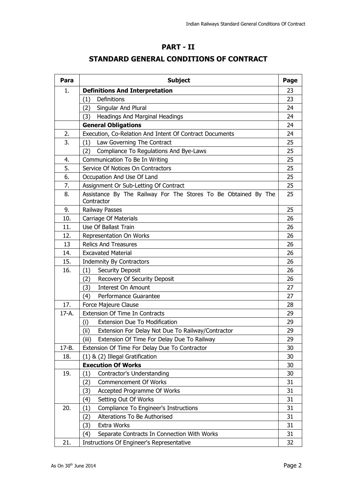### **PART - II**

### **STANDARD GENERAL CONDITIONS OF CONTRACT**

| Para  | <b>Subject</b>                                                               | Page |
|-------|------------------------------------------------------------------------------|------|
| 1.    | <b>Definitions And Interpretation</b>                                        | 23   |
|       | Definitions<br>(1)                                                           | 23   |
|       | Singular And Plural<br>(2)                                                   | 24   |
|       | Headings And Marginal Headings<br>(3)                                        | 24   |
|       | <b>General Obligations</b>                                                   | 24   |
| 2.    | Execution, Co-Relation And Intent Of Contract Documents                      | 24   |
| 3.    | Law Governing The Contract<br>(1)                                            | 25   |
|       | Compliance To Regulations And Bye-Laws<br>(2)                                | 25   |
| 4.    | Communication To Be In Writing                                               | 25   |
| 5.    | Service Of Notices On Contractors                                            | 25   |
| 6.    | Occupation And Use Of Land                                                   | 25   |
| 7.    | Assignment Or Sub-Letting Of Contract                                        | 25   |
| 8.    | Assistance By The Railway For The Stores To Be Obtained By The<br>Contractor | 25   |
| 9.    | Railway Passes                                                               | 25   |
| 10.   | <b>Carriage Of Materials</b>                                                 | 26   |
| 11.   | Use Of Ballast Train                                                         | 26   |
| 12.   | Representation On Works                                                      | 26   |
| 13    | <b>Relics And Treasures</b>                                                  | 26   |
| 14.   | <b>Excavated Material</b>                                                    | 26   |
| 15.   | <b>Indemnity By Contractors</b>                                              | 26   |
| 16.   | Security Deposit<br>(1)                                                      | 26   |
|       | Recovery Of Security Deposit<br>(2)                                          | 26   |
|       | <b>Interest On Amount</b><br>(3)                                             | 27   |
|       | (4)<br>Performance Guarantee                                                 | 27   |
| 17.   | Force Majeure Clause                                                         | 28   |
| 17-A. | Extension Of Time In Contracts                                               | 29   |
|       | <b>Extension Due To Modification</b><br>(i)                                  | 29   |
|       | Extension For Delay Not Due To Railway/Contractor<br>(ii)                    | 29   |
|       | (iii)<br>Extension Of Time For Delay Due To Railway                          | 29   |
| 17-B. | Extension Of Time For Delay Due To Contractor                                | 30   |
| 18.   | (1) & (2) Illegal Gratification                                              | 30   |
|       | <b>Execution Of Works</b>                                                    | 30   |
| 19.   | Contractor's Understanding<br>(1)                                            | 30   |
|       | <b>Commencement Of Works</b><br>(2)                                          | 31   |
|       | Accepted Programme Of Works<br>(3)                                           | 31   |
|       | Setting Out Of Works<br>(4)                                                  | 31   |
| 20.   | Compliance To Engineer's Instructions<br>(1)                                 | 31   |
|       | Alterations To Be Authorised<br>(2)                                          | 31   |
|       | Extra Works<br>(3)                                                           | 31   |
|       | Separate Contracts In Connection With Works<br>(4)                           | 31   |
| 21.   | Instructions Of Engineer's Representative                                    | 32   |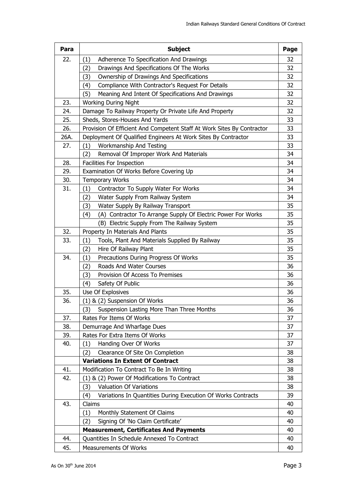| Para | <b>Subject</b>                                                                         | Page     |
|------|----------------------------------------------------------------------------------------|----------|
| 22.  | (1)<br>Adherence To Specification And Drawings                                         | 32       |
|      | Drawings And Specifications Of The Works<br>(2)                                        | 32       |
|      | Ownership of Drawings And Specifications<br>(3)                                        | 32       |
|      | Compliance With Contractor's Request For Details<br>(4)                                | 32       |
|      | (5)<br>Meaning And Intent Of Specifications And Drawings                               | 32       |
| 23.  | <b>Working During Night</b>                                                            | 32       |
| 24.  | Damage To Railway Property Or Private Life And Property                                | 32       |
| 25.  | Sheds, Stores-Houses And Yards                                                         | 33       |
| 26.  | Provision Of Efficient And Competent Staff At Work Sites By Contractor                 | 33       |
| 26A. | Deployment Of Qualified Engineers At Work Sites By Contractor                          | 33       |
| 27.  | Workmanship And Testing<br>(1)                                                         | 33       |
|      | Removal Of Improper Work And Materials<br>(2)                                          | 34       |
| 28.  | Facilities For Inspection                                                              | 34       |
| 29.  | Examination Of Works Before Covering Up                                                | 34       |
| 30.  | <b>Temporary Works</b>                                                                 | 34<br>34 |
| 31.  | Contractor To Supply Water For Works<br>(1)<br>(2)<br>Water Supply From Railway System | 34       |
|      | (3)<br>Water Supply By Railway Transport                                               | 35       |
|      | (A) Contractor To Arrange Supply Of Electric Power For Works<br>(4)                    | 35       |
|      | (B) Electric Supply From The Railway System                                            | 35       |
| 32.  | Property In Materials And Plants                                                       | 35       |
| 33.  | Tools, Plant And Materials Supplied By Railway<br>(1)                                  | 35       |
|      | Hire Of Railway Plant<br>(2)                                                           | 35       |
| 34.  | Precautions During Progress Of Works<br>(1)                                            | 35       |
|      | Roads And Water Courses<br>(2)                                                         | 36       |
|      | Provision Of Access To Premises<br>(3)                                                 | 36       |
|      | Safety Of Public<br>(4)                                                                | 36       |
| 35.  | Use Of Explosives                                                                      | 36       |
| 36.  | (1) & (2) Suspension Of Works                                                          | 36       |
|      | (3)<br>Suspension Lasting More Than Three Months                                       | 36       |
| 37.  | Rates For Items Of Works                                                               | 37       |
| 38.  | Demurrage And Wharfage Dues                                                            | 37       |
| 39.  | Rates For Extra Items Of Works                                                         | 37       |
| 40.  | Handing Over Of Works<br>(1)                                                           | 37       |
|      | Clearance Of Site On Completion<br>(2)                                                 | 38       |
|      | <b>Variations In Extent Of Contract</b>                                                | 38       |
| 41.  | Modification To Contract To Be In Writing                                              | 38       |
| 42.  | (1) & (2) Power Of Modifications To Contract                                           | 38       |
|      | (3)<br><b>Valuation Of Variations</b>                                                  | 38       |
|      | Variations In Quantities During Execution Of Works Contracts<br>(4)<br>Claims          | 39       |
| 43.  |                                                                                        | 40<br>40 |
|      | (1)<br>Monthly Statement Of Claims<br>Signing Of 'No Claim Certificate'<br>(2)         | 40       |
|      | <b>Measurement, Certificates And Payments</b>                                          | 40       |
| 44.  | Quantities In Schedule Annexed To Contract                                             | 40       |
| 45.  | <b>Measurements Of Works</b>                                                           | 40       |
|      |                                                                                        |          |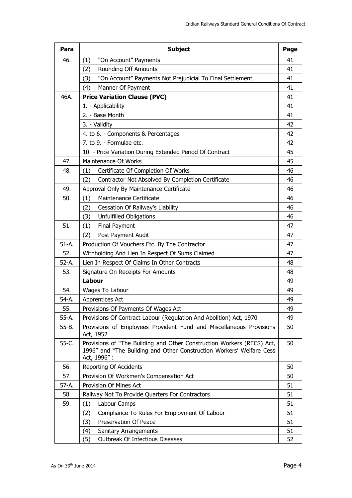| Para      | <b>Subject</b>                                                                                                                                                | Page |
|-----------|---------------------------------------------------------------------------------------------------------------------------------------------------------------|------|
| 46.       | "On Account" Payments<br>(1)                                                                                                                                  | 41   |
|           | <b>Rounding Off Amounts</b><br>(2)                                                                                                                            | 41   |
|           | "On Account" Payments Not Prejudicial To Final Settlement<br>(3)                                                                                              | 41   |
|           | Manner Of Payment<br>(4)                                                                                                                                      | 41   |
| 46A.      | <b>Price Variation Clause (PVC)</b>                                                                                                                           | 41   |
|           | 1. - Applicability                                                                                                                                            | 41   |
|           | 2. - Base Month                                                                                                                                               | 41   |
|           | 3. - Validity                                                                                                                                                 | 42   |
|           | 4. to 6. - Components & Percentages                                                                                                                           | 42   |
|           | 7. to 9. - Formulae etc.                                                                                                                                      | 42   |
|           | 10. - Price Variation During Extended Period Of Contract                                                                                                      | 45   |
| 47.       | Maintenance Of Works                                                                                                                                          | 45   |
| 48.       | Certificate Of Completion Of Works<br>(1)                                                                                                                     | 46   |
|           | Contractor Not Absolved By Completion Certificate<br>(2)                                                                                                      | 46   |
| 49.       | Approval Only By Maintenance Certificate                                                                                                                      | 46   |
| 50.       | (1)<br>Maintenance Certificate                                                                                                                                | 46   |
|           | Cessation Of Railway's Liability<br>(2)                                                                                                                       | 46   |
|           | <b>Unfulfilled Obligations</b><br>(3)                                                                                                                         | 46   |
| 51.       | (1)<br>Final Payment                                                                                                                                          | 47   |
|           | Post Payment Audit<br>(2)                                                                                                                                     | 47   |
| $51-A.$   | Production Of Vouchers Etc. By The Contractor                                                                                                                 | 47   |
| 52.       | Withholding And Lien In Respect Of Sums Claimed                                                                                                               | 47   |
| $52-A.$   | Lien In Respect Of Claims In Other Contracts                                                                                                                  | 48   |
| 53.       | Signature On Receipts For Amounts                                                                                                                             | 48   |
|           | Labour                                                                                                                                                        | 49   |
| 54.       | Wages To Labour                                                                                                                                               | 49   |
| 54-A.     | Apprentices Act                                                                                                                                               | 49   |
| 55.       | Provisions Of Payments Of Wages Act                                                                                                                           | 49   |
| 55-A.     | Provisions Of Contract Labour (Regulation And Abolition) Act, 1970                                                                                            | 49   |
| $55 - B.$ | Provisions of Employees Provident Fund and Miscellaneous Provisions<br>Act, 1952                                                                              | 50   |
| 55-C.     | Provisions of "The Building and Other Construction Workers (RECS) Act,<br>1996" and "The Building and Other Construction Workers' Welfare Cess<br>Act, 1996": | 50   |
| 56.       | Reporting Of Accidents                                                                                                                                        | 50   |
| 57.       | Provision Of Workmen's Compensation Act                                                                                                                       | 50   |
| 57-A.     | Provision Of Mines Act                                                                                                                                        | 51   |
| 58.       | Railway Not To Provide Quarters For Contractors                                                                                                               | 51   |
| 59.       | (1)<br>Labour Camps                                                                                                                                           | 51   |
|           | Compliance To Rules For Employment Of Labour<br>(2)                                                                                                           | 51   |
|           | Preservation Of Peace<br>(3)                                                                                                                                  | 51   |
|           | (4)<br>Sanitary Arrangements                                                                                                                                  | 51   |
|           | (5)<br><b>Outbreak Of Infectious Diseases</b>                                                                                                                 | 52   |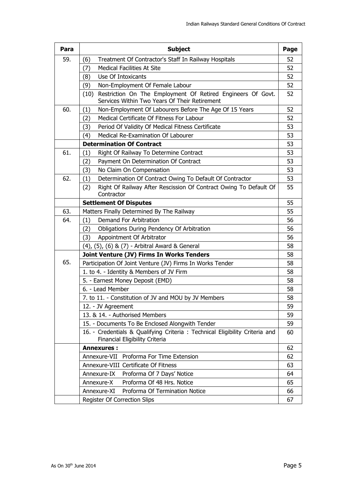| Para | <b>Subject</b>                                                                                                       |    |  |  |  |
|------|----------------------------------------------------------------------------------------------------------------------|----|--|--|--|
| 59.  | Treatment Of Contractor's Staff In Railway Hospitals<br>(6)                                                          | 52 |  |  |  |
|      | <b>Medical Facilities At Site</b><br>(7)                                                                             | 52 |  |  |  |
|      | Use Of Intoxicants<br>(8)                                                                                            | 52 |  |  |  |
|      | (9)<br>Non-Employment Of Female Labour                                                                               | 52 |  |  |  |
|      | Restriction On The Employment Of Retired Engineers Of Govt.<br>(10)<br>Services Within Two Years Of Their Retirement | 52 |  |  |  |
| 60.  | Non-Employment Of Labourers Before The Age Of 15 Years<br>(1)                                                        | 52 |  |  |  |
|      | Medical Certificate Of Fitness For Labour<br>(2)                                                                     | 52 |  |  |  |
|      | Period Of Validity Of Medical Fitness Certificate<br>(3)                                                             | 53 |  |  |  |
|      | Medical Re-Examination Of Labourer<br>(4)                                                                            | 53 |  |  |  |
|      | <b>Determination Of Contract</b>                                                                                     | 53 |  |  |  |
| 61.  | Right Of Railway To Determine Contract<br>(1)                                                                        | 53 |  |  |  |
|      | Payment On Determination Of Contract<br>(2)                                                                          | 53 |  |  |  |
|      | No Claim On Compensation<br>(3)                                                                                      | 53 |  |  |  |
| 62.  | Determination Of Contract Owing To Default Of Contractor<br>(1)                                                      | 53 |  |  |  |
|      | Right Of Railway After Rescission Of Contract Owing To Default Of<br>(2)<br>Contractor                               | 55 |  |  |  |
|      | <b>Settlement Of Disputes</b>                                                                                        | 55 |  |  |  |
| 63.  | Matters Finally Determined By The Railway                                                                            | 55 |  |  |  |
| 64.  | Demand For Arbitration<br>(1)                                                                                        | 56 |  |  |  |
|      | Obligations During Pendency Of Arbitration<br>(2)                                                                    | 56 |  |  |  |
|      | Appointment Of Arbitrator<br>(3)                                                                                     | 56 |  |  |  |
|      | (4), (5), (6) & (7) - Arbitral Award & General                                                                       | 58 |  |  |  |
|      | Joint Venture (JV) Firms In Works Tenders                                                                            | 58 |  |  |  |
| 65.  | Participation Of Joint Venture (JV) Firms In Works Tender                                                            | 58 |  |  |  |
|      | 1. to 4. - Identity & Members of JV Firm                                                                             | 58 |  |  |  |
|      | 5. - Earnest Money Deposit (EMD)                                                                                     | 58 |  |  |  |
|      | 6. - Lead Member                                                                                                     | 58 |  |  |  |
|      | 7. to 11. - Constitution of JV and MOU by JV Members                                                                 | 58 |  |  |  |
|      | 12. - JV Agreement                                                                                                   | 59 |  |  |  |
|      | 13. & 14. - Authorised Members                                                                                       | 59 |  |  |  |
|      | 15. - Documents To Be Enclosed Alongwith Tender                                                                      | 59 |  |  |  |
|      | 16. - Credentials & Qualifying Criteria : Technical Eligibility Criteria and<br>Financial Eligibility Criteria       | 60 |  |  |  |
|      | <b>Annexures:</b>                                                                                                    | 62 |  |  |  |
|      | Annexure-VII Proforma For Time Extension                                                                             | 62 |  |  |  |
|      | Annexure-VIII Certificate Of Fitness                                                                                 | 63 |  |  |  |
|      | Annexure-IX<br>Proforma Of 7 Days' Notice                                                                            | 64 |  |  |  |
|      | Proforma Of 48 Hrs. Notice<br>Annexure-X                                                                             | 65 |  |  |  |
|      | Annexure-XI<br>Proforma Of Termination Notice                                                                        | 66 |  |  |  |
|      | Register Of Correction Slips                                                                                         | 67 |  |  |  |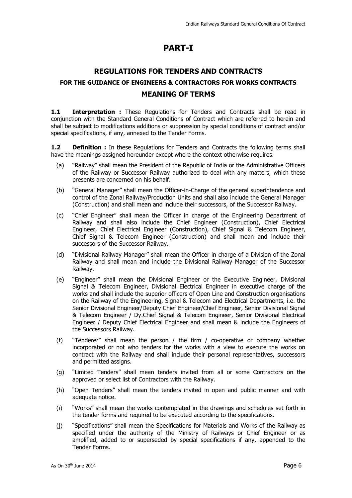### **PART-I**

### **REGULATIONS FOR TENDERS AND CONTRACTS FOR THE GUIDANCE OF ENGINEERS & CONTRACTORS FOR WORKS CONTRACTS MEANING OF TERMS**

1.1 **Interpretation :** These Regulations for Tenders and Contracts shall be read in conjunction with the Standard General Conditions of Contract which are referred to herein and shall be subject to modifications additions or suppression by special conditions of contract and/or special specifications, if any, annexed to the Tender Forms.

**1.2 Definition :** In these Regulations for Tenders and Contracts the following terms shall have the meanings assigned hereunder except where the context otherwise requires.

- (a) "Railway" shall mean the President of the Republic of India or the Administrative Officers of the Railway or Successor Railway authorized to deal with any matters, which these presents are concerned on his behalf.
- (b) "General Manager" shall mean the Officer-in-Charge of the general superintendence and control of the Zonal Railway/Production Units and shall also include the General Manager (Construction) and shall mean and include their successors, of the Successor Railway.
- (c) "Chief Engineer" shall mean the Officer in charge of the Engineering Department of Railway and shall also include the Chief Engineer (Construction), Chief Electrical Engineer, Chief Electrical Engineer (Construction), Chief Signal & Telecom Engineer, Chief Signal & Telecom Engineer (Construction) and shall mean and include their successors of the Successor Railway.
- (d) "Divisional Railway Manager" shall mean the Officer in charge of a Division of the Zonal Railway and shall mean and include the Divisional Railway Manager of the Successor Railway.
- (e) "Engineer" shall mean the Divisional Engineer or the Executive Engineer, Divisional Signal & Telecom Engineer, Divisional Electrical Engineer in executive charge of the works and shall include the superior officers of Open Line and Construction organisations on the Railway of the Engineering, Signal & Telecom and Electrical Departments, i.e. the Senior Divisional Engineer/Deputy Chief Engineer/Chief Engineer, Senior Divisional Signal & Telecom Engineer / Dy.Chief Signal & Telecom Engineer, Senior Divisional Electrical Engineer / Deputy Chief Electrical Engineer and shall mean & include the Engineers of the Successors Railway.
- (f) "Tenderer" shall mean the person / the firm / co-operative or company whether incorporated or not who tenders for the works with a view to execute the works on contract with the Railway and shall include their personal representatives, successors and permitted assigns.
- (g) "Limited Tenders" shall mean tenders invited from all or some Contractors on the approved or select list of Contractors with the Railway.
- (h) "Open Tenders" shall mean the tenders invited in open and public manner and with adequate notice.
- (i) "Works" shall mean the works contemplated in the drawings and schedules set forth in the tender forms and required to be executed according to the specifications.
- (j) "Specifications" shall mean the Specifications for Materials and Works of the Railway as specified under the authority of the Ministry of Railways or Chief Engineer or as amplified, added to or superseded by special specifications if any, appended to the Tender Forms.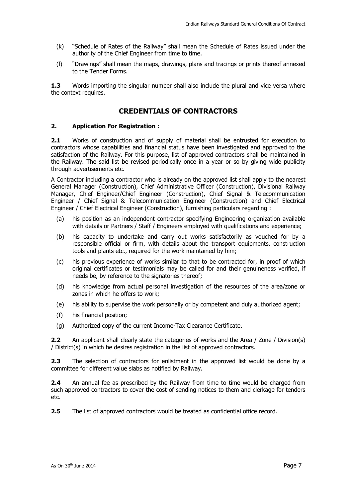- (k) "Schedule of Rates of the Railway" shall mean the Schedule of Rates issued under the authority of the Chief Engineer from time to time.
- (l) "Drawings" shall mean the maps, drawings, plans and tracings or prints thereof annexed to the Tender Forms.

**1.3** Words importing the singular number shall also include the plural and vice versa where the context requires.

### **CREDENTIALS OF CONTRACTORS**

#### **2. Application For Registration :**

**2.1** Works of construction and of supply of material shall be entrusted for execution to contractors whose capabilities and financial status have been investigated and approved to the satisfaction of the Railway. For this purpose, list of approved contractors shall be maintained in the Railway. The said list be revised periodically once in a year or so by giving wide publicity through advertisements etc.

A Contractor including a contractor who is already on the approved list shall apply to the nearest General Manager (Construction), Chief Administrative Officer (Construction), Divisional Railway Manager, Chief Engineer/Chief Engineer (Construction), Chief Signal & Telecommunication Engineer / Chief Signal & Telecommunication Engineer (Construction) and Chief Electrical Engineer / Chief Electrical Engineer (Construction), furnishing particulars regarding :

- (a) his position as an independent contractor specifying Engineering organization available with details or Partners / Staff / Engineers employed with qualifications and experience:
- (b) his capacity to undertake and carry out works satisfactorily as vouched for by a responsible official or firm, with details about the transport equipments, construction tools and plants etc., required for the work maintained by him;
- (c) his previous experience of works similar to that to be contracted for, in proof of which original certificates or testimonials may be called for and their genuineness verified, if needs be, by reference to the signatories thereof;
- (d) his knowledge from actual personal investigation of the resources of the area/zone or zones in which he offers to work;
- (e) his ability to supervise the work personally or by competent and duly authorized agent;
- (f) his financial position;
- (g) Authorized copy of the current Income-Tax Clearance Certificate.

**2.2** An applicant shall clearly state the categories of works and the Area / Zone / Division(s) / District(s) in which he desires registration in the list of approved contractors.

**2.3** The selection of contractors for enlistment in the approved list would be done by a committee for different value slabs as notified by Railway.

**2.4** An annual fee as prescribed by the Railway from time to time would be charged from such approved contractors to cover the cost of sending notices to them and clerkage for tenders etc.

**2.5** The list of approved contractors would be treated as confidential office record.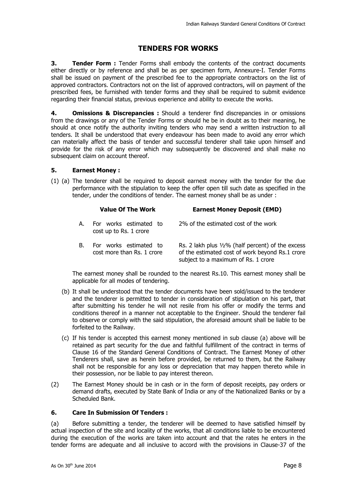### **TENDERS FOR WORKS**

**3. Tender Form :** Tender Forms shall embody the contents of the contract documents either directly or by reference and shall be as per specimen form, Annexure-I. Tender Forms shall be issued on payment of the prescribed fee to the appropriate contractors on the list of approved contractors. Contractors not on the list of approved contractors, will on payment of the prescribed fees, be furnished with tender forms and they shall be required to submit evidence regarding their financial status, previous experience and ability to execute the works.

**4. Omissions & Discrepancies :** Should a tenderer find discrepancies in or omissions from the drawings or any of the Tender Forms or should he be in doubt as to their meaning, he should at once notify the authority inviting tenders who may send a written instruction to all tenders. It shall be understood that every endeavour has been made to avoid any error which can materially affect the basis of tender and successful tenderer shall take upon himself and provide for the risk of any error which may subsequently be discovered and shall make no subsequent claim on account thereof.

#### **5. Earnest Money :**

(1) (a) The tenderer shall be required to deposit earnest money with the tender for the due performance with the stipulation to keep the offer open till such date as specified in the tender, under the conditions of tender. The earnest money shall be as under :

#### **Value Of The Work Earnest Money Deposit (EMD)**

| A. For works estimated to | 2% of the estimated cost of the work |
|---------------------------|--------------------------------------|
| cost up to Rs. 1 crore    |                                      |
|                           |                                      |

B. For works estimated to cost more than Rs. 1 crore Rs. 2 lakh plus ½% (half percent) of the excess of the estimated cost of work beyond Rs.1 crore subject to a maximum of Rs. 1 crore

The earnest money shall be rounded to the nearest Rs.10. This earnest money shall be applicable for all modes of tendering.

- (b) It shall be understood that the tender documents have been sold/issued to the tenderer and the tenderer is permitted to tender in consideration of stipulation on his part, that after submitting his tender he will not resile from his offer or modify the terms and conditions thereof in a manner not acceptable to the Engineer. Should the tenderer fail to observe or comply with the said stipulation, the aforesaid amount shall be liable to be forfeited to the Railway.
- (c) If his tender is accepted this earnest money mentioned in sub clause (a) above will be retained as part security for the due and faithful fulfillment of the contract in terms of Clause 16 of the Standard General Conditions of Contract. The Earnest Money of other Tenderers shall, save as herein before provided, be returned to them, but the Railway shall not be responsible for any loss or depreciation that may happen thereto while in their possession, nor be liable to pay interest thereon.
- (2) The Earnest Money should be in cash or in the form of deposit receipts, pay orders or demand drafts, executed by State Bank of India or any of the Nationalized Banks or by a Scheduled Bank.

#### **6. Care In Submission Of Tenders :**

(a) Before submitting a tender, the tenderer will be deemed to have satisfied himself by actual inspection of the site and locality of the works, that all conditions liable to be encountered during the execution of the works are taken into account and that the rates he enters in the tender forms are adequate and all inclusive to accord with the provisions in Clause-37 of the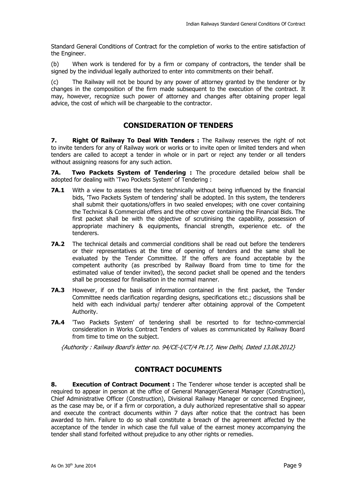Standard General Conditions of Contract for the completion of works to the entire satisfaction of the Engineer.

(b) When work is tendered for by a firm or company of contractors, the tender shall be signed by the individual legally authorized to enter into commitments on their behalf.

(c) The Railway will not be bound by any power of attorney granted by the tenderer or by changes in the composition of the firm made subsequent to the execution of the contract. It may, however, recognize such power of attorney and changes after obtaining proper legal advice, the cost of which will be chargeable to the contractor.

### **CONSIDERATION OF TENDERS**

**7. Right Of Railway To Deal With Tenders :** The Railway reserves the right of not to invite tenders for any of Railway work or works or to invite open or limited tenders and when tenders are called to accept a tender in whole or in part or reject any tender or all tenders without assigning reasons for any such action.

**7A. Two Packets System of Tendering :** The procedure detailed below shall be adopted for dealing with 'Two Pockets System' of Tendering :

- **7A.1** With a view to assess the tenders technically without being influenced by the financial bids, 'Two Packets System of tendering' shall be adopted. In this system, the tenderers shall submit their quotations/offers in two sealed envelopes; with one cover containing the Technical & Commercial offers and the other cover containing the Financial Bids. The first packet shall be with the objective of scrutinising the capability, possession of appropriate machinery & equipments, financial strength, experience etc. of the tenderers.
- **7A.2** The technical details and commercial conditions shall be read out before the tenderers or their representatives at the time of opening of tenders and the same shall be evaluated by the Tender Committee. If the offers are found acceptable by the competent authority (as prescribed by Railway Board from time to time for the estimated value of tender invited), the second packet shall be opened and the tenders shall be processed for finalisation in the normal manner.
- **7A.3** However, if on the basis of information contained in the first packet, the Tender Committee needs clarification regarding designs, specifications etc.; discussions shall be held with each individual party/ tenderer after obtaining approval of the Competent Authority.
- **7A.4** 'Two Packets System' of tendering shall be resorted to for techno-commercial consideration in Works Contract Tenders of values as communicated by Railway Board from time to time on the subject.

{Authority : Railway Board's letter no. 94/CE-I/CT/4 Pt.17, New Delhi, Dated 13.08.2012}

### **CONTRACT DOCUMENTS**

**8. Execution of Contract Document :** The Tenderer whose tender is accepted shall be required to appear in person at the office of General Manager/General Manager (Construction), Chief Administrative Officer (Construction), Divisional Railway Manager or concerned Engineer, as the case may be, or if a firm or corporation, a duly authorized representative shall so appear and execute the contract documents within 7 days after notice that the contract has been awarded to him. Failure to do so shall constitute a breach of the agreement affected by the acceptance of the tender in which case the full value of the earnest money accompanying the tender shall stand forfeited without prejudice to any other rights or remedies.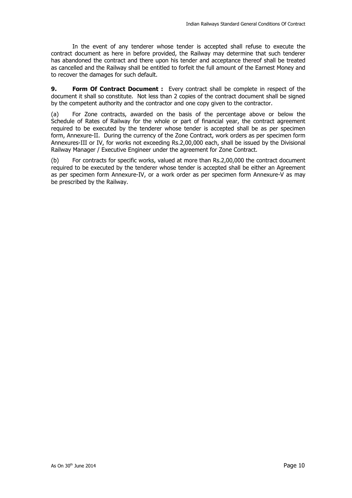In the event of any tenderer whose tender is accepted shall refuse to execute the contract document as here in before provided, the Railway may determine that such tenderer has abandoned the contract and there upon his tender and acceptance thereof shall be treated as cancelled and the Railway shall be entitled to forfeit the full amount of the Earnest Money and to recover the damages for such default.

**9. Form Of Contract Document :** Every contract shall be complete in respect of the document it shall so constitute. Not less than 2 copies of the contract document shall be signed by the competent authority and the contractor and one copy given to the contractor.

(a) For Zone contracts, awarded on the basis of the percentage above or below the Schedule of Rates of Railway for the whole or part of financial year, the contract agreement required to be executed by the tenderer whose tender is accepted shall be as per specimen form, Annexure-II. During the currency of the Zone Contract, work orders as per specimen form Annexures-III or IV, for works not exceeding Rs.2,00,000 each, shall be issued by the Divisional Railway Manager / Executive Engineer under the agreement for Zone Contract.

(b) For contracts for specific works, valued at more than Rs.2,00,000 the contract document required to be executed by the tenderer whose tender is accepted shall be either an Agreement as per specimen form Annexure-IV, or a work order as per specimen form Annexure-V as may be prescribed by the Railway.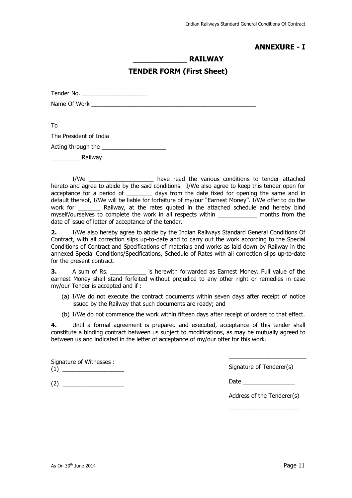### **ANNEXURE - I**

### **\_\_\_\_\_\_\_\_\_\_\_\_ RAILWAY**

#### **TENDER FORM (First Sheet)**

Tender No.

Name Of Work **Example 20** Normal control of  $\mathcal{N}$  and  $\mathcal{N}$  and  $\mathcal{N}$  and  $\mathcal{N}$  and  $\mathcal{N}$  and  $\mathcal{N}$  and  $\mathcal{N}$  are  $\mathcal{N}$  and  $\mathcal{N}$  and  $\mathcal{N}$  are  $\mathcal{N}$  and  $\mathcal{N}$  are  $\mathcal{N}$  and  $\mathcal{N}$ 

To

The President of India

Acting through the **EXECUTE 10** 

Railway

I/We \_\_\_\_\_\_\_\_\_\_\_\_\_\_\_\_\_\_\_\_ have read the various conditions to tender attached hereto and agree to abide by the said conditions. I/We also agree to keep this tender open for acceptance for a period of \_\_\_\_\_\_\_\_\_ days from the date fixed for opening the same and in default thereof, I/We will be liable for forfeiture of my/our "Earnest Money". I/We offer to do the work for \_\_\_\_\_\_\_ Railway, at the rates quoted in the attached schedule and hereby bind myself/ourselves to complete the work in all respects within \_\_\_\_\_\_\_\_\_\_\_\_ months from the date of issue of letter of acceptance of the tender.

**2.** I/We also hereby agree to abide by the Indian Railways Standard General Conditions Of Contract, with all correction slips up-to-date and to carry out the work according to the Special Conditions of Contract and Specifications of materials and works as laid down by Railway in the annexed Special Conditions/Specifications, Schedule of Rates with all correction slips up-to-date for the present contract.

**3.** A sum of Rs. *n* is herewith forwarded as Earnest Money. Full value of the earnest Money shall stand forfeited without prejudice to any other right or remedies in case my/our Tender is accepted and if :

- (a) I/We do not execute the contract documents within seven days after receipt of notice issued by the Railway that such documents are ready; and
- (b) I/We do not commence the work within fifteen days after receipt of orders to that effect.

**4.** Until a formal agreement is prepared and executed, acceptance of this tender shall constitute a binding contract between us subject to modifications, as may be mutually agreed to between us and indicated in the letter of acceptance of my/our offer for this work.

Signature of Witnesses :  $(1)$ 

Signature of Tenderer(s)

\_\_\_\_\_\_\_\_\_\_\_\_\_\_\_\_\_\_\_\_\_\_\_\_

Date  $\Box$ 

Address of the Tenderer(s) \_\_\_\_\_\_\_\_\_\_\_\_\_\_\_\_\_\_\_\_\_\_

(2) \_\_\_\_\_\_\_\_\_\_\_\_\_\_\_\_\_\_\_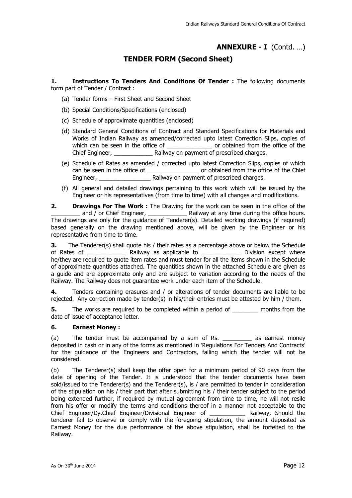### **ANNEXURE - I** (Contd. …)

### **TENDER FORM (Second Sheet)**

**1. Instructions To Tenders And Conditions Of Tender :** The following documents form part of Tender / Contract :

- (a) Tender forms First Sheet and Second Sheet
- (b) Special Conditions/Specifications (enclosed)
- (c) Schedule of approximate quantities (enclosed)
- (d) Standard General Conditions of Contract and Standard Specifications for Materials and Works of Indian Railway as amended/corrected upto latest Correction Slips, copies of which can be seen in the office of \_\_\_\_\_\_\_\_\_\_\_\_\_\_\_\_\_\_\_ or obtained from the office of the Chief Engineer, **Engineer**, **Railway on payment of prescribed charges.**
- (e) Schedule of Rates as amended / corrected upto latest Correction Slips, copies of which can be seen in the office of \_\_\_\_\_\_\_\_\_\_\_\_\_\_\_\_\_\_\_\_\_ or obtained from the office of the Chief Engineer, **Engineer**, **Engineer**, **Engineer**, **Engineer**, **Engineer**, **Engineer**, **Engineer**, **Engineer**, **Engineer**, **Engineer**, **Engineer**, **Engineer**, **Engineer**, **Engineer**, **Engineer**, **Engineer**, **Engineer**, **Enginee**
- (f) All general and detailed drawings pertaining to this work which will be issued by the Engineer or his representatives (from time to time) with all changes and modifications.

**2. Drawings For The Work :** The Drawing for the work can be seen in the office of the \_ and / or Chief Engineer, \_\_\_\_\_\_\_\_\_\_\_\_\_\_\_\_\_ Railway at any time during the office hours. The drawings are only for the guidance of Tenderer(s). Detailed working drawings (if required) based generally on the drawing mentioned above, will be given by the Engineer or his representative from time to time.

**3.** The Tenderer(s) shall quote his / their rates as a percentage above or below the Schedule of Rates of \_\_\_\_\_\_\_\_\_\_\_\_\_\_\_\_ Railway as applicable to \_\_\_\_\_\_\_\_\_\_\_\_\_\_\_\_ Division except where he/they are required to quote item rates and must tender for all the items shown in the Schedule of approximate quantities attached. The quantities shown in the attached Schedule are given as a guide and are approximate only and are subject to variation according to the needs of the Railway. The Railway does not guarantee work under each item of the Schedule.

**4.** Tenders containing erasures and / or alterations of tender documents are liable to be rejected. Any correction made by tender(s) in his/their entries must be attested by him / them.

**5.** The works are required to be completed within a period of \_\_\_\_\_\_\_\_ months from the date of issue of acceptance letter.

#### **6. Earnest Money :**

(a) The tender must be accompanied by a sum of Rs. \_\_\_\_\_\_\_\_ as earnest money deposited in cash or in any of the forms as mentioned in 'Regulations For Tenders And Contracts' for the guidance of the Engineers and Contractors, failing which the tender will not be considered.

(b) The Tenderer(s) shall keep the offer open for a minimum period of 90 days from the date of opening of the Tender. It is understood that the tender documents have been sold/issued to the Tenderer(s) and the Tenderer(s), is / are permitted to tender in consideration of the stipulation on his / their part that after submitting his / their tender subject to the period being extended further, if required by mutual agreement from time to time, he will not resile from his offer or modify the terms and conditions thereof in a manner not acceptable to the Chief Engineer/Dy.Chief Engineer/Divisional Engineer of \_\_\_\_\_\_\_\_\_\_\_ Railway, Should the tenderer fail to observe or comply with the foregoing stipulation, the amount deposited as Earnest Money for the due performance of the above stipulation, shall be forfeited to the Railway.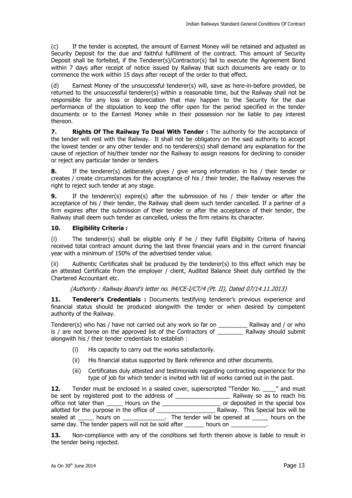(c) If the tender is accepted, the amount of Earnest Money will be retained and adjusted as Security Deposit for the due and faithful fulfillment of the contract. This amount of Security Deposit shall be forfeited, if the Tenderer(s)/Contractor(s) fail to execute the Agreement Bond within 7 days after receipt of notice issued by Railway that such documents are ready or to commence the work within 15 days after receipt of the order to that effect.

(d) Earnest Money of the unsuccessful tenderer(s) will, save as here-in-before provided, be returned to the unsuccessful tenderer(s) within a reasonable time, but the Railway shall not be responsible for any loss or depreciation that may happen to the Security for the due performance of the stipulation to keep the offer open for the period specified in the tender documents or to the Earnest Money while in their possession nor be liable to pay interest thereon.

**7.** Rights Of The Railway To Deal With Tender: The authority for the acceptance of the tender will rest with the Railway. It shall not be obligatory on the said authority to accept the lowest tender or any other tender and no tenderers(s) shall demand any explanation for the cause of rejection of his/their tender nor the Railway to assign reasons for declining to consider or reject any particular tender or tenders.

**8.** If the tenderer(s) deliberately gives / give wrong information in his / their tender or creates / create circumstances for the acceptance of his / their tender, the Railway reserves the right to reject such tender at any stage.

**9.** If the tenderer(s) expire(s) after the submission of his / their tender or after the acceptance of his / their tender, the Railway shall deem such tender cancelled. If a partner of a firm expires after the submission of their tender or after the acceptance of their tender, the Railway shall deem such tender as cancelled, unless the firm retains its character.

#### **10. Eligibility Criteria :**

(i) The tenderer(s) shall be eligible only if he / they fulfill Eligibility Criteria of having received total contract amount during the last three financial years and in the current financial year with a minimum of 150% of the advertised tender value.

(ii) Authentic Certificates shall be produced by the tenderer(s) to this effect which may be an attested Certificate from the employer / client, Audited Balance Sheet duly certified by the Chartered Accountant etc.

{Authority : Railway Board's letter no. 94/CE-I/CT/4 (Pt. II), Dated 07/14.11.2013}

**11.** Tenderer's Credentials : Documents testifying tenderer's previous experience and financial status should be produced alongwith the tender or when desired by competent authority of the Railway.

Tenderer(s) who has / have not carried out any work so far on \_\_\_\_\_\_\_\_\_ Railway and / or who is / are not borne on the approved list of the Contractors of \_\_\_\_\_\_\_\_ Railway should submit alongwith his / their tender credentials to establish :

- (i) His capacity to carry out the works satisfactorily.
- (ii) His financial status supported by Bank reference and other documents.
- (iii) Certificates duly attested and testimonials regarding contracting experience for the type of job for which tender is invited with list of works carried out in the past.

**12.** Tender must be enclosed in a sealed cover, superscripted "Tender No. \_\_\_\_" and must be sent by registered post to the address of \_\_\_\_\_\_\_\_\_\_\_\_\_\_\_\_\_ Railway so as to reach his office not later than \_\_\_\_\_ Hours on the \_\_\_\_\_\_\_\_\_\_\_\_\_\_\_\_\_\_ or deposited in the special box allotted for the purpose in the office of \_\_\_\_\_\_\_\_\_\_\_\_\_\_\_\_\_\_ Railway. This Special box will be sealed at \_\_\_\_\_\_ hours on \_\_\_\_\_\_\_\_\_\_\_\_\_\_. The tender will be opened at \_\_\_\_\_\_ hours on the same day. The tender papers will not be sold after hours on

**13.** Non-compliance with any of the conditions set forth therein above is liable to result in the tender being rejected.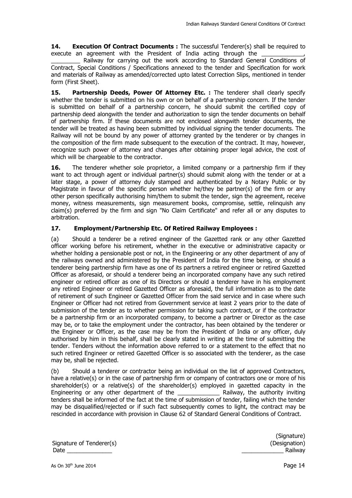**14. Execution Of Contract Documents :** The successful Tenderer(s) shall be required to execute an agreement with the President of India acting through the

\_\_\_\_\_\_\_\_\_ Railway for carrying out the work according to Standard General Conditions of Contract, Special Conditions / Specifications annexed to the tender and Specification for work and materials of Railway as amended/corrected upto latest Correction Slips, mentioned in tender form (First Sheet).

**15. Partnership Deeds, Power Of Attorney Etc. :** The tenderer shall clearly specify whether the tender is submitted on his own or on behalf of a partnership concern. If the tender is submitted on behalf of a partnership concern, he should submit the certified copy of partnership deed alongwith the tender and authorization to sign the tender documents on behalf of partnership firm. If these documents are not enclosed alongwith tender documents, the tender will be treated as having been submitted by individual signing the tender documents. The Railway will not be bound by any power of attorney granted by the tenderer or by changes in the composition of the firm made subsequent to the execution of the contract. It may, however, recognize such power of attorney and changes after obtaining proper legal advice, the cost of which will be chargeable to the contractor.

**16.** The tenderer whether sole proprietor, a limited company or a partnership firm if they want to act through agent or individual partner(s) should submit along with the tender or at a later stage, a power of attorney duly stamped and authenticated by a Notary Public or by Magistrate in favour of the specific person whether he/they be partner(s) of the firm or any other person specifically authorising him/them to submit the tender, sign the agreement, receive money, witness measurements, sign measurement books, compromise, settle, relinquish any claim(s) preferred by the firm and sign "No Claim Certificate" and refer all or any disputes to arbitration.

#### **17. Employment/Partnership Etc. Of Retired Railway Employees :**

(a) Should a tenderer be a retired engineer of the Gazetted rank or any other Gazetted officer working before his retirement, whether in the executive or administrative capacity or whether holding a pensionable post or not, in the Engineering or any other department of any of the railways owned and administered by the President of India for the time being, or should a tenderer being partnership firm have as one of its partners a retired engineer or retired Gazetted Officer as aforesaid, or should a tenderer being an incorporated company have any such retired engineer or retired officer as one of its Directors or should a tenderer have in his employment any retired Engineer or retired Gazetted Officer as aforesaid, the full information as to the date of retirement of such Engineer or Gazetted Officer from the said service and in case where such Engineer or Officer had not retired from Government service at least 2 years prior to the date of submission of the tender as to whether permission for taking such contract, or if the contractor be a partnership firm or an incorporated company, to become a partner or Director as the case may be, or to take the employment under the contractor, has been obtained by the tenderer or the Engineer or Officer, as the case may be from the President of India or any officer, duly authorised by him in this behalf, shall be clearly stated in writing at the time of submitting the tender. Tenders without the information above referred to or a statement to the effect that no such retired Engineer or retired Gazetted Officer is so associated with the tenderer, as the case may be, shall be rejected.

(b) Should a tenderer or contractor being an individual on the list of approved Contractors, have a relative(s) or in the case of partnership firm or company of contractors one or more of his shareholder(s) or a relative(s) of the shareholder(s) employed in gazetted capacity in the Engineering or any other department of the **Engineering** Railway, the authority inviting tenders shall be informed of the fact at the time of submission of tender, failing which the tender may be disqualified/rejected or if such fact subsequently comes to light, the contract may be rescinded in accordance with provision in Clause 62 of Standard General Conditions of Contract.

Signature of Tenderer(s) and the state of Signature of Tenderer(s) and the state of  $\Gamma$ Date \_\_\_\_\_\_\_\_\_\_\_\_\_\_ \_\_\_\_\_\_\_\_\_\_\_\_\_ Railway

(Signature)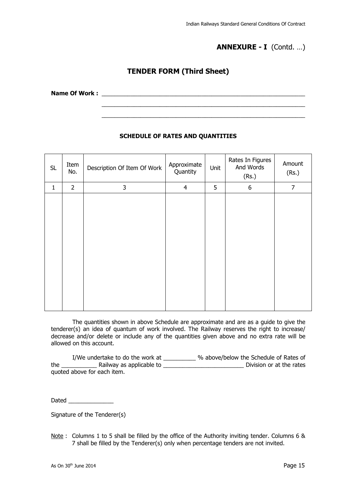### **ANNEXURE - I** (Contd. …)

### **TENDER FORM (Third Sheet)**

 $\overline{\phantom{a}...}$  ,  $\overline{\phantom{a}...}$  ,  $\overline{\phantom{a}...}$  ,  $\overline{\phantom{a}...}$  ,  $\overline{\phantom{a}...}$  ,  $\overline{\phantom{a}...}$  ,  $\overline{\phantom{a}...}$  ,  $\overline{\phantom{a}...}$  ,  $\overline{\phantom{a}...}$  ,  $\overline{\phantom{a}...}$  ,  $\overline{\phantom{a}...}$  ,  $\overline{\phantom{a}...}$  ,  $\overline{\phantom{a}...}$  ,  $\overline{\phantom{a}...}$  $\overline{\phantom{a}}$  , and the contribution of the contribution of the contribution of the contribution of the contribution of the contribution of the contribution of the contribution of the contribution of the contribution of the

Name Of Work :

#### **SCHEDULE OF RATES AND QUANTITIES**

| <b>SL</b>    | Item<br>No.    | Description Of Item Of Work | Approximate<br>Quantity | Unit | Rates In Figures<br>And Words<br>(Rs.) | Amount<br>(Rs.) |
|--------------|----------------|-----------------------------|-------------------------|------|----------------------------------------|-----------------|
| $\mathbf{1}$ | $\overline{2}$ | 3                           | $\overline{4}$          | 5    | 6                                      | $\overline{7}$  |
|              |                |                             |                         |      |                                        |                 |

The quantities shown in above Schedule are approximate and are as a guide to give the tenderer(s) an idea of quantum of work involved. The Railway reserves the right to increase/ decrease and/or delete or include any of the quantities given above and no extra rate will be allowed on this account.

I/We undertake to do the work at \_\_\_\_\_\_\_\_\_\_ % above/below the Schedule of Rates of the The Railway as applicable to the Railway as applicable to the rates Division or at the rates quoted above for each item.

Dated **and** 

Signature of the Tenderer(s)

Note : Columns 1 to 5 shall be filled by the office of the Authority inviting tender. Columns 6 & 7 shall be filled by the Tenderer(s) only when percentage tenders are not invited.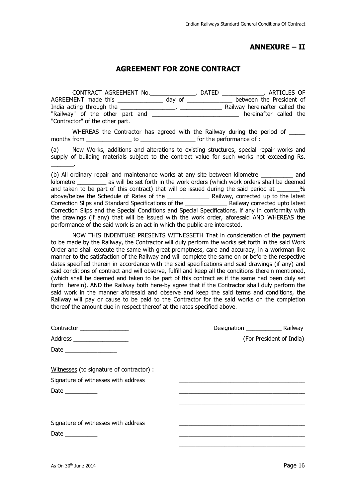### **ANNEXURE – II**

### **AGREEMENT FOR ZONE CONTRACT**

| CONTRACT AGREEMENT No.          |                                                                                                                | DATED | . ARTICLES OF<br><u> 1989 - Andre Stadt Brande</u> |
|---------------------------------|----------------------------------------------------------------------------------------------------------------|-------|----------------------------------------------------|
| AGREEMENT made this             | day of the control of the control of the control of the control of the control of the control of the control o |       | between the President of                           |
|                                 |                                                                                                                |       | Railway hereinafter called the                     |
| "Railway" of the other part and |                                                                                                                |       | hereinafter called the                             |
| "Contractor" of the other part. |                                                                                                                |       |                                                    |

WHEREAS the Contractor has agreed with the Railway during the period of months from the new to the performance of :

(a) New Works, additions and alterations to existing structures, special repair works and supply of building materials subject to the contract value for such works not exceeding Rs. \_\_\_\_\_\_\_.

(b) All ordinary repair and maintenance works at any site between kilometre \_\_\_\_\_\_\_\_\_\_ and kilometre as will be set forth in the work orders (which work orders shall be deemed and taken to be part of this contract) that will be issued during the said period at  $\%$ above/below the Schedule of Rates of the \_\_\_\_\_\_\_\_\_\_\_\_\_ Railway, corrected up to the latest Correction Slips and Standard Specifications of the \_\_\_\_\_\_\_\_\_\_\_\_\_ Railway corrected upto latest Correction Slips and the Special Conditions and Special Specifications, if any in conformity with the drawings (if any) that will be issued with the work order, aforesaid AND WHEREAS the performance of the said work is an act in which the public are interested.

NOW THIS INDENTURE PRESENTS WITNESSETH That in consideration of the payment to be made by the Railway, the Contractor will duly perform the works set forth in the said Work Order and shall execute the same with great promptness, care and accuracy, in a workman like manner to the satisfaction of the Railway and will complete the same on or before the respective dates specified therein in accordance with the said specifications and said drawings (if any) and said conditions of contract and will observe, fulfill and keep all the conditions therein mentioned, (which shall be deemed and taken to be part of this contract as if the same had been duly set forth herein), AND the Railway both here-by agree that if the Contractor shall duly perform the said work in the manner aforesaid and observe and keep the said terms and conditions, the Railway will pay or cause to be paid to the Contractor for the said works on the completion thereof the amount due in respect thereof at the rates specified above.

| Contractor ________________              |                          |
|------------------------------------------|--------------------------|
| Address ____________________             | (For President of India) |
|                                          |                          |
|                                          |                          |
| Witnesses (to signature of contractor) : |                          |
| Signature of witnesses with address      |                          |
|                                          |                          |
|                                          |                          |
|                                          |                          |
| Signature of witnesses with address      |                          |
| Date $\_\_$                              |                          |
|                                          |                          |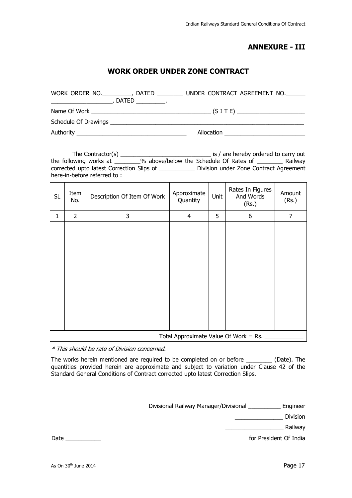### **ANNEXURE - III**

### **WORK ORDER UNDER ZONE CONTRACT**

| WORK ORDER NO.                                    | <b>DATED</b><br>DATED _____________. | UNDER CONTRACT AGREEMENT NO. |  |
|---------------------------------------------------|--------------------------------------|------------------------------|--|
|                                                   |                                      |                              |  |
| Schedule Of Drawings and the Schedule Of Drawings |                                      |                              |  |
|                                                   |                                      | Allocation                   |  |

| The Contractor(s)                         |                                        |  | is / are hereby ordered to carry out   |         |
|-------------------------------------------|----------------------------------------|--|----------------------------------------|---------|
| the following works at                    | % above/below the Schedule Of Rates of |  |                                        | Railway |
| corrected upto latest Correction Slips of |                                        |  | Division under Zone Contract Agreement |         |
| here-in-before referred to:               |                                        |  |                                        |         |

| <b>SL</b>                             | Item<br>No.    | Description Of Item Of Work | Approximate<br>Quantity | Unit | Rates In Figures<br>And Words<br>(Rs.) | Amount<br>(Rs.) |
|---------------------------------------|----------------|-----------------------------|-------------------------|------|----------------------------------------|-----------------|
| $\mathbf{1}$                          | $\overline{2}$ | 3                           | $\overline{4}$          | 5    | 6                                      | 7               |
|                                       |                |                             |                         |      |                                        |                 |
| Total Approximate Value Of Work = Rs. |                |                             |                         |      |                                        |                 |

\* This should be rate of Division concerned.

The works herein mentioned are required to be completed on or before \_\_\_\_\_\_\_\_ (Date). The quantities provided herein are approximate and subject to variation under Clause 42 of the Standard General Conditions of Contract corrected upto latest Correction Slips.

Divisional Railway Manager/Divisional \_\_\_\_\_\_\_\_\_\_ Engineer

\_\_\_\_\_\_\_\_\_\_\_\_\_\_\_ Division

\_\_\_\_\_\_\_\_\_\_\_\_\_\_\_\_\_\_ Railway

Date \_\_\_\_\_\_\_\_\_\_\_ for President Of India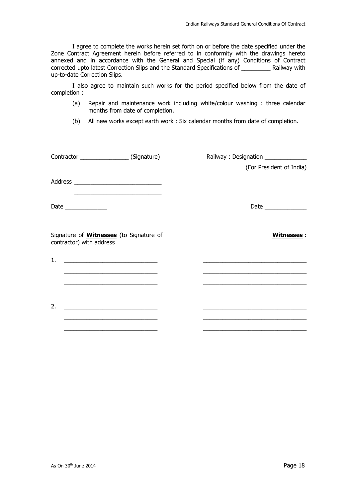I agree to complete the works herein set forth on or before the date specified under the Zone Contract Agreement herein before referred to in conformity with the drawings hereto annexed and in accordance with the General and Special (if any) Conditions of Contract corrected upto latest Correction Slips and the Standard Specifications of \_\_\_\_\_\_\_\_\_ Railway with up-to-date Correction Slips.

I also agree to maintain such works for the period specified below from the date of completion :

- (a) Repair and maintenance work including white/colour washing : three calendar months from date of completion.
- (b) All new works except earth work : Six calendar months from date of completion.

|                                                                                                                      |  | Railway: Designation ______________                                                                                    |  |  |
|----------------------------------------------------------------------------------------------------------------------|--|------------------------------------------------------------------------------------------------------------------------|--|--|
|                                                                                                                      |  | (For President of India)                                                                                               |  |  |
|                                                                                                                      |  |                                                                                                                        |  |  |
| <u> 1989 - Johann Barbara, martin amerikan basal dan berasal dan berasal dalam basal dan berasal dan berasal dan</u> |  |                                                                                                                        |  |  |
| Signature of <b>Witnesses</b> (to Signature of<br>contractor) with address                                           |  | <b>Witnesses:</b>                                                                                                      |  |  |
| 1.<br><u> 1989 - Jan Barbara Barbara, política española (h. 1918).</u>                                               |  |                                                                                                                        |  |  |
|                                                                                                                      |  |                                                                                                                        |  |  |
| <u> 1989 - Johann Stoff, amerikansk politiker (d. 1989)</u>                                                          |  | <u> 1989 - Johann John Stone, mars et al. 1989 - John Stone, mars et al. 1989 - John Stone, mars et al. 1989 - Joh</u> |  |  |
| 2.                                                                                                                   |  |                                                                                                                        |  |  |
| <u> 1980 - Johann Barnett, fransk politik (d. 1980)</u>                                                              |  | <u> 1989 - Johann Stein, mars an deutscher Stein und der Stein und der Stein und der Stein und der Stein und der</u>   |  |  |
|                                                                                                                      |  |                                                                                                                        |  |  |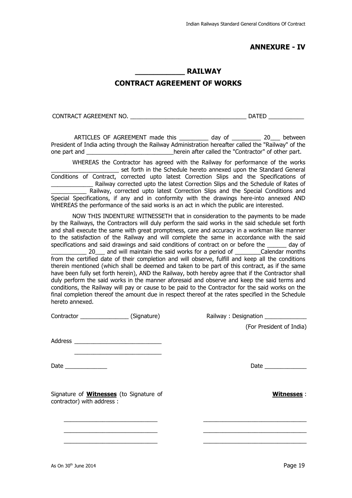### **ANNEXURE - IV**

#### **\_\_\_\_\_\_\_\_\_\_\_ RAILWAY**

### **CONTRACT AGREEMENT OF WORKS**

CONTRACT AGREEMENT NO. \_\_\_\_\_\_\_\_\_\_\_\_\_\_\_\_\_\_\_\_\_\_\_\_\_\_\_\_\_\_\_\_\_\_\_\_ DATED \_\_\_\_\_\_\_\_\_\_\_

ARTICLES OF AGREEMENT made this day of  $\qquad 20$  between President of India acting through the Railway Administration hereafter called the "Railway" of the one part and \_\_\_\_\_\_\_\_\_\_\_\_\_\_\_\_\_\_\_\_\_\_\_\_\_\_\_\_\_\_\_herein after called the "Contractor" of other part.

WHEREAS the Contractor has agreed with the Railway for performance of the works \_\_\_\_\_\_\_\_\_\_\_\_\_\_\_\_\_\_\_\_\_ set forth in the Schedule hereto annexed upon the Standard General Conditions of Contract, corrected upto latest Correction Slips and the Specifications of \_\_\_\_\_\_\_\_\_\_\_\_\_ Railway corrected upto the latest Correction Slips and the Schedule of Rates of Railway, corrected upto latest Correction Slips and the Special Conditions and Special Specifications, if any and in conformity with the drawings here-into annexed AND WHEREAS the performance of the said works is an act in which the public are interested.

NOW THIS INDENTURE WITNESSETH that in consideration to the payments to be made by the Railways, the Contractors will duly perform the said works in the said schedule set forth and shall execute the same with great promptness, care and accuracy in a workman like manner to the satisfaction of the Railway and will complete the same in accordance with the said specifications and said drawings and said conditions of contract on or before the day of \_\_\_\_\_\_\_\_\_\_\_ 20\_\_\_ and will maintain the said works for a period of \_\_\_\_\_\_\_\_Calendar months from the certified date of their completion and will observe, fulfill and keep all the conditions therein mentioned (which shall be deemed and taken to be part of this contract, as if the same have been fully set forth herein), AND the Railway, both hereby agree that if the Contractor shall duly perform the said works in the manner aforesaid and observe and keep the said terms and conditions, the Railway will pay or cause to be paid to the Contractor for the said works on the final completion thereof the amount due in respect thereof at the rates specified in the Schedule hereto annexed.

Contractor \_\_\_\_\_\_\_\_\_\_\_\_\_\_\_ (Signature) Railway : Designation \_\_\_\_\_\_\_\_\_\_\_\_\_

Address **and a set of the set of the set of the set of the set of the set of the set of the set of the set of the set of the set of the set of the set of the set of the set of the set of the set of the set of the set of th** 

 $\frac{1}{\sqrt{2}}$  ,  $\frac{1}{\sqrt{2}}$  ,  $\frac{1}{\sqrt{2}}$  ,  $\frac{1}{\sqrt{2}}$  ,  $\frac{1}{\sqrt{2}}$  ,  $\frac{1}{\sqrt{2}}$  ,  $\frac{1}{\sqrt{2}}$  ,  $\frac{1}{\sqrt{2}}$  ,  $\frac{1}{\sqrt{2}}$  ,  $\frac{1}{\sqrt{2}}$  ,  $\frac{1}{\sqrt{2}}$  ,  $\frac{1}{\sqrt{2}}$  ,  $\frac{1}{\sqrt{2}}$  ,  $\frac{1}{\sqrt{2}}$  ,  $\frac{1}{\sqrt{2}}$ 

Signature of **Witnesses** (to Signature of contractor) with address :

 $\frac{1}{2}$  ,  $\frac{1}{2}$  ,  $\frac{1}{2}$  ,  $\frac{1}{2}$  ,  $\frac{1}{2}$  ,  $\frac{1}{2}$  ,  $\frac{1}{2}$  ,  $\frac{1}{2}$  ,  $\frac{1}{2}$  ,  $\frac{1}{2}$  ,  $\frac{1}{2}$  ,  $\frac{1}{2}$  ,  $\frac{1}{2}$  ,  $\frac{1}{2}$  ,  $\frac{1}{2}$  ,  $\frac{1}{2}$  ,  $\frac{1}{2}$  ,  $\frac{1}{2}$  ,  $\frac{1$  $\overline{\phantom{a}}$  ,  $\overline{\phantom{a}}$  ,  $\overline{\phantom{a}}$  ,  $\overline{\phantom{a}}$  ,  $\overline{\phantom{a}}$  ,  $\overline{\phantom{a}}$  ,  $\overline{\phantom{a}}$  ,  $\overline{\phantom{a}}$  ,  $\overline{\phantom{a}}$  ,  $\overline{\phantom{a}}$  ,  $\overline{\phantom{a}}$  ,  $\overline{\phantom{a}}$  ,  $\overline{\phantom{a}}$  ,  $\overline{\phantom{a}}$  ,  $\overline{\phantom{a}}$  ,  $\overline{\phantom{a}}$  $\overline{\phantom{a}}$  ,  $\overline{\phantom{a}}$  ,  $\overline{\phantom{a}}$  ,  $\overline{\phantom{a}}$  ,  $\overline{\phantom{a}}$  ,  $\overline{\phantom{a}}$  ,  $\overline{\phantom{a}}$  ,  $\overline{\phantom{a}}$  ,  $\overline{\phantom{a}}$  ,  $\overline{\phantom{a}}$  ,  $\overline{\phantom{a}}$  ,  $\overline{\phantom{a}}$  ,  $\overline{\phantom{a}}$  ,  $\overline{\phantom{a}}$  ,  $\overline{\phantom{a}}$  ,  $\overline{\phantom{a}}$ 

 $\frac{1}{2}$  ,  $\frac{1}{2}$  ,  $\frac{1}{2}$  ,  $\frac{1}{2}$  ,  $\frac{1}{2}$  ,  $\frac{1}{2}$  ,  $\frac{1}{2}$  ,  $\frac{1}{2}$  ,  $\frac{1}{2}$  ,  $\frac{1}{2}$  ,  $\frac{1}{2}$  ,  $\frac{1}{2}$  ,  $\frac{1}{2}$  ,  $\frac{1}{2}$  ,  $\frac{1}{2}$  ,  $\frac{1}{2}$  ,  $\frac{1}{2}$  ,  $\frac{1}{2}$  ,  $\frac{1$ 

\_\_\_\_\_\_\_\_\_\_\_\_\_\_\_\_\_\_\_\_\_\_\_\_\_\_\_\_\_\_\_\_ \_\_\_\_\_\_\_\_\_\_\_\_\_\_\_\_\_\_\_\_\_\_\_\_\_\_\_\_\_\_\_\_

(For President of India)

Date \_\_\_\_\_\_\_\_\_\_\_\_\_ Date \_\_\_\_\_\_\_\_\_\_\_\_\_

**Witnesses** :

As On 30<sup>th</sup> June 2014 **Page 19**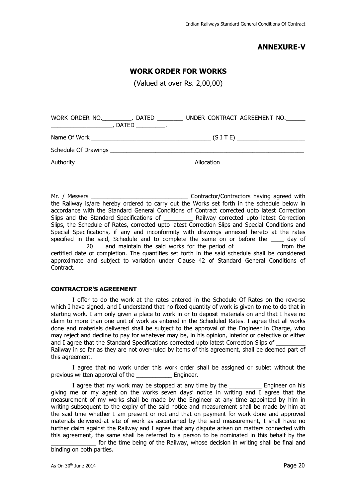### **ANNEXURE-V**

#### **WORK ORDER FOR WORKS**

(Valued at over Rs. 2,00,00)

| WORK ORDER NO.<br>DATED _____________.<br><u> 1999 - Johann Barbara, martin amerikan ba</u> | DATED UNDER CONTRACT AGREEMENT NO. |
|---------------------------------------------------------------------------------------------|------------------------------------|
|                                                                                             |                                    |
|                                                                                             |                                    |
|                                                                                             | Allocation                         |

Mr. / Messers \_\_\_\_\_\_\_\_\_\_\_\_\_\_\_\_\_\_\_\_\_\_\_\_\_\_\_\_\_\_ Contractor/Contractors having agreed with the Railway is/are hereby ordered to carry out the Works set forth in the schedule below in accordance with the Standard General Conditions of Contract corrected upto latest Correction Slips and the Standard Specifications of **Example 20 Railway corrected upto latest Correction** Slips, the Schedule of Rates, corrected upto latest Correction Slips and Special Conditions and Special Specifications, if any and inconformity with drawings annexed hereto at the rates specified in the said, Schedule and to complete the same on or before the \_\_\_\_ day of 20\_\_\_ and maintain the said works for the period of \_\_\_\_\_\_\_\_\_\_\_\_\_ from the certified date of completion. The quantities set forth in the said schedule shall be considered approximate and subject to variation under Clause 42 of Standard General Conditions of Contract.

#### **CONTRACTOR'S AGREEMENT**

I offer to do the work at the rates entered in the Schedule Of Rates on the reverse which I have signed, and I understand that no fixed quantity of work is given to me to do that in starting work. I am only given a place to work in or to deposit materials on and that I have no claim to more than one unit of work as entered in the Scheduled Rates. I agree that all works done and materials delivered shall be subject to the approval of the Engineer in Charge, who may reject and decline to pay for whatever may be, in his opinion, inferior or defective or either and I agree that the Standard Specifications corrected upto latest Correction Slips of Railway in so far as they are not over-ruled by items of this agreement, shall be deemed part of this agreement.

I agree that no work under this work order shall be assigned or sublet without the previous written approval of the Engineer.

I agree that my work may be stopped at any time by the Engineer on his giving me or my agent on the works seven days' notice in writing and I agree that the measurement of my works shall be made by the Engineer at any time appointed by him in writing subsequent to the expiry of the said notice and measurement shall be made by him at the said time whether I am present or not and that on payment for work done and approved materials delivered-at site of work as ascertained by the said measurement, I shall have no further claim against the Railway and I agree that any dispute arisen on matters connected with this agreement, the same shall be referred to a person to be nominated in this behalf by the

for the time being of the Railway, whose decision in writing shall be final and binding on both parties.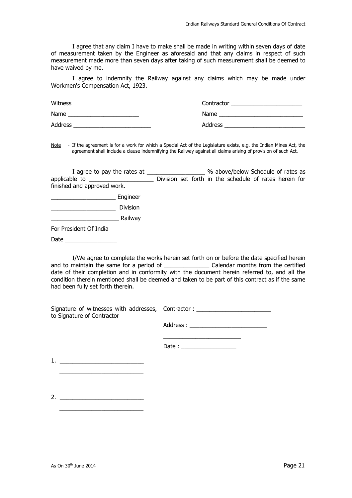I agree that any claim I have to make shall be made in writing within seven days of date of measurement taken by the Engineer as aforesaid and that any claims in respect of such measurement made more than seven days after taking of such measurement shall be deemed to have waived by me.

I agree to indemnify the Railway against any claims which may be made under Workmen's Compensation Act, 1923.

| <b>Witness</b> | Contractor |
|----------------|------------|
| Name           | Name       |
| Address        | Address    |

Note - If the agreement is for a work for which a Special Act of the Legislature exists, e.g. the Indian Mines Act, the agreement shall include a clause indemnifying the Railway against all claims arising of provision of such Act.

|                             |  |  |  | % above/below Schedule of rates as                     |  |  |
|-----------------------------|--|--|--|--------------------------------------------------------|--|--|
|                             |  |  |  | Division set forth in the schedule of rates herein for |  |  |
| finished and approved work. |  |  |  |                                                        |  |  |
| Engineer                    |  |  |  |                                                        |  |  |
| <b>Division</b>             |  |  |  |                                                        |  |  |
| Railway                     |  |  |  |                                                        |  |  |
| For President Of India      |  |  |  |                                                        |  |  |
| Date                        |  |  |  |                                                        |  |  |

I/We agree to complete the works herein set forth on or before the date specified herein and to maintain the same for a period of \_\_\_\_\_\_\_\_\_\_\_\_\_\_ Calendar months from the certified date of their completion and in conformity with the document herein referred to, and all the condition therein mentioned shall be deemed and taken to be part of this contract as if the same had been fully set forth therein.

| Signature of witnesses with addresses, Contractor: |           |
|----------------------------------------------------|-----------|
| to Signature of Contractor                         |           |
|                                                    | Address : |

| Date: |  |  |  |
|-------|--|--|--|

1. \_\_\_\_\_\_\_\_\_\_\_\_\_\_\_\_\_\_\_\_\_\_\_\_\_\_  $\frac{1}{\sqrt{2}}$  ,  $\frac{1}{\sqrt{2}}$  ,  $\frac{1}{\sqrt{2}}$  ,  $\frac{1}{\sqrt{2}}$  ,  $\frac{1}{\sqrt{2}}$  ,  $\frac{1}{\sqrt{2}}$  ,  $\frac{1}{\sqrt{2}}$  ,  $\frac{1}{\sqrt{2}}$  ,  $\frac{1}{\sqrt{2}}$  ,  $\frac{1}{\sqrt{2}}$  ,  $\frac{1}{\sqrt{2}}$  ,  $\frac{1}{\sqrt{2}}$  ,  $\frac{1}{\sqrt{2}}$  ,  $\frac{1}{\sqrt{2}}$  ,  $\frac{1}{\sqrt{2}}$ 

2. \_\_\_\_\_\_\_\_\_\_\_\_\_\_\_\_\_\_\_\_\_\_\_\_\_\_  $\frac{1}{\sqrt{2}}$  ,  $\frac{1}{\sqrt{2}}$  ,  $\frac{1}{\sqrt{2}}$  ,  $\frac{1}{\sqrt{2}}$  ,  $\frac{1}{\sqrt{2}}$  ,  $\frac{1}{\sqrt{2}}$  ,  $\frac{1}{\sqrt{2}}$  ,  $\frac{1}{\sqrt{2}}$  ,  $\frac{1}{\sqrt{2}}$  ,  $\frac{1}{\sqrt{2}}$  ,  $\frac{1}{\sqrt{2}}$  ,  $\frac{1}{\sqrt{2}}$  ,  $\frac{1}{\sqrt{2}}$  ,  $\frac{1}{\sqrt{2}}$  ,  $\frac{1}{\sqrt{2}}$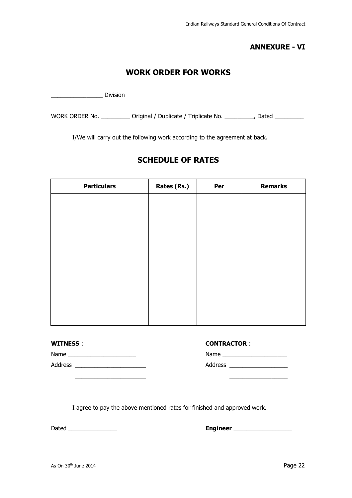### **ANNEXURE - VI**

### **WORK ORDER FOR WORKS**

\_\_\_\_\_\_\_\_\_\_\_\_\_\_\_\_ Division

WORK ORDER No. \_\_\_\_\_\_\_\_\_\_\_ Original / Duplicate / Triplicate No. \_\_\_\_\_\_\_\_\_, Dated \_\_\_\_\_\_\_\_\_

I/We will carry out the following work according to the agreement at back.

### **SCHEDULE OF RATES**

| <b>Particulars</b> | Rates (Rs.) | Per | <b>Remarks</b> |
|--------------------|-------------|-----|----------------|
|                    |             |     |                |
|                    |             |     |                |
|                    |             |     |                |
|                    |             |     |                |
|                    |             |     |                |
|                    |             |     |                |
|                    |             |     |                |
|                    |             |     |                |
|                    |             |     |                |
|                    |             |     |                |

| WITNI |  |
|-------|--|
|       |  |

**WITNESS** : **CONTRACTOR** :

Name \_\_\_\_\_\_\_\_\_\_\_\_\_\_\_\_\_\_\_\_\_ Name \_\_\_\_\_\_\_\_\_\_\_\_\_\_\_\_\_\_\_\_ Address \_\_\_\_\_\_\_\_\_\_\_\_\_\_\_\_\_\_\_\_\_\_ Address \_\_\_\_\_\_\_\_\_\_\_\_\_\_\_\_\_\_

|  | CONTRACTOR : |  |  |  |
|--|--------------|--|--|--|
|  |              |  |  |  |
|  |              |  |  |  |
|  |              |  |  |  |

I agree to pay the above mentioned rates for finished and approved work.

 $\overline{\phantom{a}}$  , and the contract of the contract of the contract of the contract of the contract of the contract of the contract of the contract of the contract of the contract of the contract of the contract of the contrac

Dated \_\_\_\_\_\_\_\_\_\_\_\_\_\_\_ **Engineer** \_\_\_\_\_\_\_\_\_\_\_\_\_\_\_\_\_\_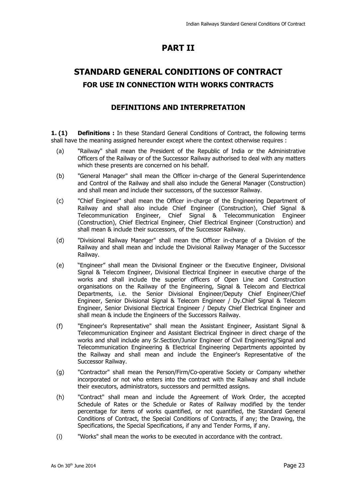### **PART II**

### **STANDARD GENERAL CONDITIONS OF CONTRACT FOR USE IN CONNECTION WITH WORKS CONTRACTS**

### **DEFINITIONS AND INTERPRETATION**

**1. (1) Definitions :** In these Standard General Conditions of Contract, the following terms shall have the meaning assigned hereunder except where the context otherwise requires :

- (a) "Railway" shall mean the President of the Republic of India or the Administrative Officers of the Railway or of the Successor Railway authorised to deal with any matters which these presents are concerned on his behalf.
- (b) "General Manager" shall mean the Officer in-charge of the General Superintendence and Control of the Railway and shall also include the General Manager (Construction) and shall mean and include their successors, of the successor Railway.
- (c) "Chief Engineer" shall mean the Officer in-charge of the Engineering Department of Railway and shall also include Chief Engineer (Construction), Chief Signal & Telecommunication Engineer, Chief Signal & Telecommunication Engineer (Construction), Chief Electrical Engineer, Chief Electrical Engineer (Construction) and shall mean & include their successors, of the Successor Railway.
- (d) "Divisional Railway Manager" shall mean the Officer in-charge of a Division of the Railway and shall mean and include the Divisional Railway Manager of the Successor Railway.
- (e) "Engineer" shall mean the Divisional Engineer or the Executive Engineer, Divisional Signal & Telecom Engineer, Divisional Electrical Engineer in executive charge of the works and shall include the superior officers of Open Line and Construction organisations on the Railway of the Engineering, Signal & Telecom and Electrical Departments, i.e. the Senior Divisional Engineer/Deputy Chief Engineer/Chief Engineer, Senior Divisional Signal & Telecom Engineer / Dy.Chief Signal & Telecom Engineer, Senior Divisional Electrical Engineer / Deputy Chief Electrical Engineer and shall mean & include the Engineers of the Successors Railway.
- (f) "Engineer's Representative" shall mean the Assistant Engineer, Assistant Signal & Telecommunication Engineer and Assistant Electrical Engineer in direct charge of the works and shall include any Sr.Section/Junior Engineer of Civil Engineering/Signal and Telecommunication Engineering & Electrical Engineering Departments appointed by the Railway and shall mean and include the Engineer's Representative of the Successor Railway.
- (g) "Contractor" shall mean the Person/Firm/Co-operative Society or Company whether incorporated or not who enters into the contract with the Railway and shall include their executors, administrators, successors and permitted assigns.
- (h) "Contract" shall mean and include the Agreement of Work Order, the accepted Schedule of Rates or the Schedule or Rates of Railway modified by the tender percentage for items of works quantified, or not quantified, the Standard General Conditions of Contract, the Special Conditions of Contracts, if any; the Drawing, the Specifications, the Special Specifications, if any and Tender Forms, if any.
- (i) "Works" shall mean the works to be executed in accordance with the contract.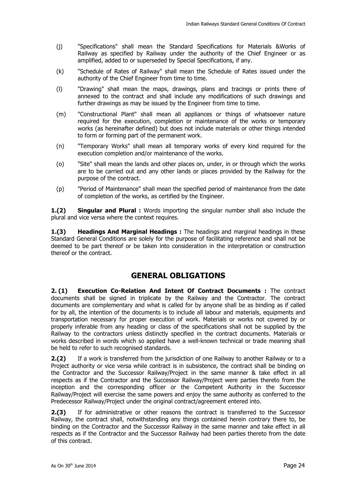- (j) "Specifications" shall mean the Standard Specifications for Materials &Works of Railway as specified by Railway under the authority of the Chief Engineer or as amplified, added to or superseded by Special Specifications, if any.
- (k) "Schedule of Rates of Railway" shall mean the Schedule of Rates issued under the authority of the Chief Engineer from time to time.
- (l) "Drawing" shall mean the maps, drawings, plans and tracings or prints there of annexed to the contract and shall include any modifications of such drawings and further drawings as may be issued by the Engineer from time to time.
- (m) "Constructional Plant" shall mean all appliances or things of whatsoever nature required for the execution, completion or maintenance of the works or temporary works (as hereinafter defined) but does not include materials or other things intended to form or forming part of the permanent work.
- (n) "Temporary Works" shall mean all temporary works of every kind required for the execution completion and/or maintenance of the works.
- (o) "Site" shall mean the lands and other places on, under, in or through which the works are to be carried out and any other lands or places provided by the Railway for the purpose of the contract.
- (p) "Period of Maintenance" shall mean the specified period of maintenance from the date of completion of the works, as certified by the Engineer.

**1.(2) Singular and Plural :** Words importing the singular number shall also include the plural and vice versa where the context requires.

**1.(3) Headings And Marginal Headings :** The headings and marginal headings in these Standard General Conditions are solely for the purpose of facilitating reference and shall not be deemed to be part thereof or be taken into consideration in the interpretation or construction thereof or the contract.

### **GENERAL OBLIGATIONS**

**2. (1) Execution Co-Relation And Intent Of Contract Documents :** The contract documents shall be signed in triplicate by the Railway and the Contractor. The contract documents are complementary and what is called for by anyone shall be as binding as if called for by all, the intention of the documents is to include all labour and materials, equipments and transportation necessary for proper execution of work. Materials or works not covered by or properly inferable from any heading or class of the specifications shall not be supplied by the Railway to the contractors unless distinctly specified in the contract documents. Materials or works described in words which so applied have a well-known technical or trade meaning shall be held to refer to such recognised standards.

**2.(2)** If a work is transferred from the jurisdiction of one Railway to another Railway or to a Project authority or vice versa while contract is in subsistence, the contract shall be binding on the Contractor and the Successor Railway/Project in the same manner & take effect in all respects as if the Contractor and the Successor Railway/Project were parties thereto from the inception and the corresponding officer or the Competent Authority in the Successor Railway/Project will exercise the same powers and enjoy the same authority as conferred to the Predecessor Railway/Project under the original contract/agreement entered into.

**2.(3)** If for administrative or other reasons the contract is transferred to the Successor Railway, the contract shall, notwithstanding any things contained herein contrary there to, be binding on the Contractor and the Successor Railway in the same manner and take effect in all respects as if the Contractor and the Successor Railway had been parties thereto from the date of this contract.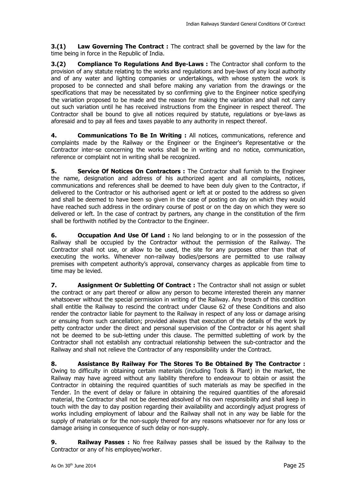**3.(1)** Law Governing The Contract: The contract shall be governed by the law for the time being in force in the Republic of India.

**3.(2) Compliance To Regulations And Bye-Laws :** The Contractor shall conform to the provision of any statute relating to the works and regulations and bye-laws of any local authority and of any water and lighting companies or undertakings, with whose system the work is proposed to be connected and shall before making any variation from the drawings or the specifications that may be necessitated by so confirming give to the Engineer notice specifying the variation proposed to be made and the reason for making the variation and shall not carry out such variation until he has received instructions from the Engineer in respect thereof. The Contractor shall be bound to give all notices required by statute, regulations or bye-laws as aforesaid and to pay all fees and taxes payable to any authority in respect thereof.

**4. Communications To Be In Writing :** All notices, communications, reference and complaints made by the Railway or the Engineer or the Engineer's Representative or the Contractor inter-se concerning the works shall be in writing and no notice, communication, reference or complaint not in writing shall be recognized.

**5.** Service Of Notices On Contractors : The Contractor shall furnish to the Engineer the name, designation and address of his authorized agent and all complaints, notices, communications and references shall be deemed to have been duly given to the Contractor, if delivered to the Contractor or his authorised agent or left at or posted to the address so given and shall be deemed to have been so given in the case of posting on day on which they would have reached such address in the ordinary course of post or on the day on which they were so delivered or left. In the case of contract by partners, any change in the constitution of the firm shall be forthwith notified by the Contractor to the Engineer.

**6.** Occupation And Use Of Land : No land belonging to or in the possession of the Railway shall be occupied by the Contractor without the permission of the Railway. The Contractor shall not use, or allow to be used, the site for any purposes other than that of executing the works. Whenever non-railway bodies/persons are permitted to use railway premises with competent authority's approval, conservancy charges as applicable from time to time may be levied.

**7.** Assignment Or Subletting Of Contract: The Contractor shall not assign or sublet the contract or any part thereof or allow any person to become interested therein any manner whatsoever without the special permission in writing of the Railway. Any breach of this condition shall entitle the Railway to rescind the contract under Clause 62 of these Conditions and also render the contractor liable for payment to the Railway in respect of any loss or damage arising or ensuing from such cancellation; provided always that execution of the details of the work by petty contractor under the direct and personal supervision of the Contractor or his agent shall not be deemed to be sub-letting under this clause. The permitted subletting of work by the Contractor shall not establish any contractual relationship between the sub-contractor and the Railway and shall not relieve the Contractor of any responsibility under the Contract.

**8. Assistance By Railway For The Stores To Be Obtained By The Contractor :**  Owing to difficulty in obtaining certain materials (including Tools & Plant) in the market, the Railway may have agreed without any liability therefore to endeavour to obtain or assist the Contractor in obtaining the required quantities of such materials as may be specified in the Tender. In the event of delay or failure in obtaining the required quantities of the aforesaid material, the Contractor shall not be deemed absolved of his own responsibility and shall keep in touch with the day to day position regarding their availability and accordingly adjust progress of works including employment of labour and the Railway shall not in any way be liable for the supply of materials or for the non-supply thereof for any reasons whatsoever nor for any loss or damage arising in consequence of such delay or non-supply.

**9. Railway Passes :** No free Railway passes shall be issued by the Railway to the Contractor or any of his employee/worker.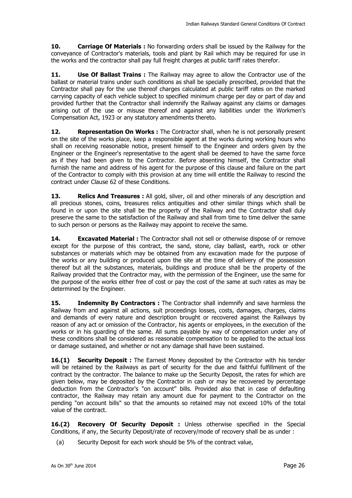**10. Carriage Of Materials :** No forwarding orders shall be issued by the Railway for the conveyance of Contractor's materials, tools and plant by Rail which may be required for use in the works and the contractor shall pay full freight charges at public tariff rates therefor.

**11. Use Of Ballast Trains :** The Railway may agree to allow the Contractor use of the ballast or material trains under such conditions as shall be specially prescribed, provided that the Contractor shall pay for the use thereof charges calculated at public tariff rates on the marked carrying capacity of each vehicle subject to specified minimum charge per day or part of day and provided further that the Contractor shall indemnify the Railway against any claims or damages arising out of the use or misuse thereof and against any liabilities under the Workmen's Compensation Act, 1923 or any statutory amendments thereto.

**12. Representation On Works :** The Contractor shall, when he is not personally present on the site of the works place, keep a responsible agent at the works during working hours who shall on receiving reasonable notice, present himself to the Engineer and orders given by the Engineer or the Engineer's representative to the agent shall be deemed to have the same force as if they had been given to the Contractor. Before absenting himself, the Contractor shall furnish the name and address of his agent for the purpose of this clause and failure on the part of the Contractor to comply with this provision at any time will entitle the Railway to rescind the contract under Clause 62 of these Conditions.

**13. Relics And Treasures :** All gold, silver, oil and other minerals of any description and all precious stones, coins, treasures relics antiquities and other similar things which shall be found in or upon the site shall be the property of the Railway and the Contractor shall duly preserve the same to the satisfaction of the Railway and shall from time to time deliver the same to such person or persons as the Railway may appoint to receive the same.

**14. Excavated Material :** The Contractor shall not sell or otherwise dispose of or remove except for the purpose of this contract, the sand, stone, clay ballast, earth, rock or other substances or materials which may be obtained from any excavation made for the purpose of the works or any building or produced upon the site at the time of delivery of the possession thereof but all the substances, materials, buildings and produce shall be the property of the Railway provided that the Contractor may, with the permission of the Engineer, use the same for the purpose of the works either free of cost or pay the cost of the same at such rates as may be determined by the Engineer.

**15. Indemnity By Contractors :** The Contractor shall indemnify and save harmless the Railway from and against all actions, suit proceedings losses, costs, damages, charges, claims and demands of every nature and description brought or recovered against the Railways by reason of any act or omission of the Contractor, his agents or employees, in the execution of the works or in his guarding of the same. All sums payable by way of compensation under any of these conditions shall be considered as reasonable compensation to be applied to the actual loss or damage sustained, and whether or not any damage shall have been sustained.

**16.(1) Security Deposit:** The Earnest Money deposited by the Contractor with his tender will be retained by the Railways as part of security for the due and faithful fulfillment of the contract by the contractor. The balance to make up the Security Deposit, the rates for which are given below, may be deposited by the Contractor in cash or may be recovered by percentage deduction from the Contractor's "on account" bills. Provided also that in case of defaulting contractor, the Railway may retain any amount due for payment to the Contractor on the pending "on account bills" so that the amounts so retained may not exceed 10% of the total value of the contract.

**16.(2) Recovery Of Security Deposit :** Unless otherwise specified in the Special Conditions, if any, the Security Deposit/rate of recovery/mode of recovery shall be as under :

(a) Security Deposit for each work should be 5% of the contract value,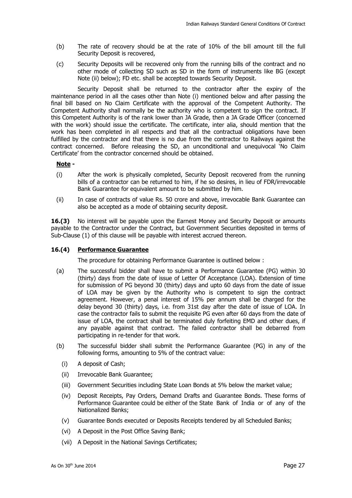- (b) The rate of recovery should be at the rate of 10% of the bill amount till the full Security Deposit is recovered,
- (c) Security Deposits will be recovered only from the running bills of the contract and no other mode of collecting SD such as SD in the form of instruments like BG (except Note (ii) below); FD etc. shall be accepted towards Security Deposit.

 Security Deposit shall be returned to the contractor after the expiry of the maintenance period in all the cases other than Note (i) mentioned below and after passing the final bill based on No Claim Certificate with the approval of the Competent Authority. The Competent Authority shall normally be the authority who is competent to sign the contract. If this Competent Authority is of the rank lower than JA Grade, then a JA Grade Officer (concerned with the work) should issue the certificate. The certificate, inter alia, should mention that the work has been completed in all respects and that all the contractual obligations have been fulfilled by the contractor and that there is no due from the contractor to Railways against the contract concerned. Before releasing the SD, an unconditional and unequivocal 'No Claim Certificate' from the contractor concerned should be obtained.

#### **Note -**

- (i) After the work is physically completed, Security Deposit recovered from the running bills of a contractor can be returned to him, if he so desires, in lieu of FDR/irrevocable Bank Guarantee for equivalent amount to be submitted by him.
- (ii) In case of contracts of value Rs. 50 crore and above, irrevocable Bank Guarantee can also be accepted as a mode of obtaining security deposit.

**16.(3)** No interest will be payable upon the Earnest Money and Security Deposit or amounts payable to the Contractor under the Contract, but Government Securities deposited in terms of Sub-Clause (1) of this clause will be payable with interest accrued thereon.

#### **16.(4) Performance Guarantee**

The procedure for obtaining Performance Guarantee is outlined below :

- (a) The successful bidder shall have to submit a Performance Guarantee (PG) within 30 (thirty) days from the date of issue of Letter Of Acceptance (LOA). Extension of time for submission of PG beyond 30 (thirty) days and upto 60 days from the date of issue of LOA may be given by the Authority who is competent to sign the contract agreement. However, a penal interest of 15% per annum shall be charged for the delay beyond 30 (thirty) days, i.e. from 31st day after the date of issue of LOA. In case the contractor fails to submit the requisite PG even after 60 days from the date of issue of LOA, the contract shall be terminated duly forfeiting EMD and other dues, if any payable against that contract. The failed contractor shall be debarred from participating in re-tender for that work.
- (b) The successful bidder shall submit the Performance Guarantee (PG) in any of the following forms, amounting to 5% of the contract value:
	- (i) A deposit of Cash;
	- (ii) Irrevocable Bank Guarantee;
	- (iii) Government Securities including State Loan Bonds at 5% below the market value;
	- (iv) Deposit Receipts, Pay Orders, Demand Drafts and Guarantee Bonds. These forms of Performance Guarantee could be either of the State Bank of India or of any of the Nationalized Banks;
	- (v) Guarantee Bonds executed or Deposits Receipts tendered by all Scheduled Banks;
	- (vi) A Deposit in the Post Office Saving Bank;
	- (vii) A Deposit in the National Savings Certificates;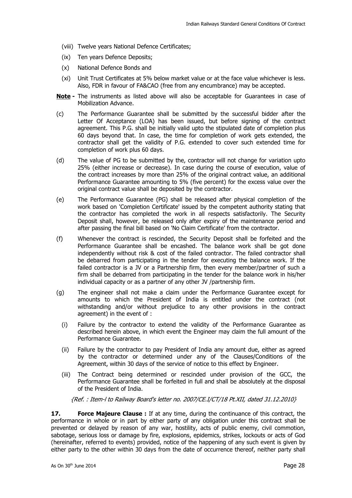- (viii) Twelve years National Defence Certificates;
- (ix) Ten years Defence Deposits;
- (x) National Defence Bonds and
- (xi) Unit Trust Certificates at 5% below market value or at the face value whichever is less. Also, FDR in favour of FA&CAO (free from any encumbrance) may be accepted.
- **Note** The instruments as listed above will also be acceptable for Guarantees in case of Mobilization Advance.
- (c) The Performance Guarantee shall be submitted by the successful bidder after the Letter Of Acceptance (LOA) has been issued, but before signing of the contract agreement. This P.G. shall be initially valid upto the stipulated date of completion plus 60 days beyond that. In case, the time for completion of work gets extended, the contractor shall get the validity of P.G. extended to cover such extended time for completion of work plus 60 days.
- (d) The value of PG to be submitted by the, contractor will not change for variation upto 25% (either increase or decrease). In case during the course of execution, value of the contract increases by more than 25% of the original contract value, an additional Performance Guarantee amounting to 5% (five percent) for the excess value over the original contract value shall be deposited by the contractor.
- (e) The Performance Guarantee (PG) shall be released after physical completion of the work based on 'Completion Certificate' issued by the competent authority stating that the contractor has completed the work in all respects satisfactorily. The Security Deposit shall, however, be released only after expiry of the maintenance period and after passing the final bill based on 'No Claim Certificate' from the contractor.
- (f) Whenever the contract is rescinded, the Security Deposit shall be forfeited and the Performance Guarantee shall be encashed. The balance work shall be got done independently without risk & cost of the failed contractor. The failed contractor shall be debarred from participating in the tender for executing the balance work. If the failed contractor is a JV or a Partnership firm, then every member/partner of such a firm shall be debarred from participating in the tender for the balance work in his/her individual capacity or as a partner of any other JV /partnership firm.
- (g) The engineer shall not make a claim under the Performance Guarantee except for amounts to which the President of India is entitled under the contract (not withstanding and/or without prejudice to any other provisions in the contract agreement) in the event of :
	- (i) Failure by the contractor to extend the validity of the Performance Guarantee as described herein above, in which event the Engineer may claim the full amount of the Performance Guarantee.
	- (ii) Failure by the contractor to pay President of India any amount due, either as agreed by the contractor or determined under any of the Clauses/Conditions of the Agreement, within 30 days of the service of notice to this effect by Engineer.
	- (iii) The Contract being determined or rescinded under provision of the GCC, the Performance Guarantee shall be forfeited in full and shall be absolutely at the disposal of the President of India.

{Ref. : Item-l to Railway Board's letter no. 2007/CE.I/CT/18 Pt.XII, dated 31.12.2010}

**17.** Force Majeure Clause : If at any time, during the continuance of this contract, the performance in whole or in part by either party of any obligation under this contract shall be prevented or delayed by reason of any war, hostility, acts of public enemy, civil commotion, sabotage, serious loss or damage by fire, explosions, epidemics, strikes, lockouts or acts of God (hereinafter, referred to events) provided, notice of the happening of any such event is given by either party to the other within 30 days from the date of occurrence thereof, neither party shall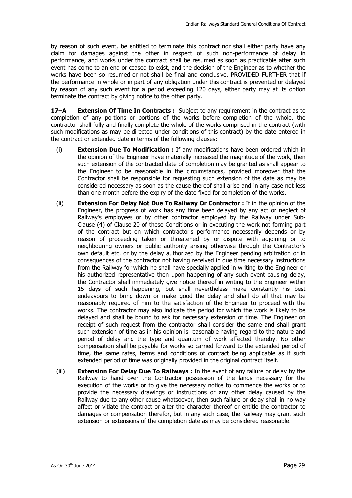by reason of such event, be entitled to terminate this contract nor shall either party have any claim for damages against the other in respect of such non-performance of delay in performance, and works under the contract shall be resumed as soon as practicable after such event has come to an end or ceased to exist, and the decision of the Engineer as to whether the works have been so resumed or not shall be final and conclusive, PROVIDED FURTHER that if the performance in whole or in part of any obligation under this contract is prevented or delayed by reason of any such event for a period exceeding 120 days, either party may at its option terminate the contract by giving notice to the other party.

**17–A Extension Of Time In Contracts :** Subject to any requirement in the contract as to completion of any portions or portions of the works before completion of the whole, the contractor shall fully and finally complete the whole of the works comprised in the contract (with such modifications as may be directed under conditions of this contract) by the date entered in the contract or extended date in terms of the following clauses:

- (i) **Extension Due To Modification :** If any modifications have been ordered which in the opinion of the Engineer have materially increased the magnitude of the work, then such extension of the contracted date of completion may be granted as shall appear to the Engineer to be reasonable in the circumstances, provided moreover that the Contractor shall be responsible for requesting such extension of the date as may be considered necessary as soon as the cause thereof shall arise and in any case not less than one month before the expiry of the date fixed for completion of the works.
- (ii) **Extension For Delay Not Due To Railway Or Contractor :** If in the opinion of the Engineer, the progress of work has any time been delayed by any act or neglect of Railway's employees or by other contractor employed by the Railway under Sub-Clause (4) of Clause 20 of these Conditions or in executing the work not forming part of the contract but on which contractor's performance necessarily depends or by reason of proceeding taken or threatened by or dispute with adjoining or to neighbouring owners or public authority arising otherwise through the Contractor's own default etc. or by the delay authorized by the Engineer pending arbitration or in consequences of the contractor not having received in due time necessary instructions from the Railway for which he shall have specially applied in writing to the Engineer or his authorized representative then upon happening of any such event causing delay, the Contractor shall immediately give notice thereof in writing to the Engineer within 15 days of such happening, but shall nevertheless make constantly his best endeavours to bring down or make good the delay and shall do all that may be reasonably required of him to the satisfaction of the Engineer to proceed with the works. The contractor may also indicate the period for which the work is likely to be delayed and shall be bound to ask for necessary extension of time. The Engineer on receipt of such request from the contractor shall consider the same and shall grant such extension of time as in his opinion is reasonable having regard to the nature and period of delay and the type and quantum of work affected thereby. No other compensation shall be payable for works so carried forward to the extended period of time, the same rates, terms and conditions of contract being applicable as if such extended period of time was originally provided in the original contract itself.
- (iii) **Extension For Delay Due To Railways :** In the event of any failure or delay by the Railway to hand over the Contractor possession of the lands necessary for the execution of the works or to give the necessary notice to commence the works or to provide the necessary drawings or instructions or any other delay caused by the Railway due to any other cause whatsoever, then such failure or delay shall in no way affect or vitiate the contract or alter the character thereof or entitle the contractor to damages or compensation therefor, but in any such case, the Railway may grant such extension or extensions of the completion date as may be considered reasonable.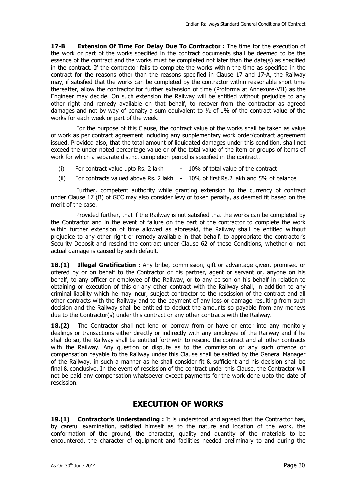**17-B Extension Of Time For Delay Due To Contractor:** The time for the execution of the work or part of the works specified in the contract documents shall be deemed to be the essence of the contract and the works must be completed not later than the date(s) as specified in the contract. If the contractor fails to complete the works within the time as specified in the contract for the reasons other than the reasons specified in Clause 17 and 17-A, the Railway may, if satisfied that the works can be completed by the contractor within reasonable short time thereafter, allow the contractor for further extension of time (Proforma at Annexure-VII) as the Engineer may decide. On such extension the Railway will be entitled without prejudice to any other right and remedy available on that behalf, to recover from the contractor as agreed damages and not by way of penalty a sum equivalent to  $\frac{1}{2}$  of 1% of the contract value of the works for each week or part of the week.

For the purpose of this Clause, the contract value of the works shall be taken as value of work as per contract agreement including any supplementary work order/contract agreement issued. Provided also, that the total amount of liquidated damages under this condition, shall not exceed the under noted percentage value or of the total value of the item or groups of items of work for which a separate distinct completion period is specified in the contract.

- (i) For contract value upto Rs. 2 lakh  $-10\%$  of total value of the contract
- (ii) For contracts valued above Rs. 2 lakh  $-10\%$  of first Rs. 2 lakh and 5% of balance

Further, competent authority while granting extension to the currency of contract under Clause 17 (B) of GCC may also consider levy of token penalty, as deemed fit based on the merit of the case.

Provided further, that if the Railway is not satisfied that the works can be completed by the Contractor and in the event of failure on the part of the contractor to complete the work within further extension of time allowed as aforesaid, the Railway shall be entitled without prejudice to any other right or remedy available in that behalf, to appropriate the contractor's Security Deposit and rescind the contract under Clause 62 of these Conditions, whether or not actual damage is caused by such default.

**18.(1) Illegal Gratification :** Any bribe, commission, gift or advantage given, promised or offered by or on behalf to the Contractor or his partner, agent or servant or, anyone on his behalf, to any officer or employee of the Railway, or to any person on his behalf in relation to obtaining or execution of this or any other contract with the Railway shall, in addition to any criminal liability which he may incur, subject contractor to the rescission of the contract and all other contracts with the Railway and to the payment of any loss or damage resulting from such decision and the Railway shall be entitled to deduct the amounts so payable from any moneys due to the Contractor(s) under this contract or any other contracts with the Railway.

18.(2) The Contractor shall not lend or borrow from or have or enter into any monitory dealings or transactions either directly or indirectly with any employee of the Railway and if he shall do so, the Railway shall be entitled forthwith to rescind the contract and all other contracts with the Railway. Any question or dispute as to the commission or any such offence or compensation payable to the Railway under this Clause shall be settled by the General Manager of the Railway, in such a manner as he shall consider fit & sufficient and his decision shall be final & conclusive. In the event of rescission of the contract under this Clause, the Contractor will not be paid any compensation whatsoever except payments for the work done upto the date of rescission.

### **EXECUTION OF WORKS**

**19.(1) Contractor's Understanding :** It is understood and agreed that the Contractor has, by careful examination, satisfied himself as to the nature and location of the work, the conformation of the ground, the character, quality and quantity of the materials to be encountered, the character of equipment and facilities needed preliminary to and during the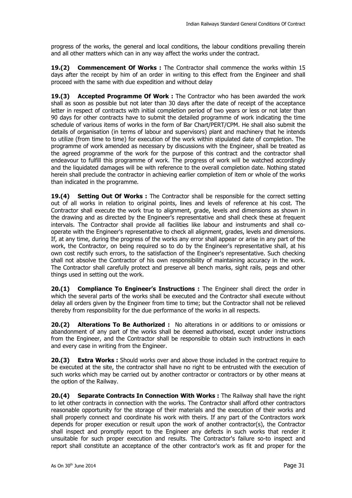progress of the works, the general and local conditions, the labour conditions prevailing therein and all other matters which can in any way affect the works under the contract.

**19.(2) Commencement Of Works :** The Contractor shall commence the works within 15 days after the receipt by him of an order in writing to this effect from the Engineer and shall proceed with the same with due expedition and without delay

**19.(3) Accepted Programme Of Work :** The Contractor who has been awarded the work shall as soon as possible but not later than 30 days after the date of receipt of the acceptance letter in respect of contracts with initial completion period of two years or less or not later than 90 days for other contracts have to submit the detailed programme of work indicating the time schedule of various items of works in the form of Bar Chart/PERT/CPM. He shall also submit the details of organisation (in terms of labour and supervisors) plant and machinery that he intends to utilize (from time to time) for execution of the work within stipulated date of completion. The programme of work amended as necessary by discussions with the Engineer, shall be treated as the agreed programme of the work for the purpose of this contract and the contractor shall endeavour to fulfill this programme of work. The progress of work will be watched accordingly and the liquidated damages will be with reference to the overall completion date. Nothing stated herein shall preclude the contractor in achieving earlier completion of item or whole of the works than indicated in the programme.

**19.(4) Setting Out Of Works :** The Contractor shall be responsible for the correct setting out of all works in relation to original points, lines and levels of reference at his cost. The Contractor shall execute the work true to alignment, grade, levels and dimensions as shown in the drawing and as directed by the Engineer's representative and shall check these at frequent intervals. The Contractor shall provide all facilities like labour and instruments and shall cooperate with the Engineer's representative to check all alignment, grades, levels and dimensions. If, at any time, during the progress of the works any error shall appear or arise in any part of the work, the Contractor, on being required so to do by the Engineer's representative shall, at his own cost rectify such errors, to the satisfaction of the Engineer's representative. Such checking shall not absolve the Contractor of his own responsibility of maintaining accuracy in the work. The Contractor shall carefully protect and preserve all bench marks, sight rails, pegs and other things used in setting out the work.

**20.(1) Compliance To Engineer's Instructions :** The Engineer shall direct the order in which the several parts of the works shall be executed and the Contractor shall execute without delay all orders given by the Engineer from time to time; but the Contractor shall not be relieved thereby from responsibility for the due performance of the works in all respects.

**20.(2) Alterations To Be Authorized :** No alterations in or additions to or omissions or abandonment of any part of the works shall be deemed authorised, except under instructions from the Engineer, and the Contractor shall be responsible to obtain such instructions in each and every case in writing from the Engineer.

**20.(3) Extra Works :** Should works over and above those included in the contract require to be executed at the site, the contractor shall have no right to be entrusted with the execution of such works which may be carried out by another contractor or contractors or by other means at the option of the Railway.

**20.(4) Separate Contracts In Connection With Works :** The Railway shall have the right to let other contracts in connection with the works. The Contractor shall afford other contractors reasonable opportunity for the storage of their materials and the execution of their works and shall properly connect and coordinate his work with theirs. If any part of the Contractors work depends for proper execution or result upon the work of another contractor(s), the Contractor shall inspect and promptly report to the Engineer any defects in such works that render it unsuitable for such proper execution and results. The Contractor's failure so-to inspect and report shall constitute an acceptance of the other contractor's work as fit and proper for the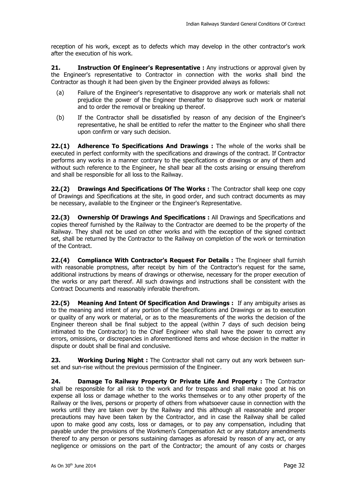reception of his work, except as to defects which may develop in the other contractor's work after the execution of his work.

**21. Instruction Of Engineer's Representative :** Any instructions or approval given by the Engineer's representative to Contractor in connection with the works shall bind the Contractor as though it had been given by the Engineer provided always as follows:

- (a) Failure of the Engineer's representative to disapprove any work or materials shall not prejudice the power of the Engineer thereafter to disapprove such work or material and to order the removal or breaking up thereof.
- (b) If the Contractor shall be dissatisfied by reason of any decision of the Engineer's representative, he shall be entitled to refer the matter to the Engineer who shall there upon confirm or vary such decision.

**22.(1) Adherence To Specifications And Drawings :** The whole of the works shall be executed in perfect conformity with the specifications and drawings of the contract. If Contractor performs any works in a manner contrary to the specifications or drawings or any of them and without such reference to the Engineer, he shall bear all the costs arising or ensuing therefrom and shall be responsible for all loss to the Railway.

**22.(2) Drawings And Specifications Of The Works :** The Contractor shall keep one copy of Drawings and Specifications at the site, in good order, and such contract documents as may be necessary, available to the Engineer or the Engineer's Representative.

**22.(3) Ownership Of Drawings And Specifications :** All Drawings and Specifications and copies thereof furnished by the Railway to the Contractor are deemed to be the property of the Railway. They shall not be used on other works and with the exception of the signed contract set, shall be returned by the Contractor to the Railway on completion of the work or termination of the Contract.

**22.(4) Compliance With Contractor's Request For Details :** The Engineer shall furnish with reasonable promptness, after receipt by him of the Contractor's request for the same, additional instructions by means of drawings or otherwise, necessary for the proper execution of the works or any part thereof. All such drawings and instructions shall be consistent with the Contract Documents and reasonably inferable therefrom.

**22.(5) Meaning And Intent Of Specification And Drawings :** If any ambiguity arises as to the meaning and intent of any portion of the Specifications and Drawings or as to execution or quality of any work or material, or as to the measurements of the works the decision of the Engineer thereon shall be final subject to the appeal (within 7 days of such decision being intimated to the Contractor) to the Chief Engineer who shall have the power to correct any errors, omissions, or discrepancies in aforementioned items and whose decision in the matter in dispute or doubt shall be final and conclusive.

**23. Working During Night :** The Contractor shall not carry out any work between sunset and sun-rise without the previous permission of the Engineer.

**24. Damage To Railway Property Or Private Life And Property :** The Contractor shall be responsible for all risk to the work and for trespass and shall make good at his on expense all loss or damage whether to the works themselves or to any other property of the Railway or the lives, persons or property of others from whatsoever cause in connection with the works until they are taken over by the Railway and this although all reasonable and proper precautions may have been taken by the Contractor, and in case the Railway shall be called upon to make good any costs, loss or damages, or to pay any compensation, including that payable under the provisions of the Workmen's Compensation Act or any statutory amendments thereof to any person or persons sustaining damages as aforesaid by reason of any act, or any negligence or omissions on the part of the Contractor; the amount of any costs or charges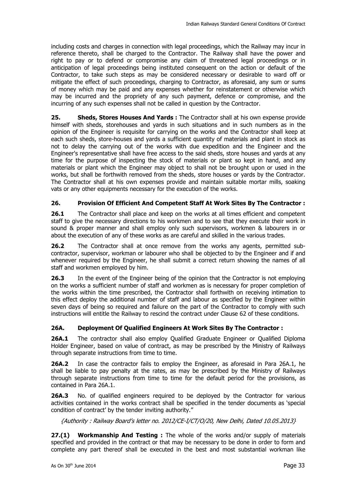including costs and charges in connection with legal proceedings, which the Railway may incur in reference thereto, shall be charged to the Contractor. The Railway shall have the power and right to pay or to defend or compromise any claim of threatened legal proceedings or in anticipation of legal proceedings being instituted consequent on the action or default of the Contractor, to take such steps as may be considered necessary or desirable to ward off or mitigate the effect of such proceedings, charging to Contractor, as aforesaid, any sum or sums of money which may be paid and any expenses whether for reinstatement or otherwise which may be incurred and the propriety of any such payment, defence or compromise, and the incurring of any such expenses shall not be called in question by the Contractor.

**25. Sheds, Stores Houses And Yards :** The Contractor shall at his own expense provide himself with sheds, storehouses and yards in such situations and in such numbers as in the opinion of the Engineer is requisite for carrying on the works and the Contractor shall keep at each such sheds, store-houses and yards a sufficient quantity of materials and plant in stock as not to delay the carrying out of the works with due expedition and the Engineer and the Engineer's representative shall have free access to the said sheds, store houses and yards at any time for the purpose of inspecting the stock of materials or plant so kept in hand, and any materials or plant which the Engineer may object to shall not be brought upon or used in the works, but shall be forthwith removed from the sheds, store houses or yards by the Contractor. The Contractor shall at his own expenses provide and maintain suitable mortar mills, soaking vats or any other equipments necessary for the execution of the works.

#### **26. Provision Of Efficient And Competent Staff At Work Sites By The Contractor :**

**26.1** The Contractor shall place and keep on the works at all times efficient and competent staff to give the necessary directions to his workmen and to see that they execute their work in sound & proper manner and shall employ only such supervisors, workmen & labourers in or about the execution of any of these works as are careful and skilled in the various trades.

**26.2** The Contractor shall at once remove from the works any agents, permitted subcontractor, supervisor, workman or labourer who shall be objected to by the Engineer and if and whenever required by the Engineer, he shall submit a correct return showing the names of all staff and workmen employed by him.

**26.3** In the event of the Engineer being of the opinion that the Contractor is not employing on the works a sufficient number of staff and workmen as is necessary for proper completion of the works within the time prescribed, the Contractor shall forthwith on receiving intimation to this effect deploy the additional number of staff and labour as specified by the Engineer within seven days of being so required and failure on the part of the Contractor to comply with such instructions will entitle the Railway to rescind the contract under Clause 62 of these conditions.

#### **26A. Deployment Of Qualified Engineers At Work Sites By The Contractor :**

**26A.1** The contractor shall also employ Qualified Graduate Engineer or Qualified Diploma Holder Engineer, based on value of contract, as may be prescribed by the Ministry of Railways through separate instructions from time to time.

**26A.2** In case the contractor fails to employ the Engineer, as aforesaid in Para 26A.1, he shall be liable to pay penalty at the rates, as may be prescribed by the Ministry of Railways through separate instructions from time to time for the default period for the provisions, as contained in Para 26A.1.

**26A.3** No. of qualified engineers required to be deployed by the Contractor for various activities contained in the works contract shall be specified in the tender documents as 'special condition of contract' by the tender inviting authority."

{Authority : Railway Board's letter no. 2012/CE-I/CT/O/20, New Delhi, Dated 10.05.2013}

**27.(1) Workmanship And Testing :** The whole of the works and/or supply of materials specified and provided in the contract or that may be necessary to be done in order to form and complete any part thereof shall be executed in the best and most substantial workman like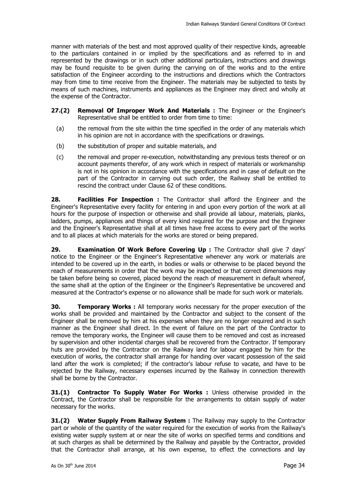manner with materials of the best and most approved quality of their respective kinds, agreeable to the particulars contained in or implied by the specifications and as referred to in and represented by the drawings or in such other additional particulars, instructions and drawings may be found requisite to be given during the carrying on of the works and to the entire satisfaction of the Engineer according to the instructions and directions which the Contractors may from time to time receive from the Engineer. The materials may be subjected to tests by means of such machines, instruments and appliances as the Engineer may direct and wholly at the expense of the Contractor.

- **27.(2) Removal Of Improper Work And Materials :** The Engineer or the Engineer's Representative shall be entitled to order from time to time:
	- (a) the removal from the site within the time specified in the order of any materials which in his opinion are not in accordance with the specifications or drawings.
	- (b) the substitution of proper and suitable materials, and
	- (c) the removal and proper re-execution, notwithstanding any previous tests thereof or on account payments therefor, of any work which in respect of materials or workmanship is not in his opinion in accordance with the specifications and in case of default on the part of the Contractor in carrying out such order, the Railway shall be entitled to rescind the contract under Clause 62 of these conditions.

**28. Facilities For Inspection :** The Contractor shall afford the Engineer and the Engineer's Representative every facility for entering in and upon every portion of the work at all hours for the purpose of inspection or otherwise and shall provide all labour, materials, planks, ladders, pumps, appliances and things of every kind required for the purpose and the Engineer and the Engineer's Representative shall at all times have free access to every part of the works and to all places at which materials for the works are stored or being prepared.

**29. Examination Of Work Before Covering Up :** The Contractor shall give 7 days' notice to the Engineer or the Engineer's Representative whenever any work or materials are intended to be covered up in the earth, in bodies or walls or otherwise to be placed beyond the reach of measurements in order that the work may be inspected or that correct dimensions may be taken before being so covered, placed beyond the reach of measurement in default whereof, the same shall at the option of the Engineer or the Engineer's Representative be uncovered and measured at the Contractor's expense or no allowance shall be made for such work or materials.

**30. Temporary Works :** All temporary works necessary for the proper execution of the works shall be provided and maintained by the Contractor and subject to the consent of the Engineer shall be removed by him at his expenses when they are no longer required and in such manner as the Engineer shall direct. In the event of failure on the part of the Contractor to remove the temporary works, the Engineer will cause them to be removed and cost as increased by supervision and other incidental charges shall be recovered from the Contractor. If temporary huts are provided by the Contractor on the Railway land for labour engaged by him for the execution of works, the contractor shall arrange for handing over vacant possession of the said land after the work is completed; if the contractor's labour refuse to vacate, and have to be rejected by the Railway, necessary expenses incurred by the Railway in connection therewith shall be borne by the Contractor.

**31.(1) Contractor To Supply Water For Works :** Unless otherwise provided in the Contract, the Contractor shall be responsible for the arrangements to obtain supply of water necessary for the works.

**31.(2) Water Supply From Railway System :** The Railway may supply to the Contractor part or whole of the quantity of the water required for the execution of works from the Railway's existing water supply system at or near the site of works on specified terms and conditions and at such charges as shall be determined by the Railway and payable by the Contractor, provided that the Contractor shall arrange, at his own expense, to effect the connections and lay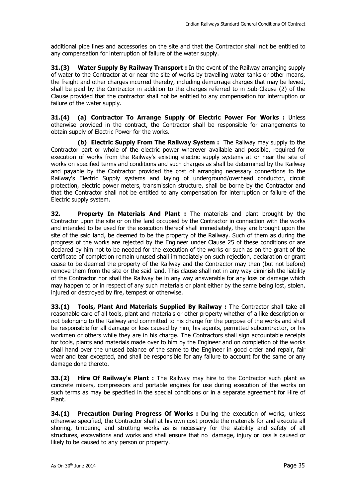additional pipe lines and accessories on the site and that the Contractor shall not be entitled to any compensation for interruption of failure of the water supply.

**31.(3) Water Supply By Railway Transport :** In the event of the Railway arranging supply of water to the Contractor at or near the site of works by travelling water tanks or other means, the freight and other charges incurred thereby, including demurrage charges that may be levied, shall be paid by the Contractor in addition to the charges referred to in Sub-Clause (2) of the Clause provided that the contractor shall not be entitled to any compensation for interruption or failure of the water supply.

**31.(4) (a) Contractor To Arrange Supply Of Electric Power For Works :** Unless otherwise provided in the contract, the Contractor shall be responsible for arrangements to obtain supply of Electric Power for the works.

 **(b) Electric Supply From The Railway System :** The Railway may supply to the Contractor part or whole of the electric power wherever available and possible, required for execution of works from the Railway's existing electric supply systems at or near the site of works on specified terms and conditions and such charges as shall be determined by the Railway and payable by the Contractor provided the cost of arranging necessary connections to the Railway's Electric Supply systems and laying of underground/overhead conductor, circuit protection, electric power meters, transmission structure, shall be borne by the Contractor and that the Contractor shall not be entitled to any compensation for interruption or failure of the Electric supply system.

**32. Property In Materials And Plant :** The materials and plant brought by the Contractor upon the site or on the land occupied by the Contractor in connection with the works and intended to be used for the execution thereof shall immediately, they are brought upon the site of the said land, be deemed to be the property of the Railway. Such of them as during the progress of the works are rejected by the Engineer under Clause 25 of these conditions or are declared by him not to be needed for the execution of the works or such as on the grant of the certificate of completion remain unused shall immediately on such rejection, declaration or grant cease to be deemed the property of the Railway and the Contractor may then (but not before) remove them from the site or the said land. This clause shall not in any way diminish the liability of the Contractor nor shall the Railway be in any way answerable for any loss or damage which may happen to or in respect of any such materials or plant either by the same being lost, stolen, injured or destroyed by fire, tempest or otherwise.

**33.(1) Tools, Plant And Materials Supplied By Railway :** The Contractor shall take all reasonable care of all tools, plant and materials or other property whether of a like description or not belonging to the Railway and committed to his charge for the purpose of the works and shall be responsible for all damage or loss caused by him, his agents, permitted subcontractor, or his workmen or others while they are in his charge. The Contractors shall sign accountable receipts for tools, plants and materials made over to him by the Engineer and on completion of the works shall hand over the unused balance of the same to the Engineer in good order and repair, fair wear and tear excepted, and shall be responsible for any failure to account for the same or any damage done thereto.

**33.(2) Hire Of Railway's Plant :** The Railway may hire to the Contractor such plant as concrete mixers, compressors and portable engines for use during execution of the works on such terms as may be specified in the special conditions or in a separate agreement for Hire of Plant.

**34.(1) Precaution During Progress Of Works :** During the execution of works, unless otherwise specified, the Contractor shall at his own cost provide the materials for and execute all shoring, timbering and strutting works as is necessary for the stability and safety of all structures, excavations and works and shall ensure that no damage, injury or loss is caused or likely to be caused to any person or property.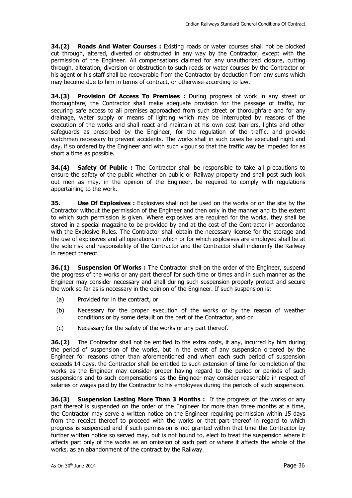**34.(2) Roads And Water Courses :** Existing roads or water courses shall not be blocked cut through, altered, diverted or obstructed in any way by the Contractor, except with the permission of the Engineer. All compensations claimed for any unauthorized closure, cutting through, alteration, diversion or obstruction to such roads or water courses by the Contractor or his agent or his staff shall be recoverable from the Contractor by deduction from any sums which may become due to him in terms of contract, or otherwise according to law.

**34.(3) Provision Of Access To Premises :** During progress of work in any street or thoroughfare, the Contractor shall make adequate provision for the passage of traffic, for securing safe access to all premises approached from such street or thoroughfare and for any drainage, water supply or means of lighting which may be interrupted by reasons of the execution of the works and shall react and maintain at his own cost barriers, lights and other safeguards as prescribed by the Engineer, for the regulation of the traffic, and provide watchmen necessary to prevent accidents. The works shall in such cases be executed night and day, if so ordered by the Engineer and with such vigour so that the traffic way be impeded for as short a time as possible.

**34.(4) Safety Of Public :** The Contractor shall be responsible to take all precautions to ensure the safety of the public whether on public or Railway property and shall post such look out men as may, in the opinion of the Engineer, be required to comply with regulations appertaining to the work.

**35. Use Of Explosives :** Explosives shall not be used on the works or on the site by the Contractor without the permission of the Engineer and then only in the manner and to the extent to which such permission is given. Where explosives are required for the works, they shall be stored in a special magazine to be provided by and at the cost of the Contractor in accordance with the Explosive Rules. The Contractor shall obtain the necessary license for the storage and the use of explosives and all operations in which or for which explosives are employed shall be at the sole risk and responsibility of the Contractor and the Contractor shall indemnify the Railway in respect thereof.

**36.(1) Suspension Of Works :** The Contractor shall on the order of the Engineer, suspend the progress of the works or any part thereof for such time or times and in such manner as the Engineer may consider necessary and shall during such suspension properly protect and secure the work so far as is necessary in the opinion of the Engineer. If such suspension is:

- (a) Provided for in the contract, or
- (b) Necessary for the proper execution of the works or by the reason of weather conditions or by some default on the part of the Contractor, and or
- (c) Necessary for the safety of the works or any part thereof.

**36.(2)** The Contractor shall not be entitled to the extra costs, if any, incurred by him during the period of suspension of the works, but in the event of any suspension ordered by the Engineer for reasons other than aforementioned and when each such period of suspension exceeds 14 days, the Contractor shall be entitled to such extension of time for completion of the works as the Engineer may consider proper having regard to the period or periods of such suspensions and to such compensations as the Engineer may consider reasonable in respect of salaries or wages paid by the Contractor to his employees during the periods of such suspension.

**36.(3) Suspension Lasting More Than 3 Months :** If the progress of the works or any part thereof is suspended on the order of the Engineer for more than three months at a time, the Contractor may serve a written notice on the Engineer requiring permission within 15 days from the receipt thereof to proceed with the works or that part thereof in regard to which progress is suspended and if such permission is not granted within that time the Contractor by further written notice so served may, but is not bound to, elect to treat the suspension where it affects part only of the works as an omission of such part or where it affects the whole of the works, as an abandonment of the contract by the Railway.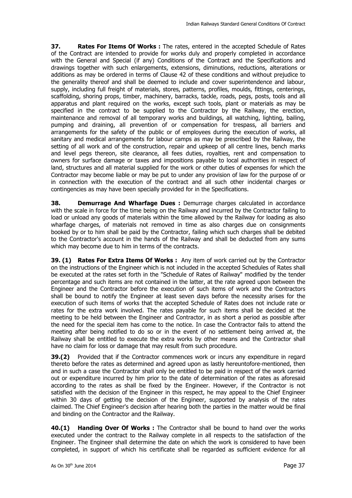**37. Rates For Items Of Works :** The rates, entered in the accepted Schedule of Rates of the Contract are intended to provide for works duly and properly completed in accordance with the General and Special (if any) Conditions of the Contract and the Specifications and drawings together with such enlargements, extensions, diminutions, reductions, alterations or additions as may be ordered in terms of Clause 42 of these conditions and without prejudice to the generality thereof and shall be deemed to include and cover superintendence and labour, supply, including full freight of materials, stores, patterns, profiles, moulds, fittings, centerings, scaffolding, shoring props, timber, machinery, barracks, tackle, roads, pegs, posts, tools and all apparatus and plant required on the works, except such tools, plant or materials as may be specified in the contract to be supplied to the Contractor by the Railway, the erection, maintenance and removal of all temporary works and buildings, all watching, lighting, bailing, pumping and draining, all prevention of or compensation for trespass, all barriers and arrangements for the safety of the public or of employees during the execution of works, all sanitary and medical arrangements for labour camps as may be prescribed by the Railway, the setting of all work and of the construction, repair and upkeep of all centre lines, bench marks and level pegs thereon, site clearance, all fees duties, royalties, rent and compensation to owners for surface damage or taxes and impositions payable to local authorities in respect of land, structures and all material supplied for the work or other duties of expenses for which the Contractor may become liable or may be put to under any provision of law for the purpose of or in connection with the execution of the contract and all such other incidental charges or contingencies as may have been specially provided for in the Specifications.

**38. Demurrage And Wharfage Dues :** Demurrage charges calculated in accordance with the scale in force for the time being on the Railway and incurred by the Contractor failing to load or unload any goods of materials within the time allowed by the Railway for loading as also wharfage charges, of materials not removed in time as also charges due on consignments booked by or to him shall be paid by the Contractor, failing which such charges shall be debited to the Contractor's account in the hands of the Railway and shall be deducted from any sums which may become due to him in terms of the contracts.

**39. (1) Rates For Extra Items Of Works :** Any item of work carried out by the Contractor on the instructions of the Engineer which is not included in the accepted Schedules of Rates shall be executed at the rates set forth in the "Schedule of Rates of Railway" modified by the tender percentage and such items are not contained in the latter, at the rate agreed upon between the Engineer and the Contractor before the execution of such items of work and the Contractors shall be bound to notify the Engineer at least seven days before the necessity arises for the execution of such items of works that the accepted Schedule of Rates does not include rate or rates for the extra work involved. The rates payable for such items shall be decided at the meeting to be held between the Engineer and Contractor, in as short a period as possible after the need for the special item has come to the notice. In case the Contractor fails to attend the meeting after being notified to do so or in the event of no settlement being arrived at, the Railway shall be entitled to execute the extra works by other means and the Contractor shall have no claim for loss or damage that may result from such procedure.

**39.(2)** Provided that if the Contractor commences work or incurs any expenditure in regard thereto before the rates as determined and agreed upon as lastly hereuntofore-mentioned, then and in such a case the Contractor shall only be entitled to be paid in respect of the work carried out or expenditure incurred by him prior to the date of determination of the rates as aforesaid according to the rates as shall be fixed by the Engineer. However, if the Contractor is not satisfied with the decision of the Engineer in this respect, he may appeal to the Chief Engineer within 30 days of getting the decision of the Engineer, supported by analysis of the rates claimed. The Chief Engineer's decision after hearing both the parties in the matter would be final and binding on the Contractor and the Railway.

**40.(1) Handing Over Of Works :** The Contractor shall be bound to hand over the works executed under the contract to the Railway complete in all respects to the satisfaction of the Engineer. The Engineer shall determine the date on which the work is considered to have been completed, in support of which his certificate shall be regarded as sufficient evidence for all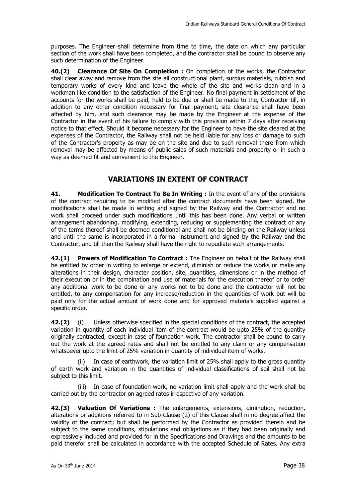purposes. The Engineer shall determine from time to time, the date on which any particular section of the work shall have been completed, and the contractor shall be bound to observe any such determination of the Engineer.

**40.(2) Clearance Of Site On Completion :** On completion of the works, the Contractor shall clear away and remove from the site all constructional plant, surplus materials, rubbish and temporary works of every kind and leave the whole of the site and works clean and in a workman like condition to the satisfaction of the Engineer. No final payment in settlement of the accounts for the works shall be paid, held to be due or shall be made to the, Contractor till, in addition to any other condition necessary for final payment, site clearance shall have been affected by him, and such clearance may be made by the Engineer at the expense of the Contractor in the event of his failure to comply with this provision within 7 days after receiving notice to that effect. Should it become necessary for the Engineer to have the site cleared at the expenses of the Contractor, the Railway shall not be held liable for any loss or damage to such of the Contractor's property as may be on the site and due to such removal there from which removal may be affected by means of public sales of such materials and property or in such a way as deemed fit and convenient to the Engineer.

### **VARIATIONS IN EXTENT OF CONTRACT**

**41. Modification To Contract To Be In Writing :** In the event of any of the provisions of the contract requiring to be modified after the contract documents have been signed, the modifications shall be made in writing and signed by the Railway and the Contractor and no work shall proceed under such modifications until this has been done. Any verbal or written arrangement abandoning, modifying, extending, reducing or supplementing the contract or any of the terms thereof shall be deemed conditional and shall not be binding on the Railway unless and until the same is incorporated in a formal instrument and signed by the Railway and the Contractor, and till then the Railway shall have the right to repudiate such arrangements.

**42.(1) Powers of Modification To Contract :** The Engineer on behalf of the Railway shall be entitled by order in writing to enlarge or extend, diminish or reduce the works or make any alterations in their design, character position, site, quantities, dimensions or in the method of their execution or in the combination and use of materials for the execution thereof or to order any additional work to be done or any works not to be done and the contractor will not be entitled, to any compensation for any increase/reduction in the quantities of work but will be paid only for the actual amount of work done and for approved materials supplied against a specific order.

**42.(2)** (i) Unless otherwise specified in the special conditions of the contract, the accepted variation in quantity of each individual item of the contract would be upto 25% of the quantity originally contracted, except in case of foundation work. The contractor shall be bound to carry out the work at the agreed rates and shall not be entitled to any claim or any compensation whatsoever upto the limit of 25% variation in quantity of individual item of works.

In case of earthwork, the variation limit of 25% shall apply to the gross quantity of earth work and variation in the quantities of individual classifications of soil shall not be subject to this limit.

 (iii) In case of foundation work, no variation limit shall apply and the work shall be carried out by the contractor on agreed rates irrespective of any variation.

**42.(3) Valuation Of Variations :** The enlargements, extensions, diminution, reduction, alterations or additions referred to in Sub-Clause (2) of this Clause shall in no degree affect the validity of the contract; but shall be performed by the Contractor as provided therein and be subject to the same conditions, stipulations and obligations as if they had been originally and expressively included and provided for in the Specifications and Drawings and the amounts to be paid therefor shall be calculated in accordance with the accepted Schedule of Rates. Any extra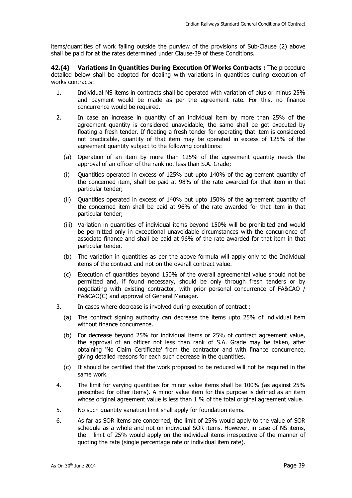items/quantities of work falling outside the purview of the provisions of Sub-Clause (2) above shall be paid for at the rates determined under Clause-39 of these Conditions.

**42.(4) Variations In Quantities During Execution Of Works Contracts :** The procedure detailed below shall be adopted for dealing with variations in quantities during execution of works contracts:

- 1. Individual NS items in contracts shall be operated with variation of plus or minus 25% and payment would be made as per the agreement rate. For this, no finance concurrence would be required.
- 2. In case an increase in quantity of an individual item by more than 25% of the agreement quantity is considered unavoidable, the same shall be got executed by floating a fresh tender. If floating a fresh tender for operating that item is considered not practicable, quantity of that item may be operated in excess of 125% of the agreement quantity subject to the following conditions:
	- (a) Operation of an item by more than 125% of the agreement quantity needs the approval of an officer of the rank not less than S.A. Grade;
	- (i) Quantities operated in excess of 125% but upto 140% of the agreement quantity of the concerned item, shall be paid at 98% of the rate awarded for that item in that particular tender;
	- (ii) Quantities operated in excess of 140% but upto 150% of the agreement quantity of the concerned item shall be paid at 96% of the rate awarded for that item in that particular tender;
	- (iii) Variation in quantities of individual items beyond 150% will be prohibited and would be permitted only in exceptional unavoidable circumstances with the concurrence of associate finance and shall be paid at 96% of the rate awarded for that item in that particular tender.
	- (b) The variation in quantities as per the above formula will apply only to the Individual items of the contract and not on the overall contract value.
	- (c) Execution of quantities beyond 150% of the overall agreemental value should not be permitted and, if found necessary, should be only through fresh tenders or by negotiating with existing contractor, with prior personal concurrence of FA&CAO / FA&CAO(C) and approval of General Manager.
- 3. In cases where decrease is involved during execution of contract :
	- (a) The contract signing authority can decrease the items upto 25% of individual item without finance concurrence.
	- (b) For decrease beyond 25% for individual items or 25% of contract agreement value, the approval of an officer not less than rank of S.A. Grade may be taken, after obtaining 'No Claim Certificate' from the contractor and with finance concurrence, giving detailed reasons for each such decrease in the quantities.
	- (c) It should be certified that the work proposed to be reduced will not be required in the same work.
- 4. The limit for varying quantities for minor value items shall be 100% (as against 25% prescribed for other items). A minor value item for this purpose is defined as an item whose original agreement value is less than 1 % of the total original agreement value.
- 5. No such quantity variation limit shall apply for foundation items.
- 6. As far as SOR items are concerned, the limit of 25% would apply to the value of SOR schedule as a whole and not on individual SOR items. However, in case of NS items, the limit of 25% would apply on the individual items irrespective of the manner of quoting the rate (single percentage rate or individual item rate).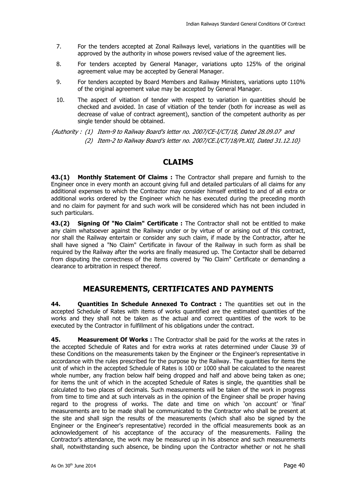- 7. For the tenders accepted at Zonal Railways level, variations in the quantities will be approved by the authority in whose powers revised value of the agreement lies.
- 8. For tenders accepted by General Manager, variations upto 125% of the original agreement value may be accepted by General Manager.
- 9. For tenders accepted by Board Members and Railway Ministers, variations upto 110% of the original agreement value may be accepted by General Manager.
- 10. The aspect of vitiation of tender with respect to variation in quantities should be checked and avoided. In case of vitiation of the tender (both for increase as well as decrease of value of contract agreement), sanction of the competent authority as per single tender should be obtained.

{Authority : (1) Item-9 to Railway Board's letter no. 2007/CE-I/CT/18, Dated 28.09.07 and (2) Item-2 to Railway Board's letter no. 2007/CE.I/CT/18/Pt.XII, Dated 31.12.10}

### **CLAIMS**

**43.(1) Monthly Statement Of Claims :** The Contractor shall prepare and furnish to the Engineer once in every month an account giving full and detailed particulars of all claims for any additional expenses to which the Contractor may consider himself entitled to and of all extra or additional works ordered by the Engineer which he has executed during the preceding month and no claim for payment for and such work will be considered which has not been included in such particulars.

**43.(2) Signing Of "No Claim" Certificate :** The Contractor shall not be entitled to make any claim whatsoever against the Railway under or by virtue of or arising out of this contract, nor shall the Railway entertain or consider any such claim, if made by the Contractor, after he shall have signed a "No Claim" Certificate in favour of the Railway in such form as shall be required by the Railway after the works are finally measured up. The Contactor shall be debarred from disputing the correctness of the items covered by "No Claim" Certificate or demanding a clearance to arbitration in respect thereof.

### **MEASUREMENTS, CERTIFICATES AND PAYMENTS**

**44. Quantities In Schedule Annexed To Contract :** The quantities set out in the accepted Schedule of Rates with items of works quantified are the estimated quantities of the works and they shall not be taken as the actual and correct quantities of the work to be executed by the Contractor in fulfillment of his obligations under the contract.

**45. Measurement Of Works :** The Contractor shall be paid for the works at the rates in the accepted Schedule of Rates and for extra works at rates determined under Clause 39 of these Conditions on the measurements taken by the Engineer or the Engineer's representative in accordance with the rules prescribed for the purpose by the Railway. The quantities for items the unit of which in the accepted Schedule of Rates is 100 or 1000 shall be calculated to the nearest whole number, any fraction below half being dropped and half and above being taken as one; for items the unit of which in the accepted Schedule of Rates is single, the quantities shall be calculated to two places of decimals. Such measurements will be taken of the work in progress from time to time and at such intervals as in the opinion of the Engineer shall be proper having regard to the progress of works. The date and time on which 'on account' or 'final' measurements are to be made shall be communicated to the Contractor who shall be present at the site and shall sign the results of the measurements (which shall also be signed by the Engineer or the Engineer's representative) recorded in the official measurements book as an acknowledgement of his acceptance of the accuracy of the measurements. Failing the Contractor's attendance, the work may be measured up in his absence and such measurements shall, notwithstanding such absence, be binding upon the Contractor whether or not he shall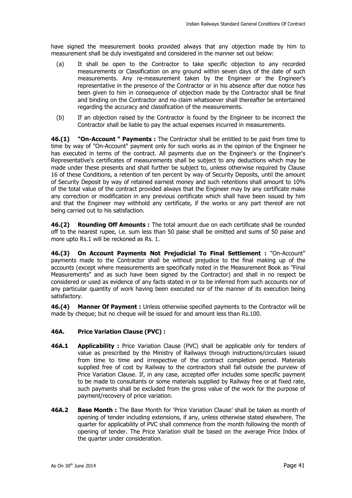have signed the measurement books provided always that any objection made by him to measurement shall be duly investigated and considered in the manner set out below:

- (a) It shall be open to the Contractor to take specific objection to any recorded measurements or Classification on any ground within seven days of the date of such measurements. Any re-measurement taken by the Engineer or the Engineer's representative in the presence of the Contractor or in his absence after due notice has been given to him in consequence of objection made by the Contractor shall be final and binding on the Contractor and no claim whatsoever shall thereafter be entertained regarding the accuracy and classification of the measurements.
- (b) If an objection raised by the Contractor is found by the Engineer to be incorrect the Contractor shall be liable to pay the actual expenses incurred in measurements.

**46.(1) "On-Account " Payments :** The Contractor shall be entitled to be paid from time to time by way of "On-Account" payment only for such works as in the opinion of the Engineer he has executed in terms of the contract. All payments due on the Engineer's or the Engineer's Representative's certificates of measurements shall be subject to any deductions which may be made under these presents and shall further be subject to, unless otherwise required by Clause 16 of these Conditions, a retention of ten percent by way of Security Deposits, until the amount of Security Deposit by way of retained earnest money and such retentions shall amount to 10% of the total value of the contract provided always that the Engineer may by any certificate make any correction or modification in any previous certificate which shall have been issued by him and that the Engineer may withhold any certificate, if the works or any part thereof are not being carried out to his satisfaction.

**46.(2) Rounding Off Amounts :** The total amount due on each certificate shall be rounded off to the nearest rupee, i.e. sum less than 50 paise shall be omitted and sums of 50 paise and more upto Rs.1 will be reckoned as Rs. 1.

**46.(3) On Account Payments Not Prejudicial To Final Settlement :** "On-Account" payments made to the Contractor shall be without prejudice to the final making up of the accounts (except where measurements are specifically noted in the Measurement Book as "Final Measurements" and as such have been signed by the Contractor) and shall in no respect be considered or used as evidence of any facts stated in or to be inferred from such accounts nor of any particular quantity of work having been executed nor of the manner of its execution being satisfactory.

**46.(4) Manner Of Payment :** Unless otherwise specified payments to the Contractor will be made by cheque; but no cheque will be issued for and amount less than Rs.100.

#### **46A. Price Variation Clause (PVC) :**

- **46A.1 Applicability :** Price Variation Clause (PVC) shall be applicable only for tenders of value as prescribed by the Ministry of Railways through instructions/circulars issued from time to time and irrespective of the contract completion period. Materials supplied free of cost by Railway to the contractors shall fall outside the purview of Price Variation Clause. If, in any case, accepted offer includes some specific payment to be made to consultants or some materials supplied by Railway free or at fixed rate, such payments shall be excluded from the gross value of the work for the purpose of payment/recovery of price variation.
- **46A.2 Base Month :** The Base Month for 'Price Variation Clause' shall be taken as month of opening of tender including extensions, if any, unless otherwise stated elsewhere. The quarter for applicability of PVC shall commence from the month following the month of opening of tender. The Price Variation shall be based on the average Price Index of the quarter under consideration.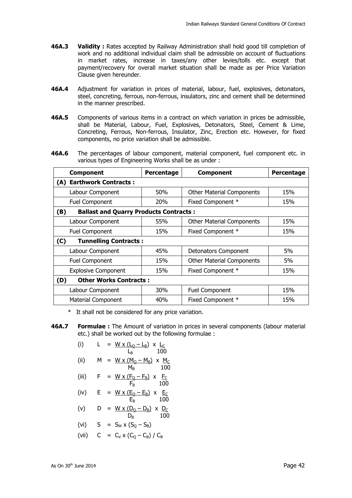- **46A.3 Validity :** Rates accepted by Railway Administration shall hold good till completion of work and no additional individual claim shall be admissible on account of fluctuations in market rates, increase in taxes/any other levies/tolls etc. except that payment/recovery for overall market situation shall be made as per Price Variation Clause given hereunder.
- **46A.4** Adjustment for variation in prices of material, labour, fuel, explosives, detonators, steel, concreting, ferrous, non-ferrous, insulators, zinc and cement shall be determined in the manner prescribed.
- **46A.5** Components of various items in a contract on which variation in prices be admissible, shall be Material, Labour, Fuel, Explosives, Detonators, Steel, Cement & Lime, Concreting, Ferrous, Non-ferrous, Insulator, Zinc, Erection etc. However, for fixed components, no price variation shall be admissible.
- **46A.6** The percentages of labour component, material component, fuel component etc. in various types of Engineering Works shall be as under :

| <b>Component</b>                                     | Percentage | <b>Component</b>                 | Percentage |
|------------------------------------------------------|------------|----------------------------------|------------|
| <b>Earthwork Contracts:</b><br>(A)                   |            |                                  |            |
| Labour Component                                     | 50%        | <b>Other Material Components</b> | 15%        |
| Fuel Component                                       | <b>20%</b> | Fixed Component *                | 15%        |
| <b>Ballast and Quarry Products Contracts:</b><br>(B) |            |                                  |            |
| Labour Component                                     | 55%        | <b>Other Material Components</b> | 15%        |
| <b>Fuel Component</b>                                | 15%        | Fixed Component *                | 15%        |
| <b>Tunnelling Contracts:</b><br>(C)                  |            |                                  |            |
| Labour Component                                     | 45%        | <b>Detonators Component</b>      | 5%         |
| <b>Fuel Component</b>                                | 15%        | <b>Other Material Components</b> | 5%         |
| <b>Explosive Component</b>                           | 15%        | Fixed Component *                | 15%        |
| <b>Other Works Contracts:</b><br>(D)                 |            |                                  |            |
| Labour Component                                     | 30%        | <b>Fuel Component</b>            | 15%        |
| Material Component                                   | 40%        | Fixed Component *                | 15%        |

\* It shall not be considered for any price variation.

**46A.7 Formulae :** The Amount of variation in prices in several components (labour material etc.) shall be worked out by the following formulae :

(i) 
$$
L = \frac{W \times (L_0 - L_B)}{L_B} \times \frac{L_C}{100}
$$

(ii) 
$$
M = \frac{W \times (M_Q - M_B)}{M_B} \times \frac{M_C}{100}
$$

(iii) 
$$
F = \frac{W \times (F_Q - F_B)}{F_B} \times \frac{F_C}{100}
$$

- (iv)  $E = W \times (E_Q E_B) \times E_C$  $E_B$  100
- (v)  $D = W \times (D_Q D_B) \times D_C$  $D_{\rm B}$  100

$$
(vi) \tS = S_W \times (S_Q - S_B)
$$

(vii)  $C = C_V \times (C_O - C_B) / C_B$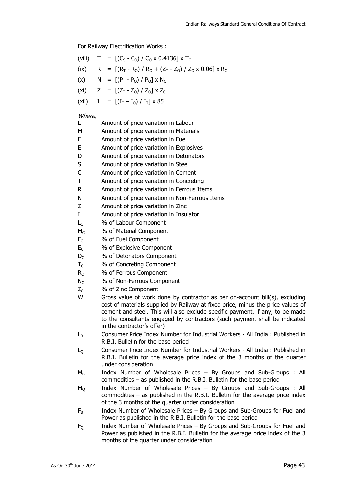For Railway Electrification Works :

|  | (viii) $T = [(CS - CO) / CO \times 0.4136] \times TC$                 |
|--|-----------------------------------------------------------------------|
|  | (ix) R = $[(R_T - R_0)/R_0 + (Z_T - Z_0)/Z_0 \times 0.06] \times R_C$ |
|  | (x) $N = [(P_T - P_O) / P_O] \times N_C$                              |
|  | (xi) $Z = [(Z_T - Z_0) / Z_0] \times Z_C$                             |
|  | (xii) $I = [(I_T - I_0) / I_T] \times 85$                             |
|  |                                                                       |

#### Where,

|    | Amount of price variation in Labour     |
|----|-----------------------------------------|
| м  | Amount of price variation in Materials  |
| F  | Amount of price variation in Fuel       |
| E  | Amount of price variation in Explosives |
| D  | Amount of price variation in Detonators |
| -S | Amount of price variation in Steel      |

- C Amount of price variation in Cement
- T Amount of price variation in Concreting
- R Amount of price variation in Ferrous Items
- N Amount of price variation in Non-Ferrous Items
- Z Amount of price variation in Zinc
- I Amount of price variation in Insulator
- L<sub>C</sub> % of Labour Component
- $M_{\text{C}}$  % of Material Component
- F<sub>C</sub> % of Fuel Component
- E<sub>c</sub> % of Explosive Component
- D<sub>C</sub> % of Detonators Component
- $T<sub>C</sub>$  % of Concreting Component
- R<sub>C</sub> % of Ferrous Component
- N<sub>C</sub> % of Non-Ferrous Component
- $Z_c$  % of Zinc Component
- W Gross value of work done by contractor as per on-account bill(s), excluding cost of materials supplied by Railway at fixed price, minus the price values of cement and steel. This will also exclude specific payment, if any, to be made to the consultants engaged by contractors (such payment shall be indicated in the contractor's offer)
- $L_{\rm B}$  Consumer Price Index Number for Industrial Workers All India : Published in R.B.I. Bulletin for the base period
- L<sub>O</sub> Consumer Price Index Number for Industrial Workers All India : Published in R.B.I. Bulletin for the average price index of the 3 months of the quarter under consideration
- $M_B$  Index Number of Wholesale Prices By Groups and Sub-Groups : All commodities – as published in the R.B.I. Bulletin for the base period
- $M<sub>0</sub>$  Index Number of Wholesale Prices By Groups and Sub-Groups : All commodities – as published in the R.B.I. Bulletin for the average price index of the 3 months of the quarter under consideration
- $F_B$  Index Number of Wholesale Prices By Groups and Sub-Groups for Fuel and Power as published in the R.B.I. Bulletin for the base period
- $F<sub>0</sub>$  Index Number of Wholesale Prices By Groups and Sub-Groups for Fuel and Power as published in the R.B.I. Bulletin for the average price index of the 3 months of the quarter under consideration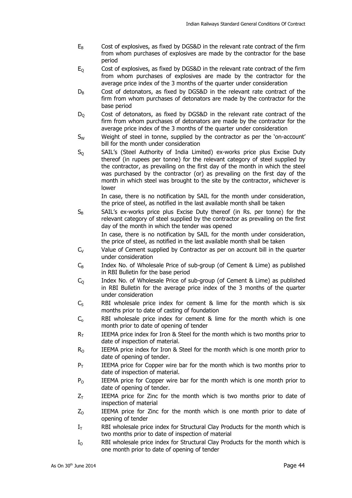- $E_B$  Cost of explosives, as fixed by DGS&D in the relevant rate contract of the firm from whom purchases of explosives are made by the contractor for the base period
- $E<sub>0</sub>$  Cost of explosives, as fixed by DGS&D in the relevant rate contract of the firm from whom purchases of explosives are made by the contractor for the average price index of the 3 months of the quarter under consideration
- $D_B$  Cost of detonators, as fixed by DGS&D in the relevant rate contract of the firm from whom purchases of detonators are made by the contractor for the base period
- $D<sub>0</sub>$  Cost of detonators, as fixed by DGS&D in the relevant rate contract of the firm from whom purchases of detonators are made by the contractor for the average price index of the 3 months of the quarter under consideration
- $S_W$  Weight of steel in tonne, supplied by the contractor as per the 'on-account' bill for the month under consideration
- $S_0$  SAIL's (Steel Authority of India Limited) ex-works price plus Excise Duty thereof (in rupees per tonne) for the relevant category of steel supplied by the contractor, as prevailing on the first day of the month in which the steel was purchased by the contractor (or) as prevailing on the first day of the month in which steel was brought to the site by the contractor, whichever is lower

 In case, there is no notification by SAIL for the month under consideration, the price of steel, as notified in the last available month shall be taken

 $S_B$  SAIL's ex-works price plus Excise Duty thereof (in Rs. per tonne) for the relevant category of steel supplied by the contractor as prevailing on the first day of the month in which the tender was opened

 In case, there is no notification by SAIL for the month under consideration, the price of steel, as notified in the last available month shall be taken

- $C_V$  Value of Cement supplied by Contractor as per on account bill in the quarter under consideration
- $C_{B}$  Index No. of Wholesale Price of sub-group (of Cement & Lime) as published in RBI Bulletin for the base period
- $C_Q$  Index No. of Wholesale Price of sub-group (of Cement & Lime) as published in RBI Bulletin for the average price index of the 3 months of the quarter under consideration
- $C<sub>s</sub>$  RBI wholesale price index for cement & lime for the month which is six months prior to date of casting of foundation
- $C_0$  RBI wholesale price index for cement & lime for the month which is one month prior to date of opening of tender
- $R<sub>T</sub>$  IEEMA price index for Iron & Steel for the month which is two months prior to date of inspection of material.
- $R_{\odot}$  IEEMA price index for Iron & Steel for the month which is one month prior to date of opening of tender.
- $P_T$  IEEMA price for Copper wire bar for the month which is two months prior to date of inspection of material.
- $P_{\text{O}}$  IEEMA price for Copper wire bar for the month which is one month prior to date of opening of tender.
- $Z_T$  IEEMA price for Zinc for the month which is two months prior to date of inspection of material
- $Z_0$  IEEMA price for Zinc for the month which is one month prior to date of opening of tender
- $I<sub>T</sub>$  RBI wholesale price index for Structural Clay Products for the month which is two months prior to date of inspection of material
- $I<sub>O</sub>$  RBI wholesale price index for Structural Clay Products for the month which is one month prior to date of opening of tender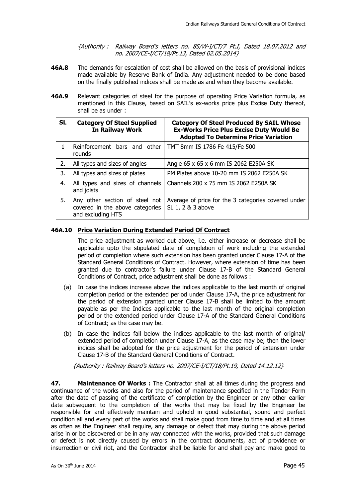{Authority : Railway Board's letters no. 85/W-I/CT/7 Pt.I, Dated 18.07.2012 and no. 2007/CE-I/CT/18/Pt.13, Dated 02.05.2014}

- **46A.8** The demands for escalation of cost shall be allowed on the basis of provisional indices made available by Reserve Bank of India. Any adjustment needed to be done based on the finally published indices shall be made as and when they become available.
- **46A.9** Relevant categories of steel for the purpose of operating Price Variation formula, as mentioned in this Clause, based on SAIL's ex-works price plus Excise Duty thereof, shall be as under :

| <b>SL</b>                                           | <b>Category Of Steel Supplied</b><br><b>In Railway Work</b>                            | <b>Category Of Steel Produced By SAIL Whose</b><br><b>Ex-Works Price Plus Excise Duty Would Be</b><br><b>Adopted To Determine Price Variation</b> |  |  |
|-----------------------------------------------------|----------------------------------------------------------------------------------------|---------------------------------------------------------------------------------------------------------------------------------------------------|--|--|
| 1                                                   | Reinforcement bars and other<br>rounds                                                 | TMT 8mm IS 1786 Fe 415/Fe 500                                                                                                                     |  |  |
| 2.                                                  | All types and sizes of angles                                                          | Angle 65 x 65 x 6 mm IS 2062 E250A SK                                                                                                             |  |  |
| 3.                                                  | All types and sizes of plates                                                          | PM Plates above 10-20 mm IS 2062 E250A SK                                                                                                         |  |  |
| 4.<br>All types and sizes of channels<br>and joists |                                                                                        | Channels 200 x 75 mm IS 2062 E250A SK                                                                                                             |  |  |
| 5.                                                  | Any other section of steel not<br>covered in the above categories<br>and excluding HTS | Average of price for the 3 categories covered under<br>SL 1, 2 & 3 above                                                                          |  |  |

#### **46A.10 Price Variation During Extended Period Of Contract**

 The price adjustment as worked out above, i.e. either increase or decrease shall be applicable upto the stipulated date of completion of work including the extended period of completion where such extension has been granted under Clause 17-A of the Standard General Conditions of Contract. However, where extension of time has been granted due to contractor's failure under Clause 17-B of the Standard General Conditions of Contract, price adjustment shall be done as follows :

- (a) In case the indices increase above the indices applicable to the last month of original completion period or the extended period under Clause 17-A, the price adjustment for the period of extension granted under Clause 17-B shall be limited to the amount payable as per the Indices applicable to the last month of the original completion period or the extended period under Clause 17-A of the Standard General Conditions of Contract; as the case may be.
- (b) In case the indices fall below the indices applicable to the last month of original/ extended period of completion under Clause 17-A, as the case may be; then the lower indices shall be adopted for the price adjustment for the period of extension under Clause 17-B of the Standard General Conditions of Contract.

{Authority : Railway Board's letters no. 2007/CE-I/CT/18/Pt.19, Dated 14.12.12}

**47. Maintenance Of Works :** The Contractor shall at all times during the progress and continuance of the works and also for the period of maintenance specified in the Tender Form after the date of passing of the certificate of completion by the Engineer or any other earlier date subsequent to the completion of the works that may be fixed by the Engineer be responsible for and effectively maintain and uphold in good substantial, sound and perfect condition all and every part of the works and shall make good from time to time and at all times as often as the Engineer shall require, any damage or defect that may during the above period arise in or be discovered or be in any way connected with the works, provided that such damage or defect is not directly caused by errors in the contract documents, act of providence or insurrection or civil riot, and the Contractor shall be liable for and shall pay and make good to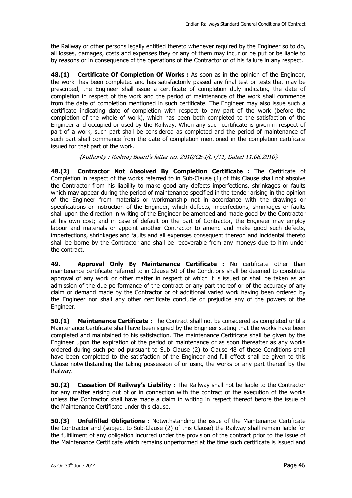the Railway or other persons legally entitled thereto whenever required by the Engineer so to do, all losses, damages, costs and expenses they or any of them may incur or be put or be liable to by reasons or in consequence of the operations of the Contractor or of his failure in any respect.

**48.(1) Certificate Of Completion Of Works :** As soon as in the opinion of the Engineer, the work has been completed and has satisfactorily passed any final test or tests that may be prescribed, the Engineer shall issue a certificate of completion duly indicating the date of completion in respect of the work and the period of maintenance of the work shall commence from the date of completion mentioned in such certificate. The Engineer may also issue such a certificate indicating date of completion with respect to any part of the work (before the completion of the whole of work), which has been both completed to the satisfaction of the Engineer and occupied or used by the Railway. When any such certificate is given in respect of part of a work, such part shall be considered as completed and the period of maintenance of such part shall commence from the date of completion mentioned in the completion certificate issued for that part of the work.

{Authority : Railway Board's letter no. 2010/CE-I/CT/11, Dated 11.06.2010}

**48.(2) Contractor Not Absolved By Completion Certificate :** The Certificate of Completion in respect of the works referred to in Sub-Clause (1) of this Clause shall not absolve the Contractor from his liability to make good any defects imperfections, shrinkages or faults which may appear during the period of maintenance specified in the tender arising in the opinion of the Engineer from materials or workmanship not in accordance with the drawings or specifications or instruction of the Engineer, which defects, imperfections, shrinkages or faults shall upon the direction in writing of the Engineer be amended and made good by the Contractor at his own cost; and in case of default on the part of Contractor, the Engineer may employ labour and materials or appoint another Contractor to amend and make good such defects, imperfections, shrinkages and faults and all expenses consequent thereon and incidental thereto shall be borne by the Contractor and shall be recoverable from any moneys due to him under the contract.

**49. Approval Only By Maintenance Certificate :** No certificate other than maintenance certificate referred to in Clause 50 of the Conditions shall be deemed to constitute approval of any work or other matter in respect of which it is issued or shall be taken as an admission of the due performance of the contract or any part thereof or of the accuracy of any claim or demand made by the Contractor or of additional varied work having been ordered by the Engineer nor shall any other certificate conclude or prejudice any of the powers of the Engineer.

**50.(1)** Maintenance Certificate : The Contract shall not be considered as completed until a Maintenance Certificate shall have been signed by the Engineer stating that the works have been completed and maintained to his satisfaction. The maintenance Certificate shall be given by the Engineer upon the expiration of the period of maintenance or as soon thereafter as any works ordered during such period pursuant to Sub Clause (2) to Clause 48 of these Conditions shall have been completed to the satisfaction of the Engineer and full effect shall be given to this Clause notwithstanding the taking possession of or using the works or any part thereof by the Railway.

**50.(2) Cessation Of Railway's Liability :** The Railway shall not be liable to the Contractor for any matter arising out of or in connection with the contract of the execution of the works unless the Contractor shall have made a claim in writing in respect thereof before the issue of the Maintenance Certificate under this clause.

**50.(3) Unfulfilled Obligations :** Notwithstanding the issue of the Maintenance Certificate the Contractor and (subject to Sub-Clause (2) of this Clause) the Railway shall remain liable for the fulfillment of any obligation incurred under the provision of the contract prior to the issue of the Maintenance Certificate which remains unperformed at the time such certificate is issued and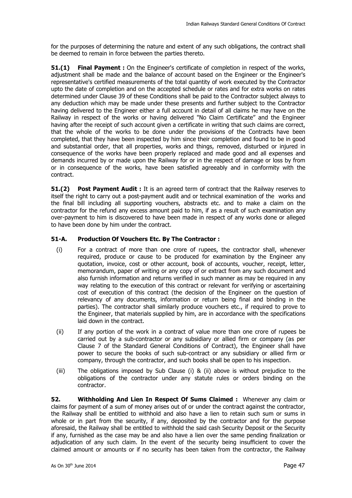for the purposes of determining the nature and extent of any such obligations, the contract shall be deemed to remain in force between the parties thereto.

**51.(1) Final Payment :** On the Engineer's certificate of completion in respect of the works, adjustment shall be made and the balance of account based on the Engineer or the Engineer's representative's certified measurements of the total quantity of work executed by the Contractor upto the date of completion and on the accepted schedule or rates and for extra works on rates determined under Clause 39 of these Conditions shall be paid to the Contractor subject always to any deduction which may be made under these presents and further subject to the Contractor having delivered to the Engineer either a full account in detail of all claims he may have on the Railway in respect of the works or having delivered "No Claim Certificate" and the Engineer having after the receipt of such account given a certificate in writing that such claims are correct, that the whole of the works to be done under the provisions of the Contracts have been completed, that they have been inspected by him since their completion and found to be in good and substantial order, that all properties, works and things, removed, disturbed or injured in consequence of the works have been properly replaced and made good and all expenses and demands incurred by or made upon the Railway for or in the respect of damage or loss by from or in consequence of the works, have been satisfied agreeably and in conformity with the contract.

**51.(2) Post Payment Audit :** It is an agreed term of contract that the Railway reserves to itself the right to carry out a post-payment audit and or technical examination of the works and the final bill including all supporting vouchers, abstracts etc. and to make a claim on the contractor for the refund any excess amount paid to him, if as a result of such examination any over-payment to him is discovered to have been made in respect of any works done or alleged to have been done by him under the contract.

#### **51-A. Production Of Vouchers Etc. By The Contractor :**

- (i) For a contract of more than one crore of rupees, the contractor shall, whenever required, produce or cause to be produced for examination by the Engineer any quotation, invoice, cost or other account, book of accounts, voucher, receipt, letter, memorandum, paper of writing or any copy of or extract from any such document and also furnish information and returns verified in such manner as may be required in any way relating to the execution of this contract or relevant for verifying or ascertaining cost of execution of this contract (the decision of the Engineer on the question of relevancy of any documents, information or return being final and binding in the parties). The contractor shall similarly produce vouchers etc., if required to prove to the Engineer, that materials supplied by him, are in accordance with the specifications laid down in the contract.
- (ii) If any portion of the work in a contract of value more than one crore of rupees be carried out by a sub-contractor or any subsidiary or allied firm or company (as per Clause 7 of the Standard General Conditions of Contract), the Engineer shall have power to secure the books of such sub-contract or any subsidiary or allied firm or company, through the contractor, and such books shall be open to his inspection.
- (iii) The obligations imposed by Sub Clause (i) & (ii) above is without prejudice to the obligations of the contractor under any statute rules or orders binding on the contractor.

**52. Withholding And Lien In Respect Of Sums Claimed :** Whenever any claim or claims for payment of a sum of money arises out of or under the contract against the contractor, the Railway shall be entitled to withhold and also have a lien to retain such sum or sums in whole or in part from the security, if any, deposited by the contractor and for the purpose aforesaid, the Railway shall be entitled to withhold the said cash Security Deposit or the Security if any, furnished as the case may be and also have a lien over the same pending finalization or adjudication of any such claim. In the event of the security being insufficient to cover the claimed amount or amounts or if no security has been taken from the contractor, the Railway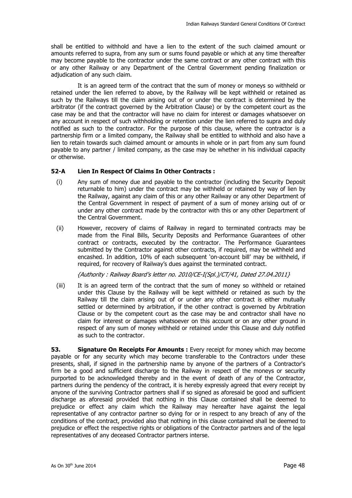shall be entitled to withhold and have a lien to the extent of the such claimed amount or amounts referred to supra, from any sum or sums found payable or which at any time thereafter may become payable to the contractor under the same contract or any other contract with this or any other Railway or any Department of the Central Government pending finalization or adjudication of any such claim.

It is an agreed term of the contract that the sum of money or moneys so withheld or retained under the lien referred to above, by the Railway will be kept withheld or retained as such by the Railways till the claim arising out of or under the contract is determined by the arbitrator (if the contract governed by the Arbitration Clause) or by the competent court as the case may be and that the contractor will have no claim for interest or damages whatsoever on any account in respect of such withholding or retention under the lien referred to supra and duly notified as such to the contractor. For the purpose of this clause, where the contractor is a partnership firm or a limited company, the Railway shall be entitled to withhold and also have a lien to retain towards such claimed amount or amounts in whole or in part from any sum found payable to any partner / limited company, as the case may be whether in his individual capacity or otherwise.

#### **52-A Lien In Respect Of Claims In Other Contracts :**

- (i) Any sum of money due and payable to the contractor (including the Security Deposit returnable to him) under the contract may be withheld or retained by way of lien by the Railway, against any claim of this or any other Railway or any other Department of the Central Government in respect of payment of a sum of money arising out of or under any other contract made by the contractor with this or any other Department of the Central Government.
- (ii) However, recovery of claims of Railway in regard to terminated contracts may be made from the Final Bills, Security Deposits and Performance Guarantees of other contract or contracts, executed by the contractor. The Performance Guarantees submitted by the Contractor against other contracts, if required, may be withheld and encashed. In addition, 10% of each subsequent 'on-account bill' may be withheld, if required, for recovery of Railway's dues against the terminated contract.

{Authority : Railway Board's letter no. 2010/CE-I(Spl.)/CT/41, Dated 27.04.2011}

(iii) It is an agreed term of the contract that the sum of money so withheld or retained under this Clause by the Railway will be kept withheld or retained as such by the Railway till the claim arising out of or under any other contract is either mutually settled or determined by arbitration, if the other contract is governed by Arbitration Clause or by the competent court as the case may be and contractor shall have no claim for interest or damages whatsoever on this account or on any other ground in respect of any sum of money withheld or retained under this Clause and duly notified as such to the contractor.

**53. Signature On Receipts For Amounts :** Every receipt for money which may become payable or for any security which may become transferable to the Contractors under these presents, shall, if signed in the partnership name by anyone of the partners of a Contractor's firm be a good and sufficient discharge to the Railway in respect of the moneys or security purported to be acknowledged thereby and in the event of death of any of the Contractor, partners during the pendency of the contract, it is hereby expressly agreed that every receipt by anyone of the surviving Contractor partners shall if so signed as aforesaid be good and sufficient discharge as aforesaid provided that nothing in this Clause contained shall be deemed to prejudice or effect any claim which the Railway may hereafter have against the legal representative of any contractor partner so dying for or in respect to any breach of any of the conditions of the contract, provided also that nothing in this clause contained shall be deemed to prejudice or effect the respective rights or obligations of the Contractor partners and of the legal representatives of any deceased Contractor partners interse.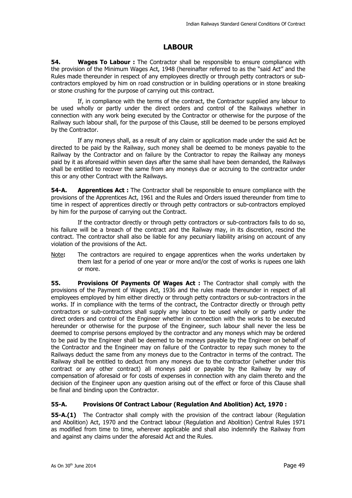### **LABOUR**

**54.** Wages To Labour: The Contractor shall be responsible to ensure compliance with the provision of the Minimum Wages Act, 1948 (hereinafter referred to as the "said Act" and the Rules made thereunder in respect of any employees directly or through petty contractors or subcontractors employed by him on road construction or in building operations or in stone breaking or stone crushing for the purpose of carrying out this contract.

 If, in compliance with the terms of the contract, the Contractor supplied any labour to be used wholly or partly under the direct orders and control of the Railways whether in connection with any work being executed by the Contractor or otherwise for the purpose of the Railway such labour shall, for the purpose of this Clause, still be deemed to be persons employed by the Contractor.

 If any moneys shall, as a result of any claim or application made under the said Act be directed to be paid by the Railway, such money shall be deemed to be moneys payable to the Railway by the Contractor and on failure by the Contractor to repay the Railway any moneys paid by it as aforesaid within seven days after the same shall have been demanded, the Railways shall be entitled to recover the same from any moneys due or accruing to the contractor under this or any other Contract with the Railways.

**54-A.** Apprentices Act: The Contractor shall be responsible to ensure compliance with the provisions of the Apprentices Act, 1961 and the Rules and Orders issued thereunder from time to time in respect of apprentices directly or through petty contractors or sub-contractors employed by him for the purpose of carrying out the Contract.

 If the contractor directly or through petty contractors or sub-contractors fails to do so, his failure will be a breach of the contract and the Railway may, in its discretion, rescind the contract. The contractor shall also be liable for any pecuniary liability arising on account of any violation of the provisions of the Act.

Note**:** The contractors are required to engage apprentices when the works undertaken by them last for a period of one year or more and/or the cost of works is rupees one lakh or more.

**55. Provisions Of Payments Of Wages Act:** The Contractor shall comply with the provisions of the Payment of Wages Act, 1936 and the rules made thereunder in respect of all employees employed by him either directly or through petty contractors or sub-contractors in the works. If in compliance with the terms of the contract, the Contractor directly or through petty contractors or sub-contractors shall supply any labour to be used wholly or partly under the direct orders and control of the Engineer whether in connection with the works to be executed hereunder or otherwise for the purpose of the Engineer, such labour shall never the less be deemed to comprise persons employed by the contractor and any moneys which may be ordered to be paid by the Engineer shall be deemed to be moneys payable by the Engineer on behalf of the Contractor and the Engineer may on failure of the Contractor to repay such money to the Railways deduct the same from any moneys due to the Contractor in terms of the contract. The Railway shall be entitled to deduct from any moneys due to the contractor (whether under this contract or any other contract) all moneys paid or payable by the Railway by way of compensation of aforesaid or for costs of expenses in connection with any claim thereto and the decision of the Engineer upon any question arising out of the effect or force of this Clause shall be final and binding upon the Contractor.

#### **55-A. Provisions Of Contract Labour (Regulation And Abolition) Act, 1970 :**

**55-A.(1)** The Contractor shall comply with the provision of the contract labour (Regulation and Abolition) Act, 1970 and the Contract labour (Regulation and Abolition) Central Rules 1971 as modified from time to time, wherever applicable and shall also indemnify the Railway from and against any claims under the aforesaid Act and the Rules.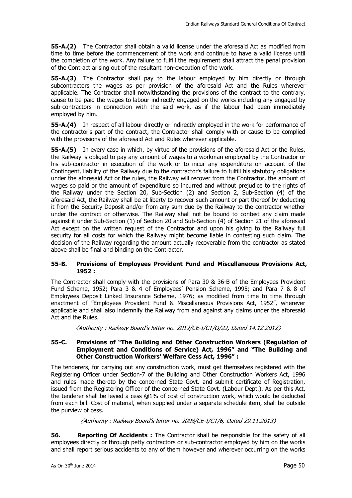**55-A.(2)** The Contractor shall obtain a valid license under the aforesaid Act as modified from time to time before the commencement of the work and continue to have a valid license until the completion of the work. Any failure to fulfill the requirement shall attract the penal provision of the Contract arising out of the resultant non-execution of the work.

**55-A.(3)** The Contractor shall pay to the labour employed by him directly or through subcontractors the wages as per provision of the aforesaid Act and the Rules wherever applicable. The Contractor shall notwithstanding the provisions of the contract to the contrary, cause to be paid the wages to labour indirectly engaged on the works including any engaged by sub-contractors in connection with the said work, as if the labour had been immediately employed by him.

**55-A.(4)** In respect of all labour directly or indirectly employed in the work for performance of the contractor's part of the contract, the Contractor shall comply with or cause to be complied with the provisions of the aforesaid Act and Rules wherever applicable.

**55-A.(5)** In every case in which, by virtue of the provisions of the aforesaid Act or the Rules, the Railway is obliged to pay any amount of wages to a workman employed by the Contractor or his sub-contractor in execution of the work or to incur any expenditure on account of the Contingent, liability of the Railway due to the contractor's failure to fulfill his statutory obligations under the aforesaid Act or the rules, the Railway will recover from the Contractor, the amount of wages so paid or the amount of expenditure so incurred and without prejudice to the rights of the Railway under the Section 20, Sub-Section (2) and Section 2, Sub-Section (4) of the aforesaid Act, the Railway shall be at liberty to recover such amount or part thereof by deducting it from the Security Deposit and/or from any sum due by the Railway to the contractor whether under the contract or otherwise. The Railway shall not be bound to contest any claim made against it under Sub-Section (1) of Section 20 and Sub-Section (4) of Section 21 of the aforesaid Act except on the written request of the Contractor and upon his giving to the Railway full security for all costs for which the Railway might become liable in contesting such claim. The decision of the Railway regarding the amount actually recoverable from the contractor as stated above shall be final and binding on the Contractor.

#### **55-B. Provisions of Employees Provident Fund and Miscellaneous Provisions Act, 1952 :**

The Contractor shall comply with the provisions of Para 30 & 36-B of the Employees Provident Fund Scheme, 1952; Para 3 & 4 of Employees' Pension Scheme, 1995; and Para 7 & 8 of Employees Deposit Linked Insurance Scheme, 1976; as modified from time to time through enactment of "Employees Provident Fund & Miscellaneous Provisions Act, 1952", wherever applicable and shall also indemnify the Railway from and against any claims under the aforesaid Act and the Rules.

{Authority : Railway Board's letter no. 2012/CE-I/CT/O/22, Dated 14.12.2012}

#### **55-C. Provisions of "The Building and Other Construction Workers (Regulation of Employment and Conditions of Service) Act, 1996" and "The Building and Other Construction Workers' Welfare Cess Act, 1996" :**

The tenderers, for carrying out any construction work, must get themselves registered with the Registering Officer under Section-7 of the Building and Other Construction Workers Act, 1996 and rules made thereto by the concerned State Govt. and submit certificate of Registration, issued from the Registering Officer of the concerned State Govt. (Labour Dept.). As per this Act, the tenderer shall be levied a cess @1% of cost of construction work, which would be deducted from each bill. Cost of material, when supplied under a separate schedule item, shall be outside the purview of cess.

{Authority : Railway Board's letter no. 2008/CE-I/CT/6, Dated 29.11.2013}

**56.** Reporting Of Accidents : The Contractor shall be responsible for the safety of all employees directly or through petty contractors or sub-contractor employed by him on the works and shall report serious accidents to any of them however and wherever occurring on the works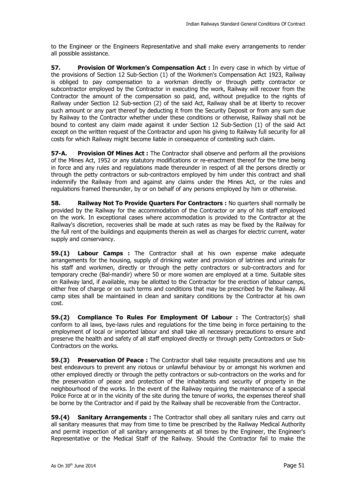to the Engineer or the Engineers Representative and shall make every arrangements to render all possible assistance.

**57. Provision Of Workmen's Compensation Act :** In every case in which by virtue of the provisions of Section 12 Sub-Section (1) of the Workmen's Compensation Act 1923, Railway is obliged to pay compensation to a workman directly or through petty contractor or subcontractor employed by the Contractor in executing the work, Railway will recover from the Contractor the amount of the compensation so paid, and, without prejudice to the rights of Railway under Section 12 Sub-section (2) of the said Act, Railway shall be at liberty to recover such amount or any part thereof by deducting it from the Security Deposit or from any sum due by Railway to the Contractor whether under these conditions or otherwise, Railway shall not be bound to contest any claim made against it under Section 12 Sub-Section (1) of the said Act except on the written request of the Contractor and upon his giving to Railway full security for all costs for which Railway might become liable in consequence of contesting such claim.

**57-A.** Provision Of Mines Act: The Contractor shall observe and perform all the provisions of the Mines Act, 1952 or any statutory modifications or re-enactment thereof for the time being in force and any rules and regulations made thereunder in respect of all the persons directly or through the petty contractors or sub-contractors employed by him under this contract and shall indemnify the Railway from and against any claims under the Mines Act, or the rules and regulations framed thereunder, by or on behalf of any persons employed by him or otherwise.

**58.** Railway Not To Provide Quarters For Contractors : No quarters shall normally be provided by the Railway for the accommodation of the Contractor or any of his staff employed on the work. In exceptional cases where accommodation is provided to the Contractor at the Railway's discretion, recoveries shall be made at such rates as may be fixed by the Railway for the full rent of the buildings and equipments therein as well as charges for electric current, water supply and conservancy.

**59.(1) Labour Camps :** The Contractor shall at his own expense make adequate arrangements for the housing, supply of drinking water and provision of latrines and urinals for his staff and workmen, directly or through the petty contractors or sub-contractors and for temporary creche (Bal-mandir) where 50 or more women are employed at a time. Suitable sites on Railway land, if available, may be allotted to the Contractor for the erection of labour camps, either free of charge or on such terms and conditions that may be prescribed by the Railway. All camp sites shall be maintained in clean and sanitary conditions by the Contractor at his own cost.

**59.(2) Compliance To Rules For Employment Of Labour :** The Contractor(s) shall conform to all laws, bye-laws rules and regulations for the time being in force pertaining to the employment of local or imported labour and shall take all necessary precautions to ensure and preserve the health and safety of all staff employed directly or through petty Contractors or Sub-Contractors on the works.

**59.(3) Preservation Of Peace :** The Contractor shall take requisite precautions and use his best endeavours to prevent any riotous or unlawful behaviour by or amongst his workmen and other employed directly or through the petty contractors or sub-contractors on the works and for the preservation of peace and protection of the inhabitants and security of property in the neighbourhood of the works. In the event of the Railway requiring the maintenance of a special Police Force at or in the vicinity of the site during the tenure of works, the expenses thereof shall be borne by the Contractor and if paid by the Railway shall be recoverable from the Contractor.

**59.(4) Sanitary Arrangements :** The Contractor shall obey all sanitary rules and carry out all sanitary measures that may from time to time be prescribed by the Railway Medical Authority and permit inspection of all sanitary arrangements at all times by the Engineer, the Engineer's Representative or the Medical Staff of the Railway. Should the Contractor fail to make the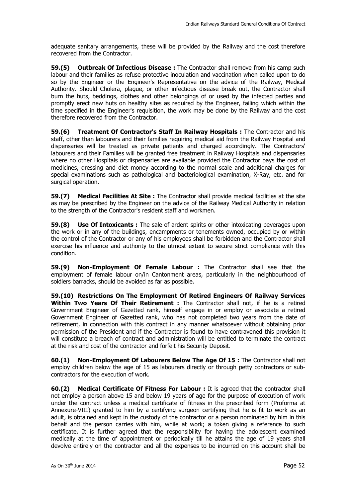adequate sanitary arrangements, these will be provided by the Railway and the cost therefore recovered from the Contractor.

**59.(5) Outbreak Of Infectious Disease :** The Contractor shall remove from his camp such labour and their families as refuse protective inoculation and vaccination when called upon to do so by the Engineer or the Engineer's Representative on the advice of the Railway, Medical Authority. Should Cholera, plague, or other infectious disease break out, the Contractor shall burn the huts, beddings, clothes and other belongings of or used by the infected parties and promptly erect new huts on healthy sites as required by the Engineer, failing which within the time specified in the Engineer's requisition, the work may be done by the Railway and the cost therefore recovered from the Contractor.

**59.(6) Treatment Of Contractor's Staff In Railway Hospitals :** The Contractor and his staff, other than labourers and their families requiring medical aid from the Railway Hospital and dispensaries will be treated as private patients and charged accordingly. The Contractors' labourers and their Families will be granted free treatment in Railway Hospitals and dispensaries where no other Hospitals or dispensaries are available provided the Contractor pays the cost of medicines, dressing and diet money according to the normal scale and additional charges for special examinations such as pathological and bacteriological examination, X-Ray, etc. and for surgical operation.

**59.(7) Medical Facilities At Site :** The Contractor shall provide medical facilities at the site as may be prescribed by the Engineer on the advice of the Railway Medical Authority in relation to the strength of the Contractor's resident staff and workmen.

**59.(8) Use Of Intoxicants :** The sale of ardent spirits or other intoxicating beverages upon the work or in any of the buildings, encampments or tenements owned, occupied by or within the control of the Contractor or any of his employees shall be forbidden and the Contractor shall exercise his influence and authority to the utmost extent to secure strict compliance with this condition.

**59.(9) Non-Employment Of Female Labour :** The Contractor shall see that the employment of female labour on/in Cantonment areas, particularly in the neighbourhood of soldiers barracks, should be avoided as far as possible.

**59.(10) Restrictions On The Employment Of Retired Engineers Of Railway Services Within Two Years Of Their Retirement :** The Contractor shall not, if he is a retired Government Engineer of Gazetted rank, himself engage in or employ or associate a retired Government Engineer of Gazetted rank, who has not completed two years from the date of retirement, in connection with this contract in any manner whatsoever without obtaining prior permission of the President and if the Contractor is found to have contravened this provision it will constitute a breach of contract and administration will be entitled to terminate the contract at the risk and cost of the contractor and forfeit his Security Deposit.

**60.(1) Non-Employment Of Labourers Below The Age Of 15 :** The Contractor shall not employ children below the age of 15 as labourers directly or through petty contractors or subcontractors for the execution of work.

**60.(2) Medical Certificate Of Fitness For Labour :** It is agreed that the contractor shall not employ a person above 15 and below 19 years of age for the purpose of execution of work under the contract unless a medical certificate of fitness in the prescribed form (Proforma at Annexure-VIII) granted to him by a certifying surgeon certifying that he is fit to work as an adult, is obtained and kept in the custody of the contractor or a person nominated by him in this behalf and the person carries with him, while at work; a token giving a reference to such certificate. It is further agreed that the responsibility for having the adolescent examined medically at the time of appointment or periodically till he attains the age of 19 years shall devolve entirely on the contractor and all the expenses to be incurred on this account shall be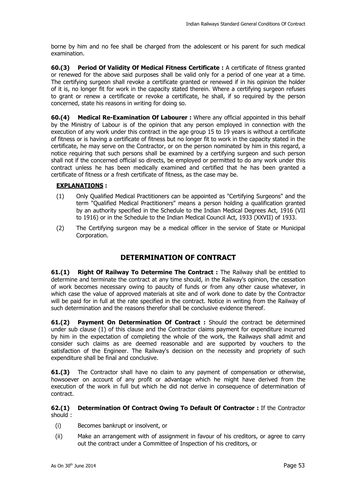borne by him and no fee shall be charged from the adolescent or his parent for such medical examination.

**60.(3) Period Of Validity Of Medical Fitness Certificate :** A certificate of fitness granted or renewed for the above said purposes shall be valid only for a period of one year at a time. The certifying surgeon shall revoke a certificate granted or renewed if in his opinion the holder of it is, no longer fit for work in the capacity stated therein. Where a certifying surgeon refuses to grant or renew a certificate or revoke a certificate, he shall, if so required by the person concerned, state his reasons in writing for doing so.

**60.(4) Medical Re-Examination Of Labourer :** Where any official appointed in this behalf by the Ministry of Labour is of the opinion that any person employed in connection with the execution of any work under this contract in the age group 15 to 19 years is without a certificate of fitness or is having a certificate of fitness but no longer fit to work in the capacity stated in the certificate, he may serve on the Contractor, or on the person nominated by him in this regard, a notice requiring that such persons shall be examined by a certifying surgeon and such person shall not if the concerned official so directs, be employed or permitted to do any work under this contract unless he has been medically examined and certified that he has been granted a certificate of fitness or a fresh certificate of fitness, as the case may be.

#### **EXPLANATIONS :**

- (1) Only Qualified Medical Practitioners can be appointed as "Certifying Surgeons" and the term "Qualified Medical Practitioners" means a person holding a qualification granted by an authority specified in the Schedule to the Indian Medical Degrees Act, 1916 (VII to 1916) or in the Schedule to the Indian Medical Council Act, 1933 (XXVII) of 1933.
- (2) The Certifying surgeon may be a medical officer in the service of State or Municipal Corporation.

### **DETERMINATION OF CONTRACT**

**61.(1) Right Of Railway To Determine The Contract :** The Railway shall be entitled to determine and terminate the contract at any time should, in the Railway's opinion, the cessation of work becomes necessary owing to paucity of funds or from any other cause whatever, in which case the value of approved materials at site and of work done to date by the Contractor will be paid for in full at the rate specified in the contract. Notice in writing from the Railway of such determination and the reasons therefor shall be conclusive evidence thereof.

**61.(2) Payment On Determination Of Contract :** Should the contract be determined under sub clause (1) of this clause and the Contractor claims payment for expenditure incurred by him in the expectation of completing the whole of the work, the Railways shall admit and consider such claims as are deemed reasonable and are supported by vouchers to the satisfaction of the Engineer. The Railway's decision on the necessity and propriety of such expenditure shall be final and conclusive.

**61.(3)** The Contractor shall have no claim to any payment of compensation or otherwise, howsoever on account of any profit or advantage which he might have derived from the execution of the work in full but which he did not derive in consequence of determination of contract.

#### **62.(1) Determination Of Contract Owing To Default Of Contractor :** If the Contractor should :

- (i) Becomes bankrupt or insolvent, or
- (ii) Make an arrangement with of assignment in favour of his creditors, or agree to carry out the contract under a Committee of Inspection of his creditors, or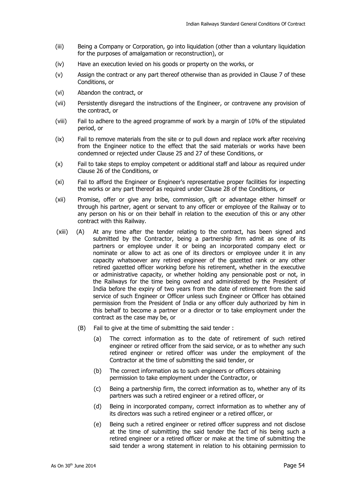- (iii) Being a Company or Corporation, go into liquidation (other than a voluntary liquidation for the purposes of amalgamation or reconstruction), or
- (iv) Have an execution levied on his goods or property on the works, or
- (v) Assign the contract or any part thereof otherwise than as provided in Clause 7 of these Conditions, or
- (vi) Abandon the contract, or
- (vii) Persistently disregard the instructions of the Engineer, or contravene any provision of the contract, or
- (viii) Fail to adhere to the agreed programme of work by a margin of 10% of the stipulated period, or
- (ix) Fail to remove materials from the site or to pull down and replace work after receiving from the Engineer notice to the effect that the said materials or works have been condemned or rejected under Clause 25 and 27 of these Conditions, or
- (x) Fail to take steps to employ competent or additional staff and labour as required under Clause 26 of the Conditions, or
- (xi) Fail to afford the Engineer or Engineer's representative proper facilities for inspecting the works or any part thereof as required under Clause 28 of the Conditions, or
- (xii) Promise, offer or give any bribe, commission, gift or advantage either himself or through his partner, agent or servant to any officer or employee of the Railway or to any person on his or on their behalf in relation to the execution of this or any other contract with this Railway.
- (xiii) (A) At any time after the tender relating to the contract, has been signed and submitted by the Contractor, being a partnership firm admit as one of its partners or employee under it or being an incorporated company elect or nominate or allow to act as one of its directors or employee under it in any capacity whatsoever any retired engineer of the gazetted rank or any other retired gazetted officer working before his retirement, whether in the executive or administrative capacity, or whether holding any pensionable post or not, in the Railways for the time being owned and administered by the President of India before the expiry of two years from the date of retirement from the said service of such Engineer or Officer unless such Engineer or Officer has obtained permission from the President of India or any officer duly authorized by him in this behalf to become a partner or a director or to take employment under the contract as the case may be, or
	- (B) Fail to give at the time of submitting the said tender :
		- (a) The correct information as to the date of retirement of such retired engineer or retired officer from the said service, or as to whether any such retired engineer or retired officer was under the employment of the Contractor at the time of submitting the said tender, or
		- (b) The correct information as to such engineers or officers obtaining permission to take employment under the Contractor, or
		- (c) Being a partnership firm, the correct information as to, whether any of its partners was such a retired engineer or a retired officer, or
		- (d) Being in incorporated company, correct information as to whether any of its directors was such a retired engineer or a retired officer, or
		- (e) Being such a retired engineer or retired officer suppress and not disclose at the time of submitting the said tender the fact of his being such a retired engineer or a retired officer or make at the time of submitting the said tender a wrong statement in relation to his obtaining permission to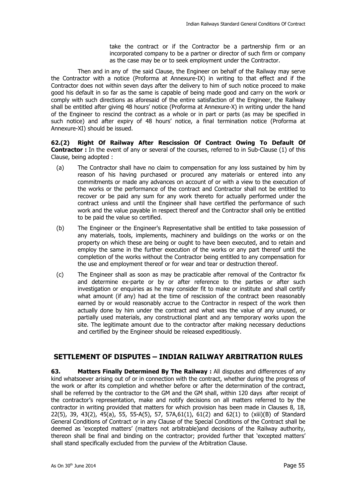take the contract or if the Contractor be a partnership firm or an incorporated company to be a partner or director of such firm or company as the case may be or to seek employment under the Contractor.

 Then and in any of the said Clause, the Engineer on behalf of the Railway may serve the Contractor with a notice (Proforma at Annexure-IX) in writing to that effect and if the Contractor does not within seven days after the delivery to him of such notice proceed to make good his default in so far as the same is capable of being made good and carry on the work or comply with such directions as aforesaid of the entire satisfaction of the Engineer, the Railway shall be entitled after giving 48 hours' notice (Proforma at Annexure-X) in writing under the hand of the Engineer to rescind the contract as a whole or in part or parts (as may be specified in such notice) and after expiry of 48 hours' notice, a final termination notice (Proforma at Annexure-XI) should be issued.

**62.(2) Right Of Railway After Rescission Of Contract Owing To Default Of Contractor :** In the event of any or several of the courses, referred to in Sub-Clause (1) of this Clause, being adopted :

- (a) The Contractor shall have no claim to compensation for any loss sustained by him by reason of his having purchased or procured any materials or entered into any commitments or made any advances on account of or with a view to the execution of the works or the performance of the contract and Contractor shall not be entitled to recover or be paid any sum for any work thereto for actually performed under the contract unless and until the Engineer shall have certified the performance of such work and the value payable in respect thereof and the Contractor shall only be entitled to be paid the value so certified.
- (b) The Engineer or the Engineer's Representative shall be entitled to take possession of any materials, tools, implements, machinery and buildings on the works or on the property on which these are being or ought to have been executed, and to retain and employ the same in the further execution of the works or any part thereof until the completion of the works without the Contractor being entitled to any compensation for the use and employment thereof or for wear and tear or destruction thereof.
- (c) The Engineer shall as soon as may be practicable after removal of the Contractor fix and determine ex-parte or by or after reference to the parties or after such investigation or enquiries as he may consider fit to make or institute and shall certify what amount (if any) had at the time of rescission of the contract been reasonably earned by or would reasonably accrue to the Contractor in respect of the work then actually done by him under the contract and what was the value of any unused, or partially used materials, any constructional plant and any temporary works upon the site. The legitimate amount due to the contractor after making necessary deductions and certified by the Engineer should be released expeditiously.

#### **SETTLEMENT OF DISPUTES – INDIAN RAILWAY ARBITRATION RULES**

**63.** Matters Finally Determined By The Railway : All disputes and differences of any kind whatsoever arising out of or in connection with the contract, whether during the progress of the work or after its completion and whether before or after the determination of the contract, shall be referred by the contractor to the GM and the GM shall, within 120 days after receipt of the contractor's representation, make and notify decisions on all matters referred to by the contractor in writing provided that matters for which provision has been made in Clauses 8, 18, 22(5), 39, 43(2), 45(a), 55, 55-A(5), 57, 57A,61(1), 61(2) and 62(1) to (xiii)(B) of Standard General Conditions of Contract or in any Clause of the Special Conditions of the Contract shall be deemed as 'excepted matters' (matters not arbitrable)and decisions of the Railway authority, thereon shall be final and binding on the contractor; provided further that 'excepted matters' shall stand specifically excluded from the purview of the Arbitration Clause.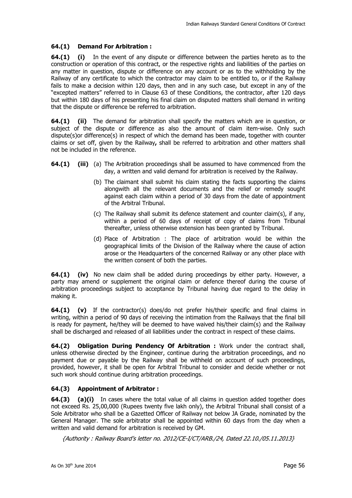#### **64.(1) Demand For Arbitration :**

**64.(1) (i)** In the event of any dispute or difference between the parties hereto as to the construction or operation of this contract, or the respective rights and liabilities of the parties on any matter in question, dispute or difference on any account or as to the withholding by the Railway of any certificate to which the contractor may claim to be entitled to, or if the Railway fails to make a decision within 120 days, then and in any such case, but except in any of the "excepted matters" referred to in Clause 63 of these Conditions, the contractor, after 120 days but within 180 days of his presenting his final claim on disputed matters shall demand in writing that the dispute or difference be referred to arbitration.

**64.(1) (ii)** The demand for arbitration shall specify the matters which are in question, or subject of the dispute or difference as also the amount of claim item-wise. Only such dispute(s)or difference(s) in respect of which the demand has been made, together with counter claims or set off, given by the Railway**,** shall be referred to arbitration and other matters shall not be included in the reference.

- **64.(1)** (iii) (a) The Arbitration proceedings shall be assumed to have commenced from the day, a written and valid demand for arbitration is received by the Railway.
	- (b) The claimant shall submit his claim stating the facts supporting the claims alongwith all the relevant documents and the relief or remedy sought against each claim within a period of 30 days from the date of appointment of the Arbitral Tribunal.
	- (c) The Railway shall submit its defence statement and counter claim(s), if any, within a period of 60 days of receipt of copy of claims from Tribunal thereafter, unless otherwise extension has been granted by Tribunal.
	- (d) Place of Arbitration : The place of arbitration would be within the geographical limits of the Division of the Railway where the cause of action arose or the Headquarters of the concerned Railway or any other place with the written consent of both the parties.

**64.(1) (iv)** No new claim shall be added during proceedings by either party. However, a party may amend or supplement the original claim or defence thereof during the course of arbitration proceedings subject to acceptance by Tribunal having due regard to the delay in making it.

**64.(1) (v)** If the contractor(s) does/do not prefer his/their specific and final claims in writing, within a period of 90 days of receiving the intimation from the Railways that the final bill is ready for payment, he/they will be deemed to have waived his/their claim(s) and the Railway shall be discharged and released of all liabilities under the contract in respect of these claims.

**64.(2) Obligation During Pendency Of Arbitration :** Work under the contract shall, unless otherwise directed by the Engineer, continue during the arbitration proceedings, and no payment due or payable by the Railway shall be withheld on account of such proceedings, provided, however, it shall be open for Arbitral Tribunal to consider and decide whether or not such work should continue during arbitration proceedings.

#### **64.(3) Appointment of Arbitrator :**

**64.(3)** (a)(i) In cases where the total value of all claims in question added together does not exceed Rs. 25,00,000 (Rupees twenty five lakh only), the Arbitral Tribunal shall consist of a Sole Arbitrator who shall be a Gazetted Officer of Railway not below JA Grade, nominated by the General Manager. The sole arbitrator shall be appointed within 60 days from the day when a written and valid demand for arbitration is received by GM.

{Authority : Railway Board's letter no. 2012/CE-I/CT/ARB./24, Dated 22.10./05.11.2013}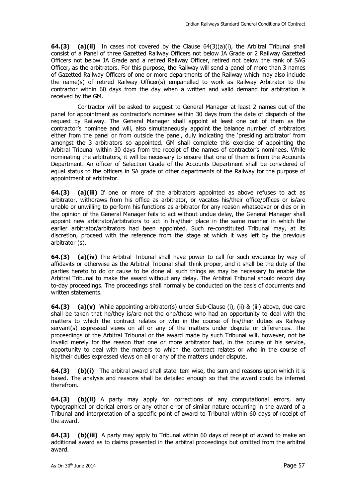**64.(3) (a)(ii)** In cases not covered by the Clause 64(3)(a)(i), the Arbitral Tribunal shall consist of a Panel of three Gazetted Railway Officers not below JA Grade or 2 Railway Gazetted Officers not below JA Grade and a retired Railway Officer, retired not below the rank of SAG Officer**,** as the arbitrators. For this purpose, the Railway will send a panel of more than 3 names of Gazetted Railway Officers of one or more departments of the Railway which may also include the name(s) of retired Railway Officer(s) empanelled to work as Railway Arbitrator to the contractor within 60 days from the day when a written and valid demand for arbitration is received by the GM.

 Contractor will be asked to suggest to General Manager at least 2 names out of the panel for appointment as contractor's nominee within 30 days from the date of dispatch of the request by Railway. The General Manager shall appoint at least one out of them as the contractor's nominee and will, also simultaneously appoint the balance number of arbitrators either from the panel or from outside the panel, duly indicating the 'presiding arbitrator' from amongst the 3 arbitrators so appointed. GM shall complete this exercise of appointing the Arbitral Tribunal within 30 days from the receipt of the names of contractor's nominees. While nominating the arbitrators, it will be necessary to ensure that one of them is from the Accounts Department. An officer of Selection Grade of the Accounts Department shall be considered of equal status to the officers in SA grade of other departments of the Railway for the purpose of appointment of arbitrator.

**64.(3) (a)(iii)** If one or more of the arbitrators appointed as above refuses to act as arbitrator, withdraws from his office as arbitrator, or vacates his/their office/offices or is/are unable or unwilling to perform his functions as arbitrator for any reason whatsoever or dies or in the opinion of the General Manager fails to act without undue delay, the General Manager shall appoint new arbitrator/arbitrators to act in his/their place in the same manner in which the earlier arbitrator/arbitrators had been appointed. Such re-constituted Tribunal may, at its discretion, proceed with the reference from the stage at which it was left by the previous arbitrator (s).

**64.(3) (a)(iv)** The Arbitral Tribunal shall have power to call for such evidence by way of affidavits or otherwise as the Arbitral Tribunal shall think proper, and it shall be the duty of the parties hereto to do or cause to be done all such things as may be necessary to enable the Arbitral Tribunal to make the award without any delay. The Arbitral Tribunal should record day to-day proceedings. The proceedings shall normally be conducted on the basis of documents and written statements.

**64.(3)** (a)(v) While appointing arbitrator(s) under Sub-Clause (i), (ii) & (iii) above, due care shall be taken that he/they is/are not the one/those who had an opportunity to deal with the matters to which the contract relates or who in the course of his/their duties as Railway servant(s) expressed views on all or any of the matters under dispute or differences. The proceedings of the Arbitral Tribunal or the award made by such Tribunal will, however, not be invalid merely for the reason that one or more arbitrator had, in the course of his service, opportunity to deal with the matters to which the contract relates or who in the course of his/their duties expressed views on all or any of the matters under dispute.

**64.(3)** (b)(i) The arbitral award shall state item wise, the sum and reasons upon which it is based. The analysis and reasons shall be detailed enough so that the award could be inferred therefrom.

**64.(3) (b)(ii)** A party may apply for corrections of any computational errors, any typographical or clerical errors or any other error of similar nature occurring in the award of a Tribunal and interpretation of a specific point of award to Tribunal within 60 days of receipt of the award.

**64.(3) (b)(iii)** A party may apply to Tribunal within 60 days of receipt of award to make an additional award as to claims presented in the arbitral proceedings but omitted from the arbitral award.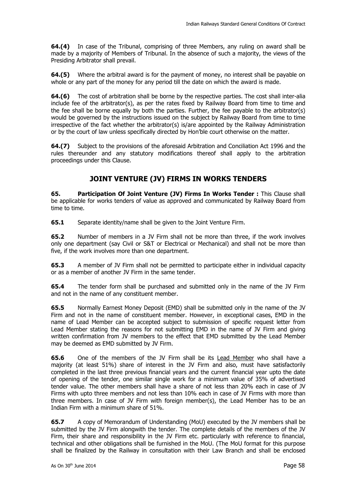**64.(4)** In case of the Tribunal, comprising of three Members, any ruling on award shall be made by a majority of Members of Tribunal. In the absence of such a majority, the views of the Presiding Arbitrator shall prevail.

**64.(5)** Where the arbitral award is for the payment of money, no interest shall be payable on whole or any part of the money for any period till the date on which the award is made.

**64.(6)** The cost of arbitration shall be borne by the respective parties. The cost shall inter-alia include fee of the arbitrator(s), as per the rates fixed by Railway Board from time to time and the fee shall be borne equally by both the parties. Further, the fee payable to the arbitrator(s) would be governed by the instructions issued on the subject by Railway Board from time to time irrespective of the fact whether the arbitrator(s) is/are appointed by the Railway Administration or by the court of law unless specifically directed by Hon'ble court otherwise on the matter.

**64.(7)** Subject to the provisions of the aforesaid Arbitration and Conciliation Act 1996 and the rules thereunder and any statutory modifications thereof shall apply to the arbitration proceedings under this Clause.

### **JOINT VENTURE (JV) FIRMS IN WORKS TENDERS**

**65. Participation Of Joint Venture (JV) Firms In Works Tender :** This Clause shall be applicable for works tenders of value as approved and communicated by Railway Board from time to time.

**65.1** Separate identity/name shall be given to the Joint Venture Firm.

**65.2** Number of members in a JV Firm shall not be more than three, if the work involves only one department (say Civil or S&T or Electrical or Mechanical) and shall not be more than five, if the work involves more than one department.

**65.3** A member of JV Firm shall not be permitted to participate either in individual capacity or as a member of another JV Firm in the same tender.

**65.4** The tender form shall be purchased and submitted only in the name of the JV Firm and not in the name of any constituent member.

**65.5** Normally Earnest Money Deposit (EMD) shall be submitted only in the name of the JV Firm and not in the name of constituent member. However, in exceptional cases, EMD in the name of Lead Member can be accepted subject to submission of specific request letter from Lead Member stating the reasons for not submitting EMD in the name of JV Firm and giving written confirmation from JV members to the effect that EMD submitted by the Lead Member may be deemed as EMD submitted by JV Firm.

**65.6** One of the members of the JV Firm shall be its Lead Member who shall have a majority (at least 51%) share of interest in the JV Firm and also, must have satisfactorily completed in the last three previous financial years and the current financial year upto the date of opening of the tender, one similar single work for a minimum value of 35% of advertised tender value. The other members shall have a share of not less than 20% each in case of JV Firms with upto three members and not less than 10% each in case of JV Firms with more than three members. In case of JV Firm with foreign member(s), the Lead Member has to be an Indian Firm with a minimum share of 51%.

**65.7** A copy of Memorandum of Understanding (MoU) executed by the JV members shall be submitted by the JV Firm alongwith the tender. The complete details of the members of the JV Firm, their share and responsibility in the JV Firm etc. particularly with reference to financial, technical and other obligations shall be furnished in the MoU. (The MoU format for this purpose shall be finalized by the Railway in consultation with their Law Branch and shall be enclosed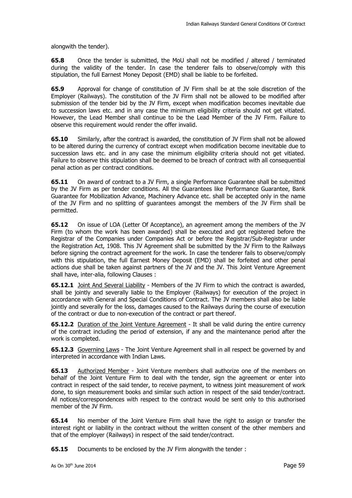alongwith the tender).

**65.8** Once the tender is submitted, the MoU shall not be modified / altered / terminated during the validity of the tender. In case the tenderer fails to observe/comply with this stipulation, the full Earnest Money Deposit (EMD) shall be liable to be forfeited.

**65.9** Approval for change of constitution of JV Firm shall be at the sole discretion of the Employer (Railways). The constitution of the JV Firm shall not be allowed to be modified after submission of the tender bid by the JV Firm, except when modification becomes inevitable due to succession laws etc. and in any case the minimum eligibility criteria should not get vitiated. However, the Lead Member shall continue to be the Lead Member of the JV Firm. Failure to observe this requirement would render the offer invalid.

**65.10** Similarly, after the contract is awarded, the constitution of JV Firm shall not be allowed to be altered during the currency of contract except when modification become inevitable due to succession laws etc. and in any case the minimum eligibility criteria should not get vitiated. Failure to observe this stipulation shall be deemed to be breach of contract with all consequential penal action as per contract conditions.

**65.11** On award of contract to a JV Firm, a single Performance Guarantee shall be submitted by the JV Firm as per tender conditions. All the Guarantees like Performance Guarantee, Bank Guarantee for Mobilization Advance, Machinery Advance etc. shall be accepted only in the name of the JV Firm and no splitting of guarantees amongst the members of the JV Firm shall be permitted.

**65.12** On issue of LOA (Letter Of Acceptance), an agreement among the members of the JV Firm (to whom the work has been awarded) shall be executed and got registered before the Registrar of the Companies under Companies Act or before the Registrar/Sub-Registrar under the Registration Act, 1908. This JV Agreement shall be submitted by the JV Firm to the Railways before signing the contract agreement for the work. In case the tenderer fails to observe/comply with this stipulation, the full Earnest Money Deposit (EMD) shall be forfeited and other penal actions due shall be taken against partners of the JV and the JV. This Joint Venture Agreement shall have, inter-alia, following Clauses :

**65.12.1** Joint And Several Liability - Members of the JV Firm to which the contract is awarded, shall be jointly and severally liable to the Employer (Railways) for execution of the project in accordance with General and Special Conditions of Contract. The JV members shall also be liable jointly and severally for the loss, damages caused to the Railways during the course of execution of the contract or due to non-execution of the contract or part thereof.

**65.12.2** Duration of the Joint Venture Agreement - It shall be valid during the entire currency of the contract including the period of extension, if any and the maintenance period after the work is completed.

**65.12.3** Governing Laws - The Joint Venture Agreement shall in all respect be governed by and interpreted in accordance with Indian Laws.

**65.13** Authorized Member - Joint Venture members shall authorize one of the members on behalf of the Joint Venture Firm to deal with the tender, sign the agreement or enter into contract in respect of the said tender, to receive payment, to witness joint measurement of work done, to sign measurement books and similar such action in respect of the said tender/contract. All notices/correspondences with respect to the contract would be sent only to this authorised member of the JV Firm.

**65.14** No member of the Joint Venture Firm shall have the right to assign or transfer the interest right or liability in the contract without the written consent of the other members and that of the employer (Railways) in respect of the said tender/contract.

**65.15** Documents to be enclosed by the JV Firm alongwith the tender :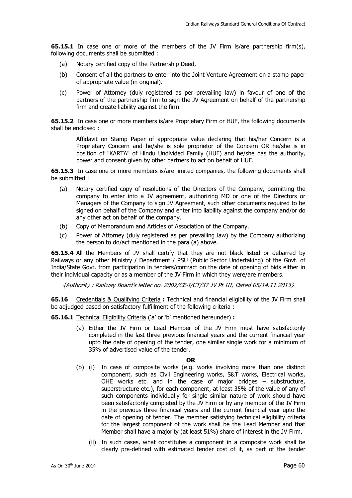**65.15.1** In case one or more of the members of the JV Firm is/are partnership firm(s), following documents shall be submitted :

- (a) Notary certified copy of the Partnership Deed,
- (b) Consent of all the partners to enter into the Joint Venture Agreement on a stamp paper of appropriate value (in original).
- (c) Power of Attorney (duly registered as per prevailing law) in favour of one of the partners of the partnership firm to sign the JV Agreement on behalf of the partnership firm and create liability against the firm.

**65.15.2** In case one or more members is/are Proprietary Firm or HUF, the following documents shall be enclosed :

 Affidavit on Stamp Paper of appropriate value declaring that his/her Concern is a Proprietary Concern and he/she is sole proprietor of the Concern OR he/she is in position of "KARTA" of Hindu Undivided Family (HUF) and he/she has the authority, power and consent given by other partners to act on behalf of HUF.

**65.15.3** In case one or more members is/are limited companies, the following documents shall be submitted :

- (a) Notary certified copy of resolutions of the Directors of the Company, permitting the company to enter into a JV agreement, authorizing MD or one of the Directors or Managers of the Company to sign JV Agreement, such other documents required to be signed on behalf of the Company and enter into liability against the company and/or do any other act on behalf of the company.
- (b) Copy of Memorandum and Articles of Association of the Company.
- (c) Power of Attorney (duly registered as per prevailing law) by the Company authorizing the person to do/act mentioned in the para (a) above.

**65.15.4** All the Members of JV shall certify that they are not black listed or debarred by Railways or any other Ministry / Department / PSU (Public Sector Undertaking) of the Govt. of India/State Govt. from participation in tenders/contract on the date of opening of bids either in their individual capacity or as a member of the JV Firm in which they were/are members.

{Authority : Railway Board's letter no. 2002/CE-I/CT/37 JV Pt III, Dated 05/14.11.2013}

**65.16** Credentials & Qualifying Criteria **:** Technical and financial eligibility of the JV Firm shall be adjudged based on satisfactory fulfillment of the following criteria :

**65.16.1** Technical Eligibility Criteria ('a' or 'b' mentioned hereunder) **:** 

(a) Either the JV Firm or Lead Member of the JV Firm must have satisfactorily completed in the last three previous financial years and the current financial year upto the date of opening of the tender, one similar single work for a minimum of 35% of advertised value of the tender.

#### **OR**

- (b) (i) In case of composite works (e.g. works involving more than one distinct component, such as Civil Engineering works, S&T works, Electrical works, OHE works etc. and in the case of major bridges – substructure, superstructure etc.), for each component, at least 35% of the value of any of such components individually for single similar nature of work should have been satisfactorily completed by the JV Firm or by any member of the JV Firm in the previous three financial years and the current financial year upto the date of opening of tender. The member satisfying technical eligibility criteria for the largest component of the work shall be the Lead Member and that Member shall have a majority (at least 51%) share of interest in the JV Firm.
	- (ii) In such cases, what constitutes a component in a composite work shall be clearly pre-defined with estimated tender cost of it, as part of the tender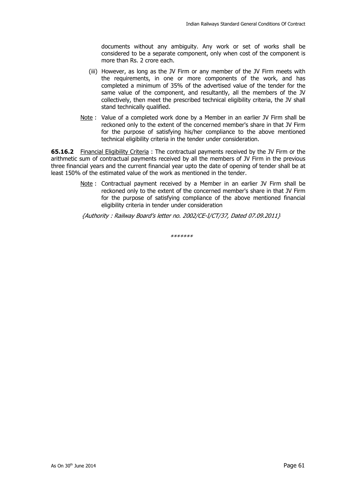documents without any ambiguity. Any work or set of works shall be considered to be a separate component, only when cost of the component is more than Rs. 2 crore each.

- (iii) However, as long as the JV Firm or any member of the JV Firm meets with the requirements, in one or more components of the work, and has completed a minimum of 35% of the advertised value of the tender for the same value of the component, and resultantly, all the members of the JV collectively, then meet the prescribed technical eligibility criteria, the JV shall stand technically qualified.
- Note : Value of a completed work done by a Member in an earlier JV Firm shall be reckoned only to the extent of the concerned member's share in that JV Firm for the purpose of satisfying his/her compliance to the above mentioned technical eligibility criteria in the tender under consideration.

**65.16.2** Financial Eligibility Criteria: The contractual payments received by the JV Firm or the arithmetic sum of contractual payments received by all the members of JV Firm in the previous three financial years and the current financial year upto the date of opening of tender shall be at least 150% of the estimated value of the work as mentioned in the tender.

> Note : Contractual payment received by a Member in an earlier JV Firm shall be reckoned only to the extent of the concerned member's share in that JV Firm for the purpose of satisfying compliance of the above mentioned financial eligibility criteria in tender under consideration

{Authority : Railway Board's letter no. 2002/CE-I/CT/37, Dated 07.09.2011}

\*\*\*\*\*\*\*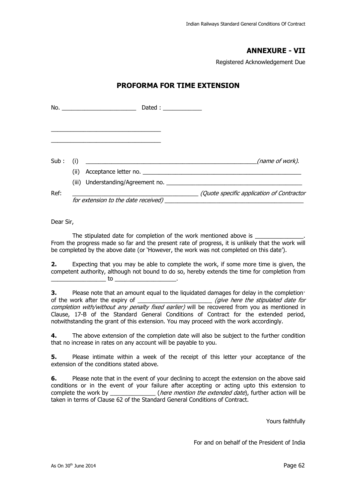### **ANNEXURE - VII**

Registered Acknowledgement Due

#### **PROFORMA FOR TIME EXTENSION**

|          |      | No. _________________________       |                                          |
|----------|------|-------------------------------------|------------------------------------------|
|          |      |                                     |                                          |
| Sub: (i) |      |                                     | (name of work).                          |
|          | (ii) | Acceptance letter no.               |                                          |
| Ref:     |      | for extension to the date received) | Quote specific application of Contractor |

Dear Sir,

The stipulated date for completion of the work mentioned above is From the progress made so far and the present rate of progress, it is unlikely that the work will be completed by the above date (or 'However, the work was not completed on this date').

**2.** Expecting that you may be able to complete the work, if some more time is given, the competent authority, although not bound to do so, hereby extends the time for completion from  $\mathsf{to}$   $\blacksquare$ 

**3.** Please note that an amount equal to the liquidated damages for delay in the completion· of the work after the expiry of  $qove$  for  $qove$  here the stipulated date for completion with/without any penalty fixed earlier) will be recovered from you as mentioned in Clause, 17-B of the Standard General Conditions of Contract for the extended period, notwithstanding the grant of this extension. You may proceed with the work accordingly.

**4.** The above extension of the completion date will also be subject to the further condition that no increase in rates on any account will be payable to you.

**5.** Please intimate within a week of the receipt of this letter your acceptance of the extension of the conditions stated above.

**6.** Please note that in the event of your declining to accept the extension on the above said conditions or in the event of your failure after accepting or acting upto this extension to<br>
(*here mention the extended date*). further action will be (*here mention the extended date*), further action will be taken in terms of Clause 62 of the Standard General Conditions of Contract.

Yours faithfully

For and on behalf of the President of India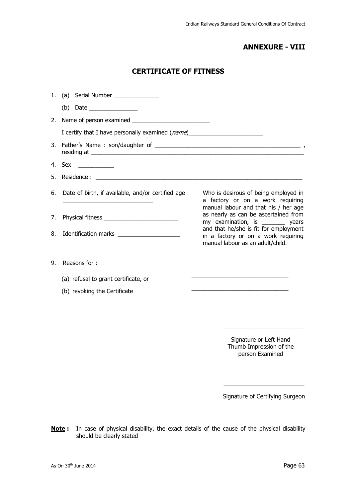### **ANNEXURE - VIII**

### **CERTIFICATE OF FITNESS**

|    | 1. (a) Serial Number _______________                                                                                 |                                                                                                                   |
|----|----------------------------------------------------------------------------------------------------------------------|-------------------------------------------------------------------------------------------------------------------|
|    | (b) Date $\_\_\_\_\_\_\_\_\_\_\_\_\_\_\_\_\_\_\_\_$                                                                  |                                                                                                                   |
|    |                                                                                                                      |                                                                                                                   |
|    | I certify that I have personally examined ( <i>name</i> )                                                            |                                                                                                                   |
|    |                                                                                                                      |                                                                                                                   |
|    |                                                                                                                      |                                                                                                                   |
|    |                                                                                                                      |                                                                                                                   |
|    | 6. Date of birth, if available, and/or certified age                                                                 | Who is desirous of being employed in<br>a factory or on a work requiring                                          |
| 7. |                                                                                                                      | manual labour and that his / her age<br>as nearly as can be ascertained from<br>my examination, is ________ years |
| 8. | <u> 1989 - Johann Barn, amerikan bernama di sebagai bernama dan bernama di sebagai bernama dalam bernama dalam b</u> | and that he/she is fit for employment<br>in a factory or on a work requiring<br>manual labour as an adult/child.  |
| 9. | Reasons for:                                                                                                         |                                                                                                                   |
|    | (a) refusal to grant certificate, or                                                                                 |                                                                                                                   |
|    | (b) revoking the Certificate                                                                                         |                                                                                                                   |
|    |                                                                                                                      |                                                                                                                   |
|    |                                                                                                                      |                                                                                                                   |

Signature or Left Hand Thumb Impression of the person Examined

\_\_\_\_\_\_\_\_\_\_\_\_\_\_\_\_\_\_\_\_\_\_\_\_\_

Signature of Certifying Surgeon

\_\_\_\_\_\_\_\_\_\_\_\_\_\_\_\_\_\_\_\_\_\_\_\_\_

**Note :** In case of physical disability, the exact details of the cause of the physical disability should be clearly stated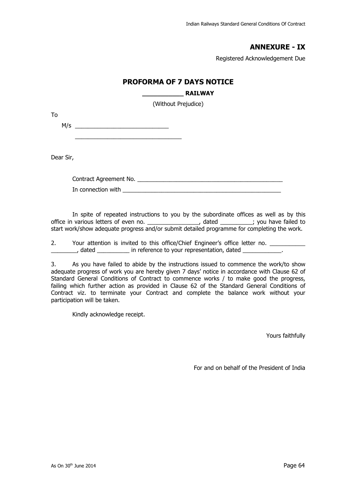### **ANNEXURE - IX**

Registered Acknowledgement Due

#### **PROFORMA OF 7 DAYS NOTICE**

#### **\_\_\_\_\_\_\_\_\_\_\_ RAILWAY**

(Without Prejudice)

M/s \_\_\_\_\_\_\_\_\_\_\_\_\_\_\_\_\_\_\_\_\_\_\_\_\_\_\_\_\_

 $\frac{1}{2}$  , and the set of the set of the set of the set of the set of the set of the set of the set of the set of the set of the set of the set of the set of the set of the set of the set of the set of the set of the set

Dear Sir,

To

Contract Agreement No. \_\_\_\_\_\_\_\_\_\_\_\_\_\_\_\_\_\_\_\_\_\_\_\_\_\_\_\_\_\_\_\_\_\_\_\_\_\_\_\_\_\_\_\_\_ In connection with **EXALUTE 2008** 

 In spite of repeated instructions to you by the subordinate offices as well as by this office in various letters of even no. \_\_\_\_\_\_\_\_\_\_\_\_\_\_\_\_, dated \_\_\_\_\_\_\_\_\_\_; you have failed to start work/show adequate progress and/or submit detailed programme for completing the work.

2. Your attention is invited to this office/Chief Engineer's office letter no. , dated **Example 2** in reference to your representation, dated

3. As you have failed to abide by the instructions issued to commence the work/to show adequate progress of work you are hereby given 7 days' notice in accordance with Clause 62 of Standard General Conditions of Contract to commence works / to make good the progress, failing which further action as provided in Clause 62 of the Standard General Conditions of Contract viz. to terminate your Contract and complete the balance work without your participation will be taken.

Kindly acknowledge receipt.

Yours faithfully

For and on behalf of the President of India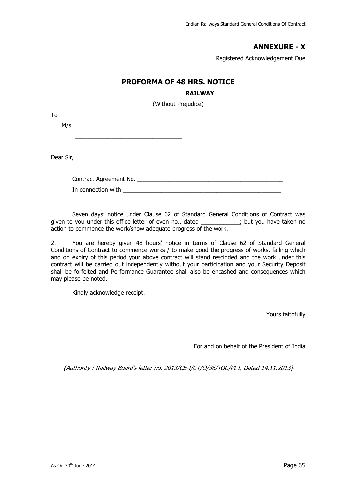### **ANNEXURE - X**

Registered Acknowledgement Due

### **PROFORMA OF 48 HRS. NOTICE**

## **\_\_\_\_\_\_\_\_\_\_\_ RAILWAY**  (Without Prejudice) M/s \_\_\_\_\_\_\_\_\_\_\_\_\_\_\_\_\_\_\_\_\_\_\_\_\_\_\_\_\_

 $\frac{1}{2}$  , and the set of the set of the set of the set of the set of the set of the set of the set of the set of the set of the set of the set of the set of the set of the set of the set of the set of the set of the set

Dear Sir,

To

Contract Agreement No. In connection with **EXECUTE 1** 

 Seven days' notice under Clause 62 of Standard General Conditions of Contract was given to you under this office letter of even no., dated \_\_\_\_\_\_\_\_\_\_\_\_; but you have taken no action to commence the work/show adequate progress of the work.

2. You are hereby given 48 hours' notice in terms of Clause 62 of Standard General Conditions of Contract to commence works / to make good the progress of works, failing which and on expiry of this period your above contract will stand rescinded and the work under this contract will be carried out independently without your participation and your Security Deposit shall be forfeited and Performance Guarantee shall also be encashed and consequences which may please be noted.

Kindly acknowledge receipt.

Yours faithfully

For and on behalf of the President of India

{Authority : Railway Board's letter no. 2013/CE-I/CT/O/36/TOC/Pt I, Dated 14.11.2013}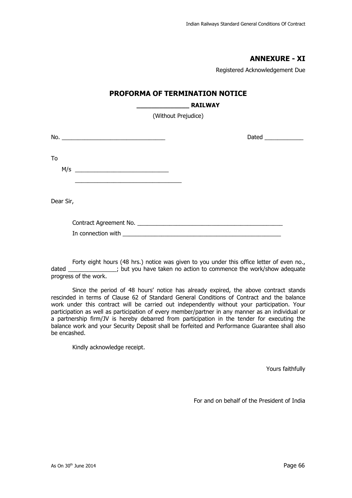### **ANNEXURE - XI**

Registered Acknowledgement Due

#### **PROFORMA OF TERMINATION NOTICE**

#### **\_\_\_\_\_\_\_\_\_\_\_\_\_\_ RAILWAY**

(Without Prejudice)

| No.<br><u> 1980 - Jan Barbara, manazarta da kasas da shekara 1980 - Ang Barbara na Barbara na Barbara na Barbara na Barba</u>                                                                                                              | Dated ____________ |
|--------------------------------------------------------------------------------------------------------------------------------------------------------------------------------------------------------------------------------------------|--------------------|
| To<br>M/s<br>the control of the control of the control of the control of the control of the control of the control of the control of the control of the control of the control of the control of the control of the control of the control |                    |
|                                                                                                                                                                                                                                            |                    |

Dear Sir,

| Contract Agreement No. |  |
|------------------------|--|
|                        |  |

| In connection with |  |
|--------------------|--|
|                    |  |

Forty eight hours (48 hrs.) notice was given to you under this office letter of even no., dated \_\_\_\_\_\_\_\_\_\_\_\_\_\_; but you have taken no action to commence the work/show adequate progress of the work.

 Since the period of 48 hours' notice has already expired, the above contract stands rescinded in terms of Clause 62 of Standard General Conditions of Contract and the balance work under this contract will be carried out independently without your participation. Your participation as well as participation of every member/partner in any manner as an individual or a partnership firm/JV is hereby debarred from participation in the tender for executing the balance work and your Security Deposit shall be forfeited and Performance Guarantee shall also be encashed.

Kindly acknowledge receipt.

Yours faithfully

For and on behalf of the President of India